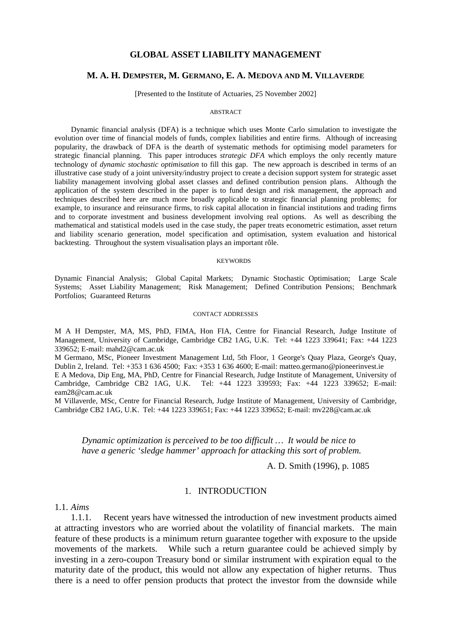### **GLOBAL ASSET LIABILITY MANAGEMENT**

### **M. A. H. DEMPSTER, M. GERMANO, E. A. MEDOVA AND M. VILLAVERDE**

[Presented to the Institute of Actuaries, 25 November 2002]

#### ABSTRACT

Dynamic financial analysis (DFA) is a technique which uses Monte Carlo simulation to investigate the evolution over time of financial models of funds, complex liabilities and entire firms. Although of increasing popularity, the drawback of DFA is the dearth of systematic methods for optimising model parameters for strategic financial planning. This paper introduces *strategic DFA* which employs the only recently mature technology of *dynamic stochastic optimisation* to fill this gap. The new approach is described in terms of an illustrative case study of a joint university/industry project to create a decision support system for strategic asset liability management involving global asset classes and defined contribution pension plans. Although the application of the system described in the paper is to fund design and risk management, the approach and techniques described here are much more broadly applicable to strategic financial planning problems; for example, to insurance and reinsurance firms, to risk capital allocation in financial institutions and trading firms and to corporate investment and business development involving real options. As well as describing the mathematical and statistical models used in the case study, the paper treats econometric estimation, asset return and liability scenario generation, model specification and optimisation, system evaluation and historical backtesting. Throughout the system visualisation plays an important rôle.

#### **KEYWORDS**

Dynamic Financial Analysis; Global Capital Markets; Dynamic Stochastic Optimisation; Large Scale Systems; Asset Liability Management; Risk Management; Defined Contribution Pensions; Benchmark Portfolios; Guaranteed Returns

#### CONTACT ADDRESSES

M A H Dempster, MA, MS, PhD, FIMA, Hon FIA, Centre for Financial Research, Judge Institute of Management, University of Cambridge, Cambridge CB2 1AG, U.K. Tel: +44 1223 339641; Fax: +44 1223 339652; E-mail: mahd2@cam.ac.uk

M Germano, MSc, Pioneer Investment Management Ltd, 5th Floor, 1 George's Quay Plaza, George's Quay, Dublin 2, Ireland. Tel: +353 1 636 4500; Fax: +353 1 636 4600; E-mail: matteo.germano@pioneerinvest.ie

E A Medova, Dip Eng, MA, PhD, Centre for Financial Research, Judge Institute of Management, University of Cambridge, Cambridge CB2 1AG, U.K. Tel: +44 1223 339593; Fax: +44 1223 339652; E-mail: eam28@cam.ac.uk

M Villaverde, MSc, Centre for Financial Research, Judge Institute of Management, University of Cambridge, Cambridge CB2 1AG, U.K. Tel: +44 1223 339651; Fax: +44 1223 339652; E-mail: [mv228@cam.ac.uk](mailto:mv228@cam.ac.uk) 

### *Dynamic optimization is perceived to be too difficult … It would be nice to have a generic 'sledge hammer' approach for attacking this sort of problem.*

A. D. Smith (1996), p. 1085

### 1. INTRODUCTION

1.1. *Aims*

1.1.1. Recent years have witnessed the introduction of new investment products aimed at attracting investors who are worried about the volatility of financial markets. The main feature of these products is a minimum return guarantee together with exposure to the upside movements of the markets. While such a return guarantee could be achieved simply by investing in a zero-coupon Treasury bond or similar instrument with expiration equal to the maturity date of the product, this would not allow any expectation of higher returns. Thus there is a need to offer pension products that protect the investor from the downside while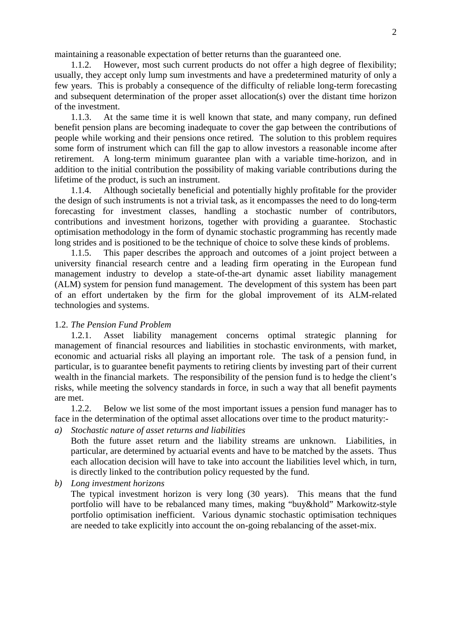maintaining a reasonable expectation of better returns than the guaranteed one.

1.1.2. However, most such current products do not offer a high degree of flexibility; usually, they accept only lump sum investments and have a predetermined maturity of only a few years. This is probably a consequence of the difficulty of reliable long-term forecasting and subsequent determination of the proper asset allocation(s) over the distant time horizon of the investment.

1.1.3. At the same time it is well known that state, and many company, run defined benefit pension plans are becoming inadequate to cover the gap between the contributions of people while working and their pensions once retired. The solution to this problem requires some form of instrument which can fill the gap to allow investors a reasonable income after retirement. A long-term minimum guarantee plan with a variable time-horizon, and in addition to the initial contribution the possibility of making variable contributions during the lifetime of the product, is such an instrument.

1.1.4. Although societally beneficial and potentially highly profitable for the provider the design of such instruments is not a trivial task, as it encompasses the need to do long-term forecasting for investment classes, handling a stochastic number of contributors, contributions and investment horizons, together with providing a guarantee. Stochastic optimisation methodology in the form of dynamic stochastic programming has recently made long strides and is positioned to be the technique of choice to solve these kinds of problems.

1.1.5. This paper describes the approach and outcomes of a joint project between a university financial research centre and a leading firm operating in the European fund management industry to develop a state-of-the-art dynamic asset liability management (ALM) system for pension fund management. The development of this system has been part of an effort undertaken by the firm for the global improvement of its ALM-related technologies and systems.

### 1.2. *The Pension Fund Problem*

1.2.1. Asset liability management concerns optimal strategic planning for management of financial resources and liabilities in stochastic environments, with market, economic and actuarial risks all playing an important role. The task of a pension fund, in particular, is to guarantee benefit payments to retiring clients by investing part of their current wealth in the financial markets. The responsibility of the pension fund is to hedge the client's risks, while meeting the solvency standards in force, in such a way that all benefit payments are met.

1.2.2. Below we list some of the most important issues a pension fund manager has to face in the determination of the optimal asset allocations over time to the product maturity:-

*a) Stochastic nature of asset returns and liabilities* 

Both the future asset return and the liability streams are unknown. Liabilities, in particular, are determined by actuarial events and have to be matched by the assets. Thus each allocation decision will have to take into account the liabilities level which, in turn, is directly linked to the contribution policy requested by the fund.

*b) Long investment horizons* 

The typical investment horizon is very long (30 years). This means that the fund portfolio will have to be rebalanced many times, making "buy&hold" Markowitz-style portfolio optimisation inefficient. Various dynamic stochastic optimisation techniques are needed to take explicitly into account the on-going rebalancing of the asset-mix.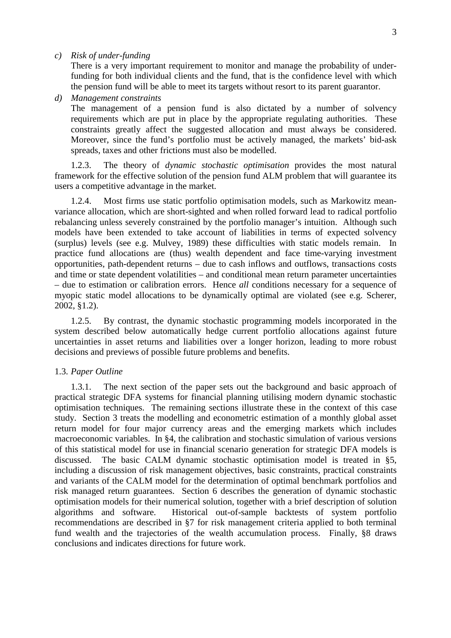*c) Risk of under-funding* 

There is a very important requirement to monitor and manage the probability of underfunding for both individual clients and the fund, that is the confidence level with which the pension fund will be able to meet its targets without resort to its parent guarantor.

*d) Management constraints* 

The management of a pension fund is also dictated by a number of solvency requirements which are put in place by the appropriate regulating authorities. These constraints greatly affect the suggested allocation and must always be considered. Moreover, since the fund's portfolio must be actively managed, the markets' bid-ask spreads, taxes and other frictions must also be modelled.

1.2.3. The theory of *dynamic stochastic optimisation* provides the most natural framework for the effective solution of the pension fund ALM problem that will guarantee its users a competitive advantage in the market.

1.2.4. Most firms use static portfolio optimisation models, such as Markowitz meanvariance allocation, which are short-sighted and when rolled forward lead to radical portfolio rebalancing unless severely constrained by the portfolio manager's intuition. Although such models have been extended to take account of liabilities in terms of expected solvency (surplus) levels (see e.g. Mulvey, 1989) these difficulties with static models remain. In practice fund allocations are (thus) wealth dependent and face time-varying investment opportunities, path-dependent returns – due to cash inflows and outflows, transactions costs and time or state dependent volatilities – and conditional mean return parameter uncertainties – due to estimation or calibration errors. Hence *all* conditions necessary for a sequence of myopic static model allocations to be dynamically optimal are violated (see e.g. Scherer, 2002, §1.2).

1.2.5. By contrast, the dynamic stochastic programming models incorporated in the system described below automatically hedge current portfolio allocations against future uncertainties in asset returns and liabilities over a longer horizon, leading to more robust decisions and previews of possible future problems and benefits.

# 1.3. *Paper Outline*

1.3.1. The next section of the paper sets out the background and basic approach of practical strategic DFA systems for financial planning utilising modern dynamic stochastic optimisation techniques. The remaining sections illustrate these in the context of this case study. Section 3 treats the modelling and econometric estimation of a monthly global asset return model for four major currency areas and the emerging markets which includes macroeconomic variables. In §4, the calibration and stochastic simulation of various versions of this statistical model for use in financial scenario generation for strategic DFA models is discussed. The basic CALM dynamic stochastic optimisation model is treated in §5, including a discussion of risk management objectives, basic constraints, practical constraints and variants of the CALM model for the determination of optimal benchmark portfolios and risk managed return guarantees. Section 6 describes the generation of dynamic stochastic optimisation models for their numerical solution, together with a brief description of solution algorithms and software. Historical out-of-sample backtests of system portfolio recommendations are described in §7 for risk management criteria applied to both terminal fund wealth and the trajectories of the wealth accumulation process. Finally, §8 draws conclusions and indicates directions for future work.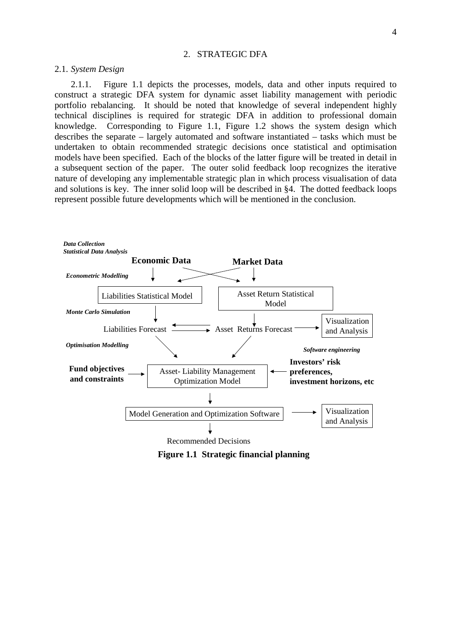### 2. STRATEGIC DFA

### 2.1. *System Design*

2.1.1. Figure 1.1 depicts the processes, models, data and other inputs required to construct a strategic DFA system for dynamic asset liability management with periodic portfolio rebalancing. It should be noted that knowledge of several independent highly technical disciplines is required for strategic DFA in addition to professional domain knowledge. Corresponding to Figure 1.1, Figure 1.2 shows the system design which describes the separate – largely automated and software instantiated – tasks which must be undertaken to obtain recommended strategic decisions once statistical and optimisation models have been specified. Each of the blocks of the latter figure will be treated in detail in a subsequent section of the paper. The outer solid feedback loop recognizes the iterative nature of developing any implementable strategic plan in which process visualisation of data and solutions is key. The inner solid loop will be described in §4. The dotted feedback loops represent possible future developments which will be mentioned in the conclusion.



**Figure 1.1 Strategic financial planning**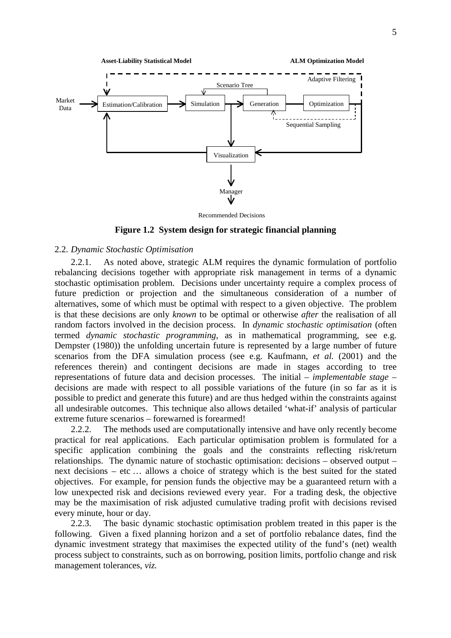

Recommended Decisions

**Figure 1.2 System design for strategic financial planning** 

# 2.2. *Dynamic Stochastic Optimisation*

2.2.1. As noted above, strategic ALM requires the dynamic formulation of portfolio rebalancing decisions together with appropriate risk management in terms of a dynamic stochastic optimisation problem. Decisions under uncertainty require a complex process of future prediction or projection and the simultaneous consideration of a number of alternatives, some of which must be optimal with respect to a given objective. The problem is that these decisions are only *known* to be optimal or otherwise *after* the realisation of all random factors involved in the decision process. In *dynamic stochastic optimisation* (often termed *dynamic stochastic programming*, as in mathematical programming, see e.g. Dempster (1980)) the unfolding uncertain future is represented by a large number of future scenarios from the DFA simulation process (see e.g. Kaufmann, *et al.* (2001) and the references therein) and contingent decisions are made in stages according to tree representations of future data and decision processes. The initial – *implementable stage* – decisions are made with respect to all possible variations of the future (in so far as it is possible to predict and generate this future) and are thus hedged within the constraints against all undesirable outcomes. This technique also allows detailed 'what-if' analysis of particular extreme future scenarios – forewarned is forearmed!

2.2.2. The methods used are computationally intensive and have only recently become practical for real applications. Each particular optimisation problem is formulated for a specific application combining the goals and the constraints reflecting risk/return relationships. The dynamic nature of stochastic optimisation: decisions – observed output – next decisions – etc … allows a choice of strategy which is the best suited for the stated objectives. For example, for pension funds the objective may be a guaranteed return with a low unexpected risk and decisions reviewed every year. For a trading desk, the objective may be the maximisation of risk adjusted cumulative trading profit with decisions revised every minute, hour or day.

2.2.3. The basic dynamic stochastic optimisation problem treated in this paper is the following. Given a fixed planning horizon and a set of portfolio rebalance dates, find the dynamic investment strategy that maximises the expected utility of the fund's (net) wealth process subject to constraints, such as on borrowing, position limits, portfolio change and risk management tolerances, *viz.*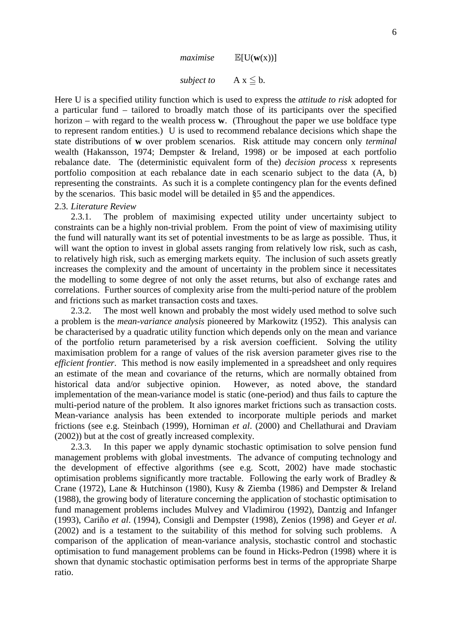

*subject to*  $A x \leq b$ .

Here U is a specified utility function which is used to express the *attitude to risk* adopted for a particular fund – tailored to broadly match those of its participants over the specified horizon – with regard to the wealth process **w**. (Throughout the paper we use boldface type to represent random entities.) U is used to recommend rebalance decisions which shape the state distributions of **w** over problem scenarios. Risk attitude may concern only *terminal* wealth (Hakansson, 1974; Dempster & Ireland, 1998) or be imposed at each portfolio rebalance date. The (deterministic equivalent form of the) *decision process* x represents portfolio composition at each rebalance date in each scenario subject to the data (A, b) representing the constraints. As such it is a complete contingency plan for the events defined by the scenarios. This basic model will be detailed in §5 and the appendices.

### 2.3. *Literature Review*

2.3.1. The problem of maximising expected utility under uncertainty subject to constraints can be a highly non-trivial problem. From the point of view of maximising utility the fund will naturally want its set of potential investments to be as large as possible. Thus, it will want the option to invest in global assets ranging from relatively low risk, such as cash, to relatively high risk, such as emerging markets equity. The inclusion of such assets greatly increases the complexity and the amount of uncertainty in the problem since it necessitates the modelling to some degree of not only the asset returns, but also of exchange rates and correlations. Further sources of complexity arise from the multi-period nature of the problem and frictions such as market transaction costs and taxes.

2.3.2. The most well known and probably the most widely used method to solve such a problem is the *mean*-*variance analysis* pioneered by Markowitz (1952). This analysis can be characterised by a quadratic utility function which depends only on the mean and variance of the portfolio return parameterised by a risk aversion coefficient. Solving the utility maximisation problem for a range of values of the risk aversion parameter gives rise to the *efficient frontier*. This method is now easily implemented in a spreadsheet and only requires an estimate of the mean and covariance of the returns, which are normally obtained from historical data and/or subjective opinion. However, as noted above, the standard implementation of the mean-variance model is static (one-period) and thus fails to capture the multi-period nature of the problem. It also ignores market frictions such as transaction costs. Mean-variance analysis has been extended to incorporate multiple periods and market frictions (see e.g. Steinbach (1999), Horniman *et al*. (2000) and Chellathurai and Draviam (2002)) but at the cost of greatly increased complexity.

2.3.3. In this paper we apply dynamic stochastic optimisation to solve pension fund management problems with global investments. The advance of computing technology and the development of effective algorithms (see e.g. Scott, 2002) have made stochastic optimisation problems significantly more tractable. Following the early work of Bradley & Crane (1972), Lane & Hutchinson (1980), Kusy & Ziemba (1986) and Dempster & Ireland (1988), the growing body of literature concerning the application of stochastic optimisation to fund management problems includes Mulvey and Vladimirou (1992), Dantzig and Infanger (1993), Cariño *et al*. (1994), Consigli and Dempster (1998), Zenios (1998) and Geyer *et al*. (2002) and is a testament to the suitability of this method for solving such problems. A comparison of the application of mean-variance analysis, stochastic control and stochastic optimisation to fund management problems can be found in Hicks-Pedron (1998) where it is shown that dynamic stochastic optimisation performs best in terms of the appropriate Sharpe ratio.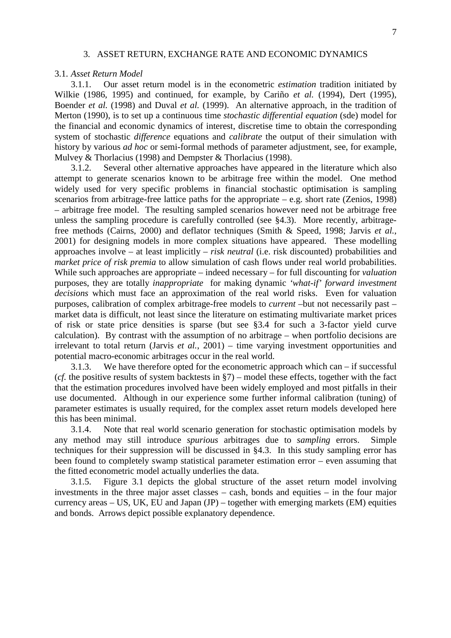# 3. ASSET RETURN, EXCHANGE RATE AND ECONOMIC DYNAMICS

#### 3.1. *Asset Return Model*

3.1.1. Our asset return model is in the econometric *estimation* tradition initiated by Wilkie (1986, 1995) and continued, for example, by Cariño *et al.* (1994), Dert (1995), Boender *et al.* (1998) and Duval *et al.* (1999). An alternative approach, in the tradition of Merton (1990), is to set up a continuous time *stochastic differential equation* (sde) model for the financial and economic dynamics of interest, discretise time to obtain the corresponding system of stochastic *difference* equations and *calibrate* the output of their simulation with history by various *ad hoc* or semi-formal methods of parameter adjustment, see, for example, Mulvey & Thorlacius (1998) and Dempster & Thorlacius (1998).

3.1.2. Several other alternative approaches have appeared in the literature which also attempt to generate scenarios known to be arbitrage free within the model. One method widely used for very specific problems in financial stochastic optimisation is sampling scenarios from arbitrage-free lattice paths for the appropriate – e.g. short rate (Zenios, 1998) – arbitrage free model. The resulting sampled scenarios however need not be arbitrage free unless the sampling procedure is carefully controlled (see §4.3). More recently, arbitragefree methods (Cairns, 2000) and deflator techniques (Smith & Speed, 1998; Jarvis *et al.*, 2001) for designing models in more complex situations have appeared. These modelling approaches involve – at least implicitly – *risk neutral* (i.e. risk discounted) probabilities and *market price of risk premia* to allow simulation of cash flows under real world probabilities. While such approaches are appropriate – indeed necessary – for full discounting for *valuation* purposes, they are totally *inappropriate* for making dynamic *'what-if' forward investment decisions* which must face an approximation of the real world risks. Even for valuation purposes, calibration of complex arbitrage-free models to *current* –but not necessarily past – market data is difficult, not least since the literature on estimating multivariate market prices of risk or state price densities is sparse (but see §3.4 for such a 3-factor yield curve calculation). By contrast with the assumption of no arbitrage – when portfolio decisions are irrelevant to total return (Jarvis *et al.*, 2001) – time varying investment opportunities and potential macro-economic arbitrages occur in the real world.

3.1.3. We have therefore opted for the econometric approach which can – if successful (*cf.* the positive results of system backtests in §7) – model these effects, together with the fact that the estimation procedures involved have been widely employed and most pitfalls in their use documented. Although in our experience some further informal calibration (tuning) of parameter estimates is usually required, for the complex asset return models developed here this has been minimal.

3.1.4. Note that real world scenario generation for stochastic optimisation models by any method may still introduce *spurious* arbitrages due to *sampling* errors. Simple techniques for their suppression will be discussed in §4.3. In this study sampling error has been found to completely swamp statistical parameter estimation error – even assuming that the fitted econometric model actually underlies the data.

3.1.5. Figure 3.1 depicts the global structure of the asset return model involving investments in the three major asset classes – cash, bonds and equities – in the four major currency areas  $-$  US, UK, EU and Japan (JP)  $-$  together with emerging markets (EM) equities and bonds. Arrows depict possible explanatory dependence.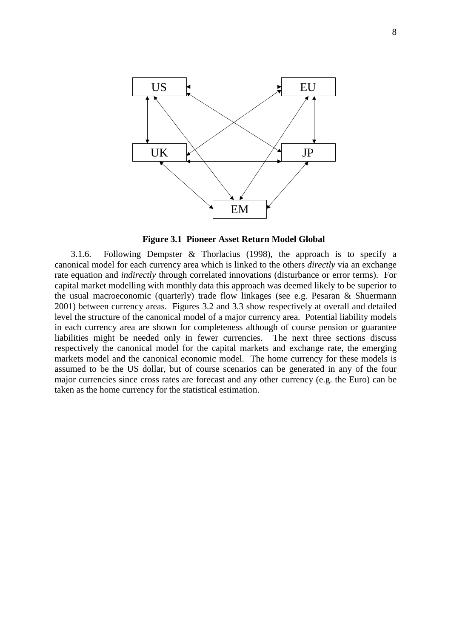

**Figure 3.1 Pioneer Asset Return Model Global**

3.1.6. Following Dempster & Thorlacius (1998), the approach is to specify a canonical model for each currency area which is linked to the others *directly* via an exchange rate equation and *indirectly* through correlated innovations (disturbance or error terms). For capital market modelling with monthly data this approach was deemed likely to be superior to the usual macroeconomic (quarterly) trade flow linkages (see e.g. Pesaran & Shuermann 2001) between currency areas. Figures 3.2 and 3.3 show respectively at overall and detailed level the structure of the canonical model of a major currency area. Potential liability models in each currency area are shown for completeness although of course pension or guarantee liabilities might be needed only in fewer currencies. The next three sections discuss respectively the canonical model for the capital markets and exchange rate, the emerging markets model and the canonical economic model. The home currency for these models is assumed to be the US dollar, but of course scenarios can be generated in any of the four major currencies since cross rates are forecast and any other currency (e.g. the Euro) can be taken as the home currency for the statistical estimation.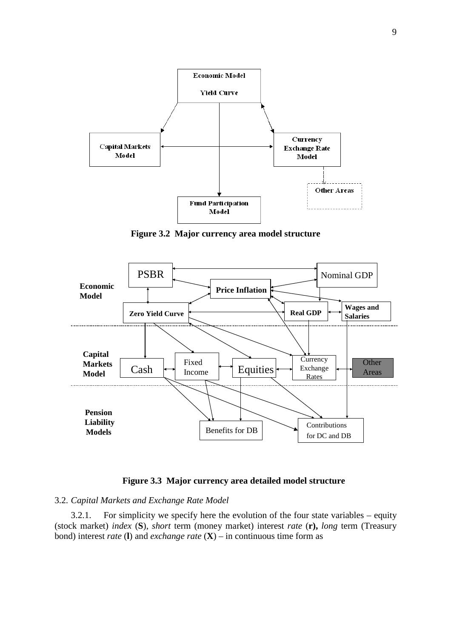

**Figure 3.2 Major currency area model structure** 



# **Figure 3.3 Major currency area detailed model structure**

### 3.2. *Capital Markets and Exchange Rate Model*

3.2.1. For simplicity we specify here the evolution of the four state variables – equity (stock market) *index* (**S**), *short* term (money market) interest *rate* (**r),** *long* term (Treasury bond) interest *rate* (**l**) and *exchange rate* (**X**) – in continuous time form as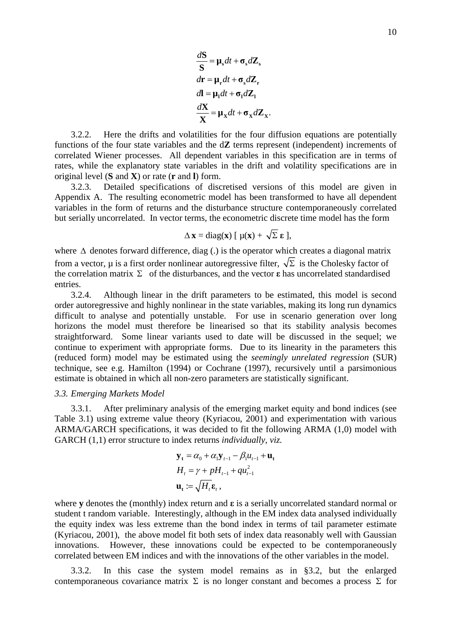$$
\frac{dS}{S} = \mu_s dt + \sigma_s dZ_s
$$
  

$$
dr = \mu_r dt + \sigma_s dZ_r
$$
  

$$
dI = \mu_1 dt + \sigma_1 dZ_1
$$
  

$$
\frac{dX}{X} = \mu_X dt + \sigma_X dZ_X
$$

.

3.2.2. Here the drifts and volatilities for the four diffusion equations are potentially functions of the four state variables and the d**Z** terms represent (independent) increments of correlated Wiener processes. All dependent variables in this specification are in terms of rates, while the explanatory state variables in the drift and volatility specifications are in original level (**S** and **X**) or rate (**r** and **l**) form.

3.2.3. Detailed specifications of discretised versions of this model are given in Appendix A. The resulting econometric model has been transformed to have all dependent variables in the form of returns and the disturbance structure contemporaneously correlated but serially uncorrelated. In vector terms, the econometric discrete time model has the form

$$
\Delta \mathbf{x} = \text{diag}(\mathbf{x}) \left[ \mu(\mathbf{x}) + \sqrt{\Sigma} \mathbf{\varepsilon} \right],
$$

where  $\Delta$  denotes forward difference, diag (.) is the operator which creates a diagonal matrix from a vector,  $\mu$  is a first order nonlinear autoregressive filter,  $\sqrt{\Sigma}$  is the Cholesky factor of the correlation matrix  $\Sigma$  of the disturbances, and the vector **ε** has uncorrelated standardised entries.

3.2.4. Although linear in the drift parameters to be estimated, this model is second order autoregressive and highly nonlinear in the state variables, making its long run dynamics difficult to analyse and potentially unstable. For use in scenario generation over long horizons the model must therefore be linearised so that its stability analysis becomes straightforward. Some linear variants used to date will be discussed in the sequel; we continue to experiment with appropriate forms. Due to its linearity in the parameters this (reduced form) model may be estimated using the *seemingly unrelated regression* (SUR) technique, see e.g. Hamilton (1994) or Cochrane (1997), recursively until a parsimonious estimate is obtained in which all non-zero parameters are statistically significant.

### *3.3. Emerging Markets Model*

3.3.1. After preliminary analysis of the emerging market equity and bond indices (see Table 3.1) using extreme value theory (Kyriacou, 2001) and experimentation with various ARMA/GARCH specifications, it was decided to fit the following ARMA (1,0) model with GARCH (1,1) error structure to index returns *individually, viz.*

$$
\mathbf{y}_{t} = \alpha_{0} + \alpha_{1} \mathbf{y}_{t-1} - \beta_{1} u_{t-1} + \mathbf{u}_{t}
$$
  
\n
$$
H_{t} = \gamma + pH_{t-1} + qu_{t-1}^{2}
$$
  
\n
$$
\mathbf{u}_{t} := \sqrt{H_{t}} \mathbf{\varepsilon}_{t},
$$

where **y** denotes the (monthly) index return and **ε** is a serially uncorrelated standard normal or student t random variable. Interestingly, although in the EM index data analysed individually the equity index was less extreme than the bond index in terms of tail parameter estimate (Kyriacou, 2001), the above model fit both sets of index data reasonably well with Gaussian innovations. However, these innovations could be expected to be contemporaneously correlated between EM indices and with the innovations of the other variables in the model.

3.3.2. In this case the system model remains as in §3.2, but the enlarged contemporaneous covariance matrix  $\Sigma$  is no longer constant and becomes a process  $\Sigma$  for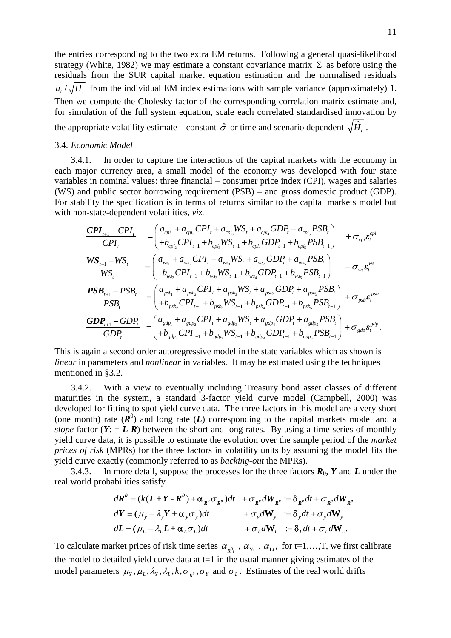the entries corresponding to the two extra EM returns. Following a general quasi-likelihood strategy (White, 1982) we may estimate a constant covariance matrix  $\Sigma$  as before using the residuals from the SUR capital market equation estimation and the normalised residuals  $u_{\ell}/\sqrt{H_{\ell}}$  from the individual EM index estimations with sample variance (approximately) 1. Then we compute the Cholesky factor of the corresponding correlation matrix estimate and, for simulation of the full system equation, scale each correlated standardised innovation by the appropriate volatility estimate – constant  $\hat{\sigma}$  or time and scenario dependent  $\sqrt{\hat{H}_{t}}$ .

# 3.4. *Economic Model*

3.4.1. In order to capture the interactions of the capital markets with the economy in each major currency area, a small model of the economy was developed with four state variables in nominal values: three financial – consumer price index (CPI), wages and salaries (WS) and public sector borrowing requirement (PSB) – and gross domestic product (GDP). For stability the specification is in terms of returns similar to the capital markets model but with non-state-dependent volatilities, *viz.*

$$
\frac{\text{CPI}_{t+1} - \text{CPI}_{t}}{\text{CPI}_{t}} = \begin{pmatrix} a_{c_{p i_{1}}} + a_{c_{p i_{2}}} \text{CPI}_{t} + a_{c_{p i_{3}}} \text{W} \text{S}_{t} + a_{c_{p i_{4}}} \text{GDP}_{t} + a_{c_{p i_{5}}} \text{PSB}_{t} \\ + b_{c_{p i_{2}}} \text{CPI}_{t-1} + b_{c_{p i_{3}}} \text{W} \text{S}_{t-1} + b_{c_{p i_{4}}} \text{GDP}_{t-1} + b_{c_{p i_{5}}} \text{PSB}_{t-1} \end{pmatrix} + \sigma_{c_{p i}} \epsilon_{t}^{c_{p i}}
$$
\n
$$
\frac{\text{WS}_{t+1} - \text{WS}_{t}}{\text{WS}_{t}} = \begin{pmatrix} a_{w s_{1}} + a_{w s_{2}} \text{CPI}_{t} + a_{w s_{3}} \text{W} \text{S}_{t} + a_{w s_{4}} \text{GDP}_{t} + a_{w s_{5}} \text{PSB}_{t} \\ + b_{w s_{2}} \text{CPI}_{t-1} + b_{w s_{3}} \text{W} \text{S}_{t-1} + b_{w s_{4}} \text{GDP}_{t-1} + b_{w s_{5}} \text{PSB}_{t-1} \end{pmatrix} + \sigma_{w s} \epsilon_{t}^{w s}
$$
\n
$$
\frac{\text{PSB}_{t+1} - \text{PSB}_{t}}{\text{PSB}_{t}} = \begin{pmatrix} a_{p s b_{1}} + a_{p s b_{2}} \text{CPI}_{t} + a_{p s b_{3}} \text{W} \text{S}_{t} + a_{p s b_{4}} \text{GDP}_{t} + a_{p s b_{5}} \text{PSB}_{t} \\ + b_{p s b_{2}} \text{CPI}_{t-1} + b_{p s b_{3}} \text{W} \text{S}_{t-1} + b_{p s b_{4}} \text{GDP}_{t-1} + b_{p s b_{5}} \text{PSB}_{t-1} \end{pmatrix} + \sigma_{p s b} \epsilon_{t}^{p s b}
$$
\n
$$
\frac{\text{GDP}_{t+1} - \text{GDP}_{t}}{\text{GDP}_{t}} = \begin{pmatrix} a_{g d p_{1}} + a_{g d p_{2}} \text{CPI}_{t} + a_{g d p_{3}} \text{W} \
$$

This is again a second order autoregressive model in the state variables which as shown is *linear* in parameters and *nonlinear* in variables*.* It may be estimated using the techniques mentioned in §3.2.

3.4.2. With a view to eventually including Treasury bond asset classes of different maturities in the system, a standard 3-factor yield curve model (Campbell, 2000) was developed for fitting to spot yield curve data. The three factors in this model are a very short (one month) rate  $(\mathbf{R}^0)$  and long rate  $(L)$  corresponding to the capital markets model and a *slope* factor  $(Y: = L-R)$  between the short and long rates. By using a time series of monthly yield curve data, it is possible to estimate the evolution over the sample period of the *market prices of risk* (MPRs) for the three factors in volatility units by assuming the model fits the yield curve exactly (commonly referred to as *backing-out* the MPRs).

3.4.3. In more detail, suppose the processes for the three factors  $\mathbf{R}_0$ ,  $\mathbf{Y}$  and  $\mathbf{Z}$  under the real world probabilities satisfy

$$
d\mathbf{R}^{\theta} = (k(\mathbf{L} + \mathbf{Y} - \mathbf{R}^{\theta}) + \alpha_{\mathbf{R}^{\theta}} \sigma_{\mathbf{R}^{\theta}})dt + \sigma_{\mathbf{R}^{\theta}} dW_{\mathbf{R}^{\theta}} := \delta_{\mathbf{R}^{\theta}} dt + \sigma_{\mathbf{R}^{\theta}} dW_{\mathbf{R}^{\theta}}
$$
  
\n
$$
d\mathbf{Y} = (\mu_{y} - \lambda_{y}\mathbf{Y} + \alpha_{y}\sigma_{y})dt + \sigma_{y}dW_{y} := \delta_{y}dt + \sigma_{y}dW_{y}
$$
  
\n
$$
d\mathbf{L} = (\mu_{L} - \lambda_{L}\mathbf{L} + \alpha_{L}\sigma_{L})dt + \sigma_{L}dW_{L} := \delta_{L}dt + \sigma_{L}dW_{L}.
$$

model parameters  $\mu_Y, \mu_L, \lambda_Y, \lambda_L, k, \sigma_{R^0}, \sigma_Y$  and  $\sigma_L$ . Estimates of the real world drifts To calculate market prices of risk time series  $\alpha_{R^0t}$ ,  $\alpha_{Yt}$ ,  $\alpha_{Lt}$ , for t=1,...,T, we first calibrate the model to detailed yield curve data at  $t=1$  in the usual manner giving estimates of the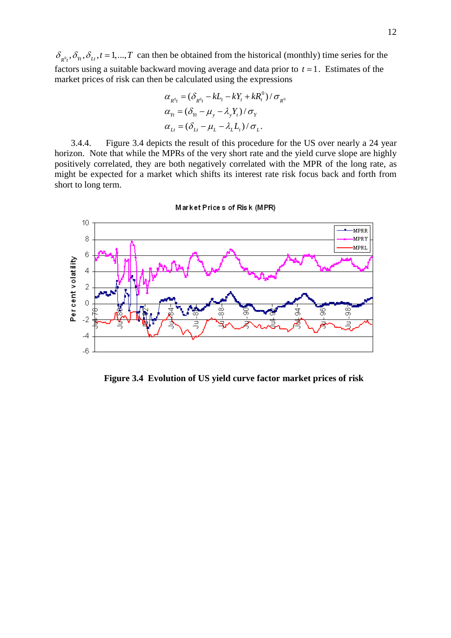$\delta_{R^0t}$ ,  $\delta_{Yt}$ ,  $\delta_{L}$ ,  $t = 1,...,T$  can then be obtained from the historical (monthly) time series for the factors using a suitable backward moving average and data prior to  $t = 1$ . Estimates of the market prices of risk can then be calculated using the expressions

$$
\alpha_{R^0t} = (\delta_{R^0t} - kL_t - kY_t + kR_t^0) / \sigma_{R^0}
$$
  
\n
$$
\alpha_{Yt} = (\delta_{Yt} - \mu_y - \lambda_y Y_t) / \sigma_Y
$$
  
\n
$$
\alpha_{Lt} = (\delta_{Lt} - \mu_L - \lambda_L L_t) / \sigma_L.
$$

3.4.4. Figure 3.4 depicts the result of this procedure for the US over nearly a 24 year horizon. Note that while the MPRs of the very short rate and the yield curve slope are highly positively correlated, they are both negatively correlated with the MPR of the long rate, as might be expected for a market which shifts its interest rate risk focus back and forth from short to long term.



**Figure 3.4 Evolution of US yield curve factor market prices of risk**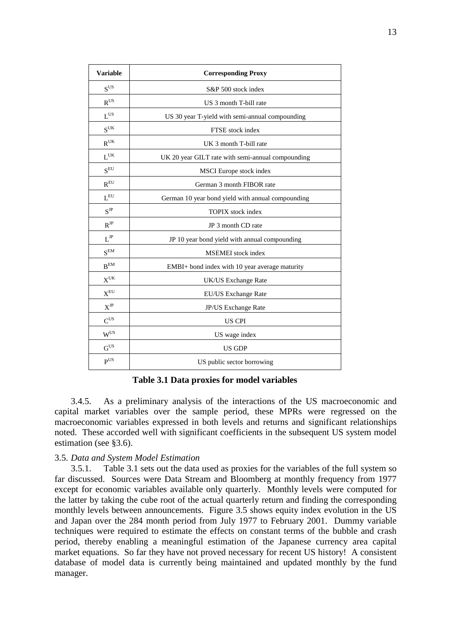| <b>Variable</b>          | <b>Corresponding Proxy</b>                        |  |  |  |  |  |
|--------------------------|---------------------------------------------------|--|--|--|--|--|
| $\mathbf{S}^{\text{US}}$ | S&P 500 stock index                               |  |  |  |  |  |
| $R^{US}$                 | US 3 month T-bill rate                            |  |  |  |  |  |
| $L^{US}$                 | US 30 year T-yield with semi-annual compounding   |  |  |  |  |  |
| $S^{\text{UK}}$          | FTSE stock index                                  |  |  |  |  |  |
| $R^{UK}$                 | UK 3 month T-bill rate                            |  |  |  |  |  |
| $L^{UK}$                 | UK 20 year GILT rate with semi-annual compounding |  |  |  |  |  |
| $S^{EU}$                 | MSCI Europe stock index                           |  |  |  |  |  |
| $R^{EU}$                 | German 3 month FIBOR rate                         |  |  |  |  |  |
| $\mathbf{L}^{\text{EU}}$ | German 10 year bond yield with annual compounding |  |  |  |  |  |
| $S^{JP}$                 | <b>TOPIX</b> stock index                          |  |  |  |  |  |
| $R^{JP}$                 | JP 3 month CD rate                                |  |  |  |  |  |
| $\mathbf{L}^{\text{JP}}$ | JP 10 year bond yield with annual compounding     |  |  |  |  |  |
| $S^{EM}$                 | MSEMEI stock index                                |  |  |  |  |  |
| $B^{EM}$                 | EMBI+ bond index with 10 year average maturity    |  |  |  |  |  |
| $X^{\text{UK}}$          | UK/US Exchange Rate                               |  |  |  |  |  |
| $\mathbf{X}^{\text{EU}}$ | EU/US Exchange Rate                               |  |  |  |  |  |
| $X^{JP}$                 | JP/US Exchange Rate                               |  |  |  |  |  |
| $C^{US}$                 | <b>US CPI</b>                                     |  |  |  |  |  |
| $W^{US}$                 | US wage index                                     |  |  |  |  |  |
| G <sup>US</sup>          | US GDP                                            |  |  |  |  |  |
| P <sup>US</sup>          | US public sector borrowing                        |  |  |  |  |  |

**Table 3.1 Data proxies for model variables** 

3.4.5. As a preliminary analysis of the interactions of the US macroeconomic and capital market variables over the sample period, these MPRs were regressed on the macroeconomic variables expressed in both levels and returns and significant relationships noted. These accorded well with significant coefficients in the subsequent US system model estimation (see §3.6).

# 3.5. *Data and System Model Estimation*

3.5.1. Table 3.1 sets out the data used as proxies for the variables of the full system so far discussed. Sources were Data Stream and Bloomberg at monthly frequency from 1977 except for economic variables available only quarterly. Monthly levels were computed for the latter by taking the cube root of the actual quarterly return and finding the corresponding monthly levels between announcements. Figure 3.5 shows equity index evolution in the US and Japan over the 284 month period from July 1977 to February 2001. Dummy variable techniques were required to estimate the effects on constant terms of the bubble and crash period, thereby enabling a meaningful estimation of the Japanese currency area capital market equations. So far they have not proved necessary for recent US history! A consistent database of model data is currently being maintained and updated monthly by the fund manager.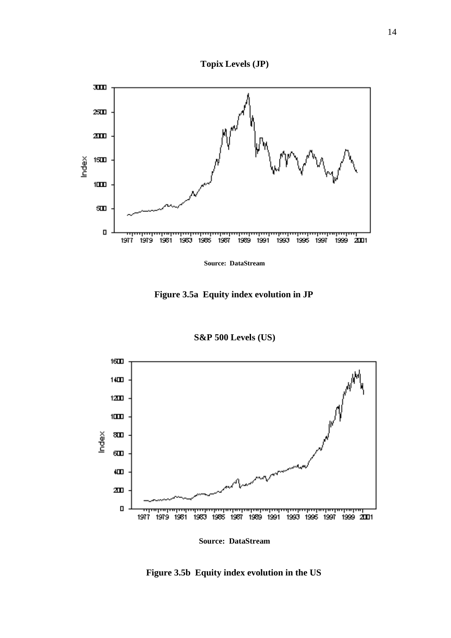



**Source: DataStream**

**Figure 3.5a Equity index evolution in JP** 

**S&P 500 Levels (US)**



**Figure 3.5b Equity index evolution in the US**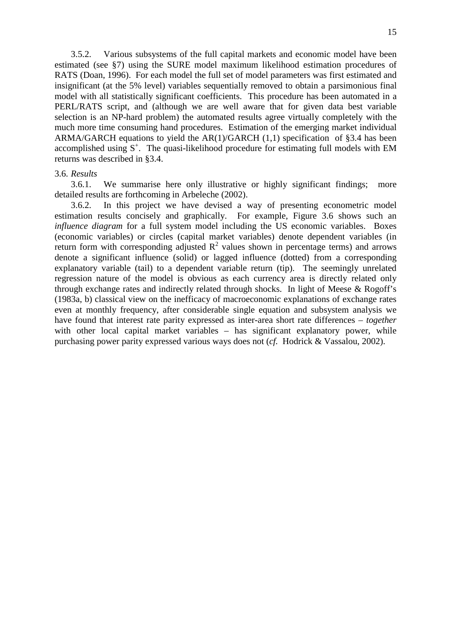3.5.2. Various subsystems of the full capital markets and economic model have been estimated (see §7) using the SURE model maximum likelihood estimation procedures of RATS (Doan, 1996). For each model the full set of model parameters was first estimated and insignificant (at the 5% level) variables sequentially removed to obtain a parsimonious final model with all statistically significant coefficients. This procedure has been automated in a PERL/RATS script, and (although we are well aware that for given data best variable selection is an NP-hard problem) the automated results agree virtually completely with the much more time consuming hand procedures. Estimation of the emerging market individual ARMA/GARCH equations to yield the AR(1)/GARCH (1,1) specification of §3.4 has been accomplished using  $S^+$ . The quasi-likelihood procedure for estimating full models with EM returns was described in §3.4.

### 3.6. *Results*

3.6.1. We summarise here only illustrative or highly significant findings; more detailed results are forthcoming in Arbeleche (2002).

3.6.2. In this project we have devised a way of presenting econometric model estimation results concisely and graphically. For example, Figure 3.6 shows such an *influence diagram* for a full system model including the US economic variables. Boxes (economic variables) or circles (capital market variables) denote dependent variables (in return form with corresponding adjusted  $\mathbb{R}^2$  values shown in percentage terms) and arrows denote a significant influence (solid) or lagged influence (dotted) from a corresponding explanatory variable (tail) to a dependent variable return (tip). The seemingly unrelated regression nature of the model is obvious as each currency area is directly related only through exchange rates and indirectly related through shocks. In light of Meese & Rogoff's (1983a, b) classical view on the inefficacy of macroeconomic explanations of exchange rates even at monthly frequency, after considerable single equation and subsystem analysis we have found that interest rate parity expressed as inter-area short rate differences – *together* with other local capital market variables – has significant explanatory power, while purchasing power parity expressed various ways does not (*cf.* Hodrick & Vassalou, 2002).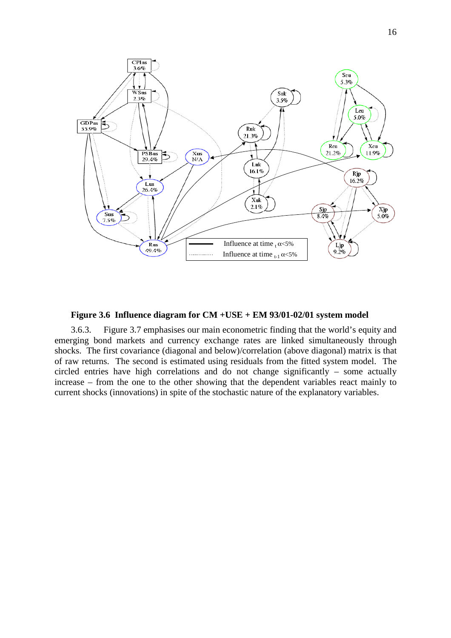

**Figure 3.6 Influence diagram for CM +USE + EM 93/01-02/01 system model**

3.6.3. Figure 3.7 emphasises our main econometric finding that the world's equity and emerging bond markets and currency exchange rates are linked simultaneously through shocks. The first covariance (diagonal and below)/correlation (above diagonal) matrix is that of raw returns. The second is estimated using residuals from the fitted system model. The circled entries have high correlations and do not change significantly – some actually increase – from the one to the other showing that the dependent variables react mainly to current shocks (innovations) in spite of the stochastic nature of the explanatory variables.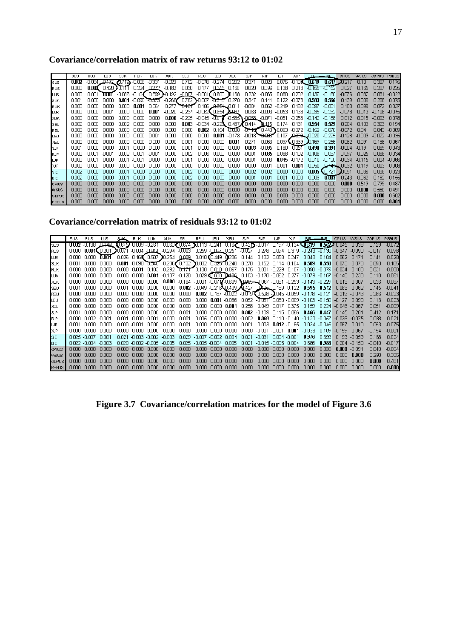**Covariance/correlation matrix of raw returns 93:12 to 01:02** 

|              | SUS   | <b>RUS</b> | шs     | <b>SUK</b> | <b>RUK</b>    | ШК     | XIIK                                                                                              | SEU      | REU                                             | LEU                        | XEU             | <b>SJP</b>                                   | <b>RJP</b>                               | ШP               | <b>XJP</b>  | SIE                     | $F = 1$  | <b>CPIUS</b>     | <b>WSUS</b> | <b>GDPUS</b> | <b>PSBUS</b> |
|--------------|-------|------------|--------|------------|---------------|--------|---------------------------------------------------------------------------------------------------|----------|-------------------------------------------------|----------------------------|-----------------|----------------------------------------------|------------------------------------------|------------------|-------------|-------------------------|----------|------------------|-------------|--------------|--------------|
| sus          | 0.002 | -n nea     | ، 117  |            | -0.008 -0.331 |        | -0.023                                                                                            | 0.702    | -0.078                                          | -0.274                     | -0.202          | 0.371                                        | 0.023                                    |                  |             | $0.075 - 0.10$ s, 0.619 |          | $0.617 - 20.217$ | 0.101       | 0.317        | 0.175        |
| RUS          | 0.000 | 0.007      | 0.420  |            | 0.224 0.222   |        | $-0.182$                                                                                          | 0.030    | 0.177                                           | 0.345 0.180                |                 | 0.020                                        | 0.096                                    |                  | 0.138 0.218 | $-0.156$                | -U 152   | 0.027            | 0.165       | 0.207        | 0.225        |
| lLUS.        | റന    | 0.001      | TOJO 1 |            |               |        | $-0.086$ $-0.10$ $($ 0.599 belt192                                                                | -0.007   | $-0.001$ ( $0.600$                              |                            | 1.168           | 0.232                                        | $-0.066$                                 | 0.080            | 0.202       | 0.137                   | -0.180   | -0.076           | 0.037       | 0.031        | $-0.022$     |
| <b>SUK</b>   | NO01  | nm.        | ഥാന    |            |               |        | $0.001 - 0.090$ $\overline{0.375}$ $-0.258$ $0.762$ $\overline{0.007}$ $\overline{0.310}$ $0.270$ |          |                                                 |                            |                 | 0.347                                        | 0.141                                    | 0.122            | -0073       | 0.583                   | 0.566    | 0.139            | 0.006       | 0.208        | 0075         |
| <b>RUK</b>   | nnm   | nm.        | 0.000  | 0.000      | 0.001         | 0.064  | 0.277                                                                                             |          | 1 <del>0.13</del> 0.186 0.0 <del>21</del> 0.011 |                            |                 | $-0.004$                                     | 0.062                                    | $-0.219$         | 0.182       | $-0.097$                | $-0.001$ | 0.103            | 0.099       | 0.072        | 0.037        |
| LUK          | nnm   | nm.        | 0.001  | 0.000      | 0.000         | 0.001  | -0.020                                                                                            | $-0.234$ | -0.062【 0.654 】0.034                            |                            |                 | 0.063                                        | $-0.093$                                 | $-0.053$         | 0.163       | $-0.036$                | $-0.232$ | $-0.078$         | 0.013       | $-0.108$     | $-0.045$     |
| <b>XUK</b>   | nnm   | nm.        | 0.000  | 0000       | 0.000         | 0.000  | 0.000                                                                                             | $-0.225$ |                                                 |                            |                 | $-0.045$ $-0.007$ $-0.585$ $-0.058$ $-0.071$ |                                          | $-0.051 - 0.256$ |             | $-0.142$                | $-0.188$ | 0.012            | 0.015       | $-0.003$     | 0.078        |
| ls∈∪         | nnm   | n mn       | nnm    | nm2        | nm.           | റന     | റന്ന                                                                                              | ana a    | $-0.034$                                        | $-0.223$ , 0.437 $\lambda$ |                 | 0.414                                        | 1115                                     | 0.174            | 0.131       | 0.554                   | 0.529    | 0.204            | 0.103       | 0.323        | 0.194        |
| REU          | nnm   | n mn       | nnm    | nmn        | .nm           | 0.000  | 0.000                                                                                             | 0.000    | 0.002                                           | $0.154$ $J_{J}J_{J}B_{B}$  |                 | - <del>11110</del>                           | 0.443 0.083                              |                  | $-0.072$    | $-0.152$                | $-0.070$ | $-0.072$         | 0.041       | 0.043        | $-0.069$     |
| LEU          | nnm   | nm         | nnm    | nmn        | 0.000         | 0.001  | 0.000                                                                                             | 0.000    | 0.000                                           |                            | $0.001 - 0.178$ |                                              | $-0.018$ $0.028$ $0.107$ $0.009$ $0.020$ |                  |             |                         | $-0.225$ | $-0.128$         | $-0.009$    | -0.022       | -0035        |
| XEU          | nnm   | nm         | nnm    | nmr        | nm.           | nm.    | 0.000                                                                                             | 0.001    | 0.000                                           | 0.000                      | 0.001           | 0.271                                        | 0.063                                    | nn97 <b>C</b>    | .0369       | $I\!\!D$ .169           | 0.256    | 0.082            | 0.091       | n 138.       | 0.067        |
| <b>SJP</b>   | nnm   | n mn       | nnm    | nm         | n mn          | nmm    | റന്ന                                                                                              | 0.001    | 0.OOO                                           | nnm.                       | 0.000           | 0.003                                        | $-0.095$                                 | 0.180            | 0051        | 0.490                   | 0.391    | $-0.004$         | $-0.191$    | 0.069        | 0.043        |
| <b>RJP</b>   | nnm   | n mi       | מחח-   | nm2        | .n m1         | -0.001 | n ma                                                                                              | nnm      | 0.OO R                                          | nnm.                       | n mn            | וחח ח-                                       | 0.085                                    | nnee.            | כחו ה-      | $-0.108$                | 0.037    | 0.097            | 0025        | 0.068        | $-0.034$     |
| LJP          | nnm   | n m1       | nnm    | nm         | .nm           | nnm    | nm                                                                                                | NUU U    | nm                                              | nmn                        | n mr            | nnn1                                         | nma                                      | 0.015            | -0172       | nn1n                    | -n 120   | $-0.034$         | $-0.115$    | n m4         | -0066        |
| XJP          | nnm   | n mn       | nnm    | nmn        | n mn          | nm.    | 0.000                                                                                             | nnm      | 0.000                                           | 0.000                      | 0.000           | 0.000                                        | $-0.001$                                 | $-0.001$         | 0.001       | $-0.050$                |          | 0.444 0.032      | 0.119       | $-0.003$     | 0.008        |
| SIE          | nnm   | nm         | nnm    | nm         | n mn          | nm.    | ഠന്മ                                                                                              | nnm      | മന്മ                                            | nnm.                       | 0000            | 0.002                                        | $-0.002$                                 | 0.000            | 0000        | 0.005                   | 0.721    | E051             | -0086       | n ma         | $-0.023$     |
| <b>BIE</b>   | nnm   | n m        | nnm    | nm         | n mn          | .nm    | റന്ന                                                                                              | nnm      | റന്ന                                            | nnm                        | nmn             | nnn1                                         | 0.001                                    | -nnm             | 0.MO        | 0.003                   | 0.003    | 0.243            | 0.062       | 0.182        | 0.155        |
| <b>CPIUS</b> | nnm   |            | nnm    | nmn        | nm            | nm     | nmn                                                                                               | nnm      | 0.000                                           | nnm                        | n mn            | nnm                                          | nm                                       | nnm              | nmn         | 0.000                   | 0.000    | 0.000            | 0.519       | 0.799        | 0487         |
| <b>WSUS</b>  | nnm   | nm         | nnm    | nmn        | nm            | nm     | 0.000                                                                                             | 0.000    | 0.000                                           | nnm                        | nmn             | 0.000                                        | 0.000                                    | nnm              | nmn         | 0.000                   | 0.000    | n mn             | 0.000       | 0.560        | 0.491        |
| GDPUS        | 0.000 | 0.000      | 0.000  | 0.000      | 0.000         | 0.000  | 0.000                                                                                             | 0.000    | 0.000                                           | 0.000                      | 0.000           | 0.000                                        | 0.000                                    | 0.000            | 0.000       | 0.000                   | 0.000    | 0.000            | 0.000       | 0.000        | 0.682        |
| PSBUS        | 0.000 | 0.000      | 0.000  | nmn        | nm.           | nnm    | മന്മ                                                                                              | 0.000    | 0.000                                           | nmn.                       | 0.000           | 0.000                                        | 0.000                                    | 0.000            | 0.000       | 0.000                   | മന       | 0.000            | 0.000       | 0.000        | 0.001        |

**Covariance/correlation matrix of residuals 93:12 to 01:02** 

|                    | SUS   | <b>RUS</b>      | <b>LUS</b>          | <b>SUK</b>          | <b>RUK</b>      | ШK     | <b>XUK</b>                                                                    | SEU    | REU                                                                            | LEU           | <b>XEU</b>              | <b>SJP</b>                         | <b>RJP</b>                 | LР                | <b>XJP</b>      | SIE.                     | ᆧ        | <b>CPIUS</b> | WSLIS.   | GDPLIS. | PSBLIS.  |
|--------------------|-------|-----------------|---------------------|---------------------|-----------------|--------|-------------------------------------------------------------------------------|--------|--------------------------------------------------------------------------------|---------------|-------------------------|------------------------------------|----------------------------|-------------------|-----------------|--------------------------|----------|--------------|----------|---------|----------|
| <b>SUS</b>         |       | 0.002 0.138     | -0.148              | 10.6751.0009 -0.261 |                 |        |                                                                               |        | $0.060$ $CD.674$ $D.113 - 0.241$                                               |               |                         | $0.167$ $0.42$ $D - 0.017$         |                            |                   | 0.197 -0.134    | <b>MA39 0.5622 0.045</b> |          |              |          |         | -0072    |
| <b>RUS</b>         |       |                 | 0.000 0.001(0.201 . |                     |                 |        | 0.071 -0.004 -0.014 -0.294 -0.003 0.259 -0.007 0.251 -0.027 0.278 0.094 0.319 |        |                                                                                |               |                         |                                    |                            |                   |                 | $-0.243 - 0.130 - 0.347$ |          |              | -0090    | 10 ה-   | 0.098    |
| <b>LUS</b>         |       | ദേഹാദ ദേഹാദ     | 0.001               |                     |                 |        | $-0.026 - 0.169$ 0.507 0.254 $-0.009 - 0.010$ 0.449 0.206                     |        |                                                                                |               |                         | 0.144                              | $-0.132 - 0.058$           |                   | 0.247           | 0.048 -0.104             |          | -0.062       |          | N 141   | $-0.028$ |
| <b>SUK</b>         | nm1   | nmn             | n nnn               |                     |                 |        | $0.001 - 0.098$ $0.340 - 0.236$ (0.732 0.002 $0.325 - 0.248$ )                |        |                                                                                |               |                         | 0.278                              |                            | 0.152 0.114 0.104 |                 | n 589                    | n. 550   | በመ3          | -0.073   | n nan   | $-0.105$ |
| <b>RUK</b>         | nmn.  | . വസ            | n nnn               | nmn.                | $0.001$ $0.103$ |        | 0.292 1.17 0.138 0.018 0.067                                                  |        |                                                                                |               |                         | 0.175                              | 0.031 -0.229               |                   | 0.187           | -0.098                   | -0.079   | -0.034       | በ 1በበ    | 0.031   | $-0.088$ |
| <b>LUK</b>         | nmn   | nmn             | n nnn               | nmn.                | 0.000           | 0.001  | $-0.107 - 0.120 - 0.029$ (0.608 D496, 0.103                                   |        |                                                                                |               |                         |                                    | $-0.170 - 0.062$           |                   | 0.277           | $-0.079$                 | -0.167   | -0.140       | በ 233    | 0.110   | 0.061    |
| IЖK                | nmn.  | ഥാന             | n nnn               |                     | ոռո ոռո         | nmn.   |                                                                               |        | $0.000$ $-0.184$ $-0.001$ $-0.071$ $-0.609$ $0.085$ $-0.067$ $-0.061$ $-0.253$ |               |                         |                                    |                            |                   |                 | $-0.143$                 | -0.229   | 0013         | 0.307    | N UGR   | 0.087    |
| <b>SEU</b>         | nm1   | .nm             | n nnn               | 0.001               | .nmn            | nnnn.  | 0.000                                                                         |        | 0.002 $-0.049 - 0.216$ 0.409 $\sqrt{0.427}$ 0.495 0.189 0.122                  |               |                         |                                    |                            |                   |                 | 0.595                    | 0.512    | 0.063        | 0.062    | n 145   | $-0.041$ |
| lr∈∪               | n mn  | .nmn            | n nnn               | n mn                | n mr            | n mn   | 0.000                                                                         | 0.000  |                                                                                |               | $0.002$ $0.187 - 0.022$ | $-0.019$ (0.528 $-0.045 - 0.059$ ) |                            |                   |                 | $-0.178$                 | $-0.121$ | $-0.219$     | $-0.043$ | 0.286   | -0.023   |
| lı Fili            | חרחר  | n mn            | ההה ה               | n mn                | .nooc           | nnnn   | n nm                                                                          | n nm   | n mn                                                                           |               | 0.001 - 0.086           | 0.052                              | - <b>FITRE</b> FORD - DODS |                   |                 | $-0.103$                 | -0150    | -רו 127      | in nar   | 0.113   | 0.023    |
| XEU                | n mn  | .nmn            | n nnr               | n mn                | .nooc           | nnnn   | n nnn                                                                         | n nm   | n mr                                                                           | 0.000 0.001   |                         | 0.258                              | 0.049                      | በ በ17             | 0375            | n 159                    | 0.224    | $-0.046$     | -0.067   | 0.051   | -0.009   |
| ls⊮                | ۱m    | n mr            | n nnr               | n mr                |                 |        | n nm                                                                          | מח ח   | n mr                                                                           | nnnn          | n nnr                   | n nm                               | -0.189                     | n 115             | 0.066           | 0.466                    | N 447    | D 145        | ״חל ח    | N 412   | f171     |
| <b>RJP</b>         | n mr  | .nm2            | -n nnr              | nm                  | n mr            | -0011  | n nm                                                                          | n nni  | n m5                                                                           |               | .noon noon              | לחח ח-                             | 0.069                      |                   | በ 11በ - በ 14በ   | -0.120                   | -0057    | -N UGR       | -0075    | 0.088   | 0.021    |
| LJP                | 0 M 1 | n mn            | n nnr               | nmn                 | -0.001          | n nnr  | n nm                                                                          | n nn 1 | n mr                                                                           | nnnn nnnn     |                         | n nn 1                             | n ma                       |                   | $0.012 - 0.165$ | n naz                    | -0.045   | D.067        | N N 1 N  | 0.053   | $-0.075$ |
| IXJP.              | n mn  | n mn            | n nnr               | n mn                | .nor            | n mn   |                                                                               | nnm    | n me                                                                           | nmn.          | nnnn                    | n nm                               | יחם ה-                     | -001              | 0.M1            | -0.038                   | n 109    | -0.159       | 0.067    | -N 154  | וחח ח-   |
| ISE.               | n m5  | -nmz            | in nn 1             | በ በ21               | un ma           | um m   | an nm                                                                         | nnoa   | -nmz                                                                           | -nm2          | . O OO 4                | .nn21                              | -0.031                     | n ma              | -nnn1           | N.976                    | N 699    | .n 199       | -0.059   | 0.168   | 0.024    |
| <b>I</b> BE        |       | በበ22 -በጠ4       | -n nn3              | n mn                |                 | -n nns | -n nns                                                                        | 0.M5   | -0.005 -0.004                                                                  |               | n nos                   | מח ח                               | -0.015                     | -nms.             | n nn a          |                          | 0.988    | 0.204        | -0.150   | ח4ח ה-  | $-0.017$ |
| <b>CPIUS</b>       | n mn  | n mn            | n nnr               | nmn                 |                 |        | nnm                                                                           | nnm    | nmn                                                                            |               | n nnr                   | nnm                                | n mn                       |                   |                 |                          | n mr     |              | -0.091   | N N 8   | -0.064   |
| MSUS               | n mn  | n mr            | n nnn               | nmn                 |                 | nnnn   | n nnn                                                                         | nnm    | nmn                                                                            | <b>TITULI</b> | nnnn                    | nnm                                | nmn                        | n n n             | חחונו           | nnm                      | nnm      | nmr          | n nnr    | በ 293   | 0.305    |
| GDPUS <sub>1</sub> | nmn   | nm <sub>m</sub> | n nnn               | nmn                 | n mr            | nnn    | nnm                                                                           | nnm    | nmn                                                                            | nnn           | n nnr                   | nnm                                | n mn                       | .                 |                 |                          | n mr     |              | n nnr    | n nm    | 0.481    |
| <b>PSBUS</b>       | n mn  |                 | n nnn               | n mn                |                 |        |                                                                               | nnm    |                                                                                |               |                         |                                    |                            |                   |                 |                          |          |              |          | nmn     | 0.000    |

**Figure 3.7 Covariance/correlation matrices for the model of Figure 3.6**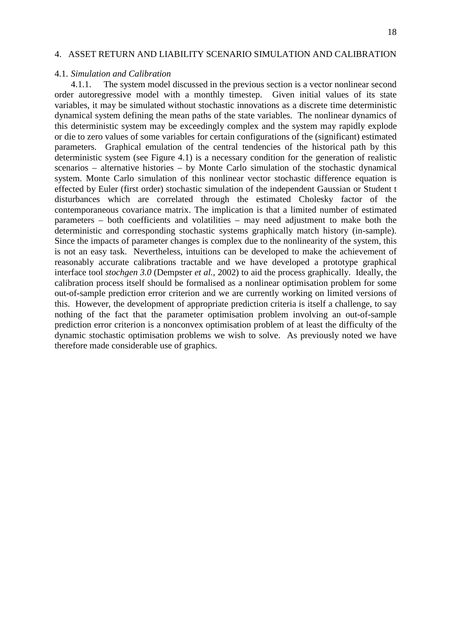# 4. ASSET RETURN AND LIABILITY SCENARIO SIMULATION AND CALIBRATION

### 4.1. *Simulation and Calibration*

4.1.1. The system model discussed in the previous section is a vector nonlinear second order autoregressive model with a monthly timestep. Given initial values of its state variables, it may be simulated without stochastic innovations as a discrete time deterministic dynamical system defining the mean paths of the state variables. The nonlinear dynamics of this deterministic system may be exceedingly complex and the system may rapidly explode or die to zero values of some variables for certain configurations of the (significant) estimated parameters. Graphical emulation of the central tendencies of the historical path by this deterministic system (see Figure 4.1) is a necessary condition for the generation of realistic scenarios – alternative histories – by Monte Carlo simulation of the stochastic dynamical system. Monte Carlo simulation of this nonlinear vector stochastic difference equation is effected by Euler (first order) stochastic simulation of the independent Gaussian or Student t disturbances which are correlated through the estimated Cholesky factor of the contemporaneous covariance matrix. The implication is that a limited number of estimated parameters – both coefficients and volatilities – may need adjustment to make both the deterministic and corresponding stochastic systems graphically match history (in-sample). Since the impacts of parameter changes is complex due to the nonlinearity of the system, this is not an easy task. Nevertheless, intuitions can be developed to make the achievement of reasonably accurate calibrations tractable and we have developed a prototype graphical interface tool *stochgen 3.0* (Dempster *et al.*, 2002) to aid the process graphically. Ideally, the calibration process itself should be formalised as a nonlinear optimisation problem for some out-of-sample prediction error criterion and we are currently working on limited versions of this. However, the development of appropriate prediction criteria is itself a challenge, to say nothing of the fact that the parameter optimisation problem involving an out-of-sample prediction error criterion is a nonconvex optimisation problem of at least the difficulty of the dynamic stochastic optimisation problems we wish to solve. As previously noted we have therefore made considerable use of graphics.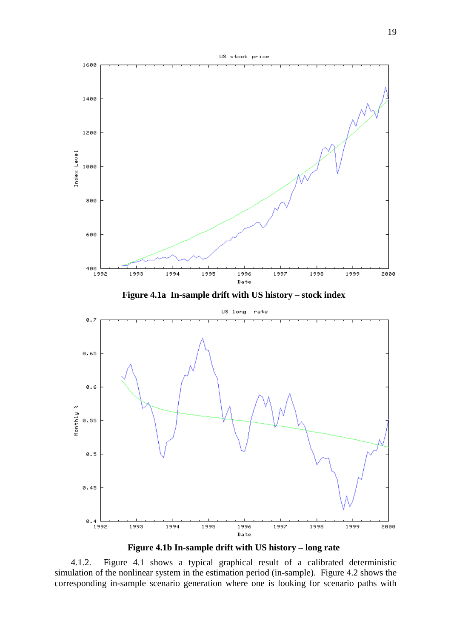

**Figure 4.1b In-sample drift with US history – long rate**

4.1.2. Figure 4.1 shows a typical graphical result of a calibrated deterministic simulation of the nonlinear system in the estimation period (in-sample). Figure 4.2 shows the corresponding in-sample scenario generation where one is looking for scenario paths with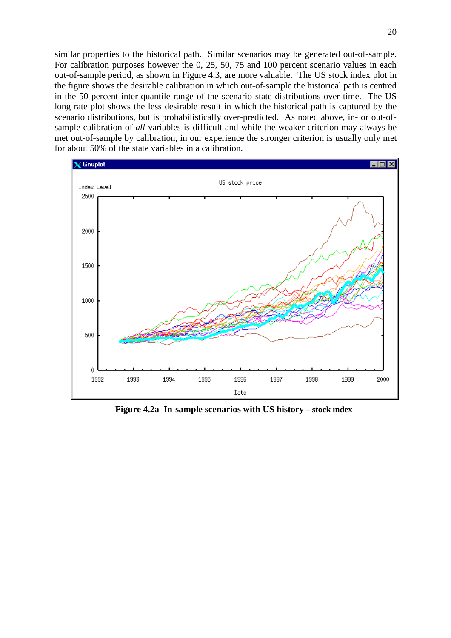similar properties to the historical path. Similar scenarios may be generated out-of-sample. For calibration purposes however the 0, 25, 50, 75 and 100 percent scenario values in each out-of-sample period, as shown in Figure 4.3, are more valuable. The US stock index plot in the figure shows the desirable calibration in which out-of-sample the historical path is centred in the 50 percent inter-quantile range of the scenario state distributions over time. The US long rate plot shows the less desirable result in which the historical path is captured by the scenario distributions, but is probabilistically over-predicted. As noted above, in- or out-ofsample calibration of *all* variables is difficult and while the weaker criterion may always be met out-of-sample by calibration, in our experience the stronger criterion is usually only met for about 50% of the state variables in a calibration.



**Figure 4.2a In-sample scenarios with US history – stock index**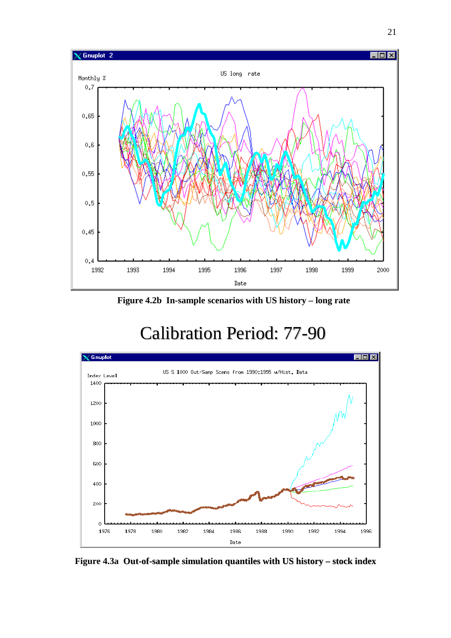

**Figure 4.2b In-sample scenarios with US history – long rate**

# Calibration Period: 77-90



**Figure 4.3a Out-of-sample simulation quantiles with US history – stock index**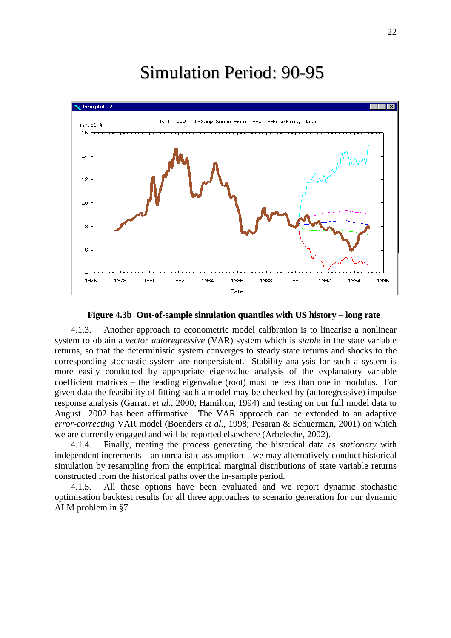# Simulation Period: 90-95



**Figure 4.3b Out-of-sample simulation quantiles with US history – long rate**

4.1.3. Another approach to econometric model calibration is to linearise a nonlinear system to obtain a *vector autoregressive* (VAR) system which is *stable* in the state variable returns, so that the deterministic system converges to steady state returns and shocks to the corresponding stochastic system are nonpersistent. Stability analysis for such a system is more easily conducted by appropriate eigenvalue analysis of the explanatory variable coefficient matrices – the leading eigenvalue (root) must be less than one in modulus. For given data the feasibility of fitting such a model may be checked by (autoregressive) impulse response analysis (Garratt *et al.*, 2000; Hamilton, 1994) and testing on our full model data to August 2002 has been affirmative. The VAR approach can be extended to an adaptive *error-correcting* VAR model (Boenders *et al.,* 1998; Pesaran & Schuerman, 2001) on which we are currently engaged and will be reported elsewhere (Arbeleche, 2002).

4.1.4. Finally, treating the process generating the historical data as *stationary* with independent increments – an unrealistic assumption – we may alternatively conduct historical simulation by resampling from the empirical marginal distributions of state variable returns constructed from the historical paths over the in-sample period.

4.1.5. All these options have been evaluated and we report dynamic stochastic optimisation backtest results for all three approaches to scenario generation for our dynamic ALM problem in §7.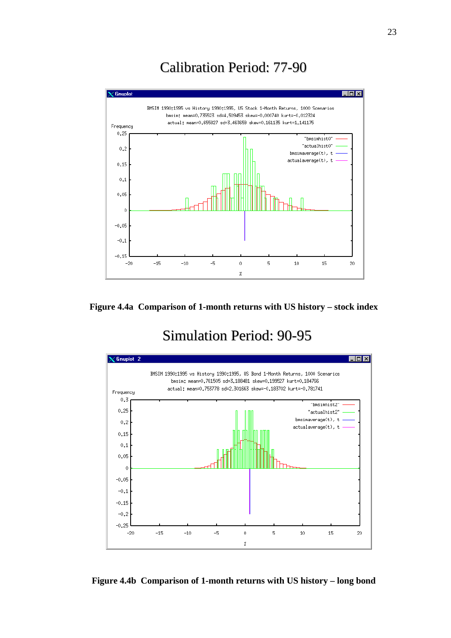# Calibration Period: 77-90





# Simulation Period: 90-95



**Figure 4.4b Comparison of 1-month returns with US history – long bond**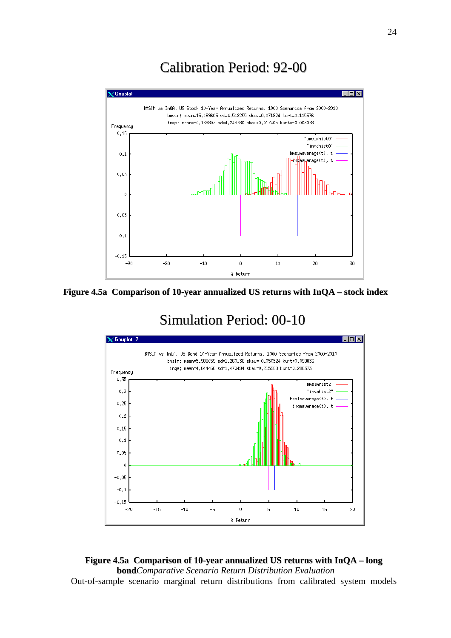# Calibration Period: 92-00





# Simulation Period: 00-10



# **Figure 4.5a Comparison of 10-year annualized US returns with InQA – long bond***Comparative Scenario Return Distribution Evaluation* Out-of-sample scenario marginal return distributions from calibrated system models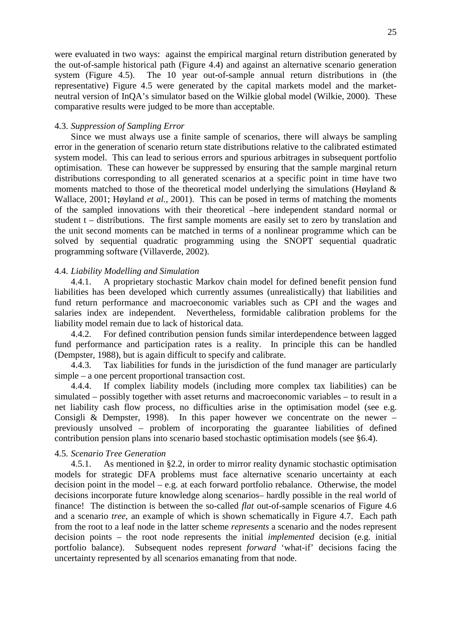were evaluated in two ways: against the empirical marginal return distribution generated by the out-of-sample historical path (Figure 4.4) and against an alternative scenario generation system (Figure 4.5). The 10 year out-of-sample annual return distributions in (the representative) Figure 4.5 were generated by the capital markets model and the marketneutral version of InQA's simulator based on the Wilkie global model (Wilkie, 2000). These comparative results were judged to be more than acceptable.

### 4.3. *Suppression of Sampling Error*

Since we must always use a finite sample of scenarios, there will always be sampling error in the generation of scenario return state distributions relative to the calibrated estimated system model. This can lead to serious errors and spurious arbitrages in subsequent portfolio optimisation. These can however be suppressed by ensuring that the sample marginal return distributions corresponding to all generated scenarios at a specific point in time have two moments matched to those of the theoretical model underlying the simulations (Høyland  $\&$ Wallace, 2001; Høyland *et al.,* 2001). This can be posed in terms of matching the moments of the sampled innovations with their theoretical –here independent standard normal or student t – distributions. The first sample moments are easily set to zero by translation and the unit second moments can be matched in terms of a nonlinear programme which can be solved by sequential quadratic programming using the SNOPT sequential quadratic programming software (Villaverde, 2002).

### 4.4. *Liability Modelling and Simulation*

4.4.1. A proprietary stochastic Markov chain model for defined benefit pension fund liabilities has been developed which currently assumes (unrealistically) that liabilities and fund return performance and macroeconomic variables such as CPI and the wages and salaries index are independent. Nevertheless, formidable calibration problems for the liability model remain due to lack of historical data.

4.4.2. For defined contribution pension funds similar interdependence between lagged fund performance and participation rates is a reality. In principle this can be handled (Dempster, 1988), but is again difficult to specify and calibrate.

4.4.3. Tax liabilities for funds in the jurisdiction of the fund manager are particularly simple – a one percent proportional transaction cost.

4.4.4. If complex liability models (including more complex tax liabilities) can be simulated – possibly together with asset returns and macroeconomic variables – to result in a net liability cash flow process, no difficulties arise in the optimisation model (see e.g. Consigli & Dempster, 1998). In this paper however we concentrate on the newer – previously unsolved – problem of incorporating the guarantee liabilities of defined contribution pension plans into scenario based stochastic optimisation models (see §6.4).

### 4.5. *Scenario Tree Generation*

4.5.1. As mentioned in §2.2, in order to mirror reality dynamic stochastic optimisation models for strategic DFA problems must face alternative scenario uncertainty at each decision point in the model – e.g. at each forward portfolio rebalance. Otherwise, the model decisions incorporate future knowledge along scenarios– hardly possible in the real world of finance! The distinction is between the so-called *flat* out-of-sample scenarios of Figure 4.6 and a scenario *tree,* an example of which is shown schematically in Figure 4.7. Each path from the root to a leaf node in the latter scheme *represents* a scenario and the nodes represent decision points – the root node represents the initial *implemented* decision (e.g. initial portfolio balance). Subsequent nodes represent *forward* 'what-if' decisions facing the uncertainty represented by all scenarios emanating from that node.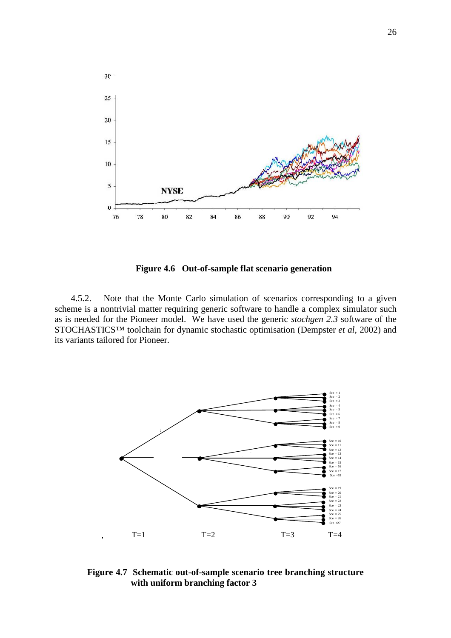

**Figure 4.6 Out-of-sample flat scenario generation** 

4.5.2. Note that the Monte Carlo simulation of scenarios corresponding to a given scheme is a nontrivial matter requiring generic software to handle a complex simulator such as is needed for the Pioneer model. We have used the generic *stochgen 2.3* software of the STOCHASTICS™ toolchain for dynamic stochastic optimisation (Dempster *et al*, 2002) and its variants tailored for Pioneer.



**Figure 4.7 Schematic out-of-sample scenario tree branching structure with uniform branching factor 3**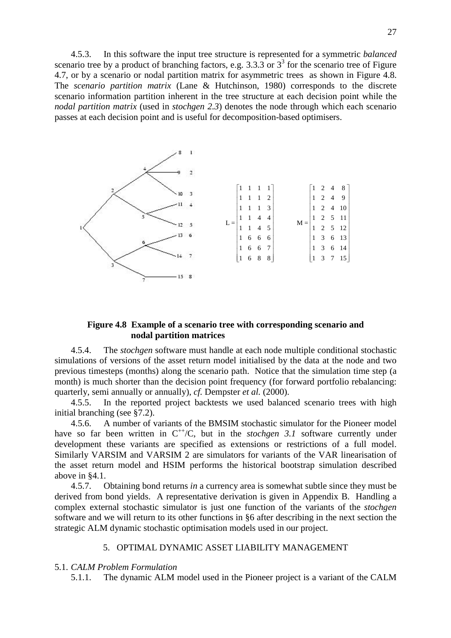4.5.3. In this software the input tree structure is represented for a symmetric *balanced* scenario tree by a product of branching factors, e.g.  $3.3.3$  or  $3<sup>3</sup>$  for the scenario tree of Figure 4.7, or by a scenario or nodal partition matrix for asymmetric trees as shown in Figure 4.8. The *scenario partition matrix* (Lane & Hutchinson, 1980) corresponds to the discrete scenario information partition inherent in the tree structure at each decision point while the *nodal partition matrix* (used in *stochgen 2.3*) denotes the node through which each scenario passes at each decision point and is useful for decomposition-based optimisers.



# **Figure 4.8 Example of a scenario tree with corresponding scenario and nodal partition matrices**

4.5.4. The *stochgen* software must handle at each node multiple conditional stochastic simulations of versions of the asset return model initialised by the data at the node and two previous timesteps (months) along the scenario path. Notice that the simulation time step (a month) is much shorter than the decision point frequency (for forward portfolio rebalancing: quarterly, semi annually or annually), *cf.* Dempster *et al.* (2000).

4.5.5. In the reported project backtests we used balanced scenario trees with high initial branching (see §7.2).

4.5.6. A number of variants of the BMSIM stochastic simulator for the Pioneer model have so far been written in  $C^{++}/C$ , but in the *stochgen 3.1* software currently under development these variants are specified as extensions or restrictions of a full model. Similarly VARSIM and VARSIM 2 are simulators for variants of the VAR linearisation of the asset return model and HSIM performs the historical bootstrap simulation described above in §4.1.

4.5.7. Obtaining bond returns *in* a currency area is somewhat subtle since they must be derived from bond yields. A representative derivation is given in Appendix B. Handling a complex external stochastic simulator is just one function of the variants of the *stochgen* software and we will return to its other functions in §6 after describing in the next section the strategic ALM dynamic stochastic optimisation models used in our project.

# 5. OPTIMAL DYNAMIC ASSET LIABILITY MANAGEMENT

### 5.1. *CALM Problem Formulation*

5.1.1. The dynamic ALM model used in the Pioneer project is a variant of the CALM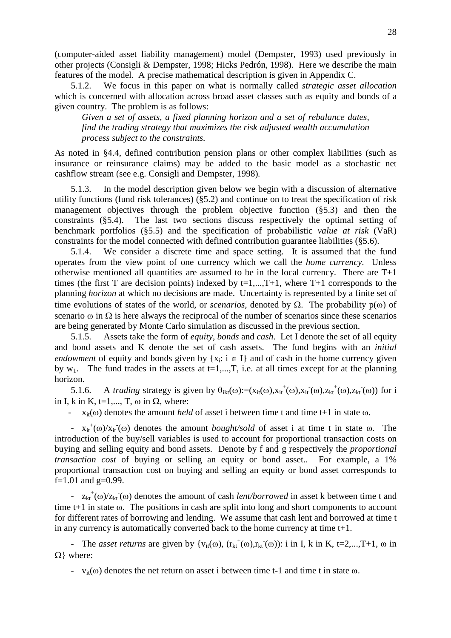(computer-aided asset liability management) model (Dempster, 1993) used previously in other projects (Consigli & Dempster, 1998; Hicks Pedrón, 1998). Here we describe the main features of the model. A precise mathematical description is given in Appendix C.

5.1.2. We focus in this paper on what is normally called *strategic asset allocation* which is concerned with allocation across broad asset classes such as equity and bonds of a given country. The problem is as follows:

*Given a set of assets, a fixed planning horizon and a set of rebalance dates, find the trading strategy that maximizes the risk adjusted wealth accumulation process subject to the constraints.* 

As noted in §4.4, defined contribution pension plans or other complex liabilities (such as insurance or reinsurance claims) may be added to the basic model as a stochastic net cashflow stream (see e.g. Consigli and Dempster, 1998)*.* 

5.1.3. In the model description given below we begin with a discussion of alternative utility functions (fund risk tolerances) (§5.2) and continue on to treat the specification of risk management objectives through the problem objective function (§5.3) and then the constraints (§5.4). The last two sections discuss respectively the optimal setting of benchmark portfolios (§5.5) and the specification of probabilistic *value at risk* (VaR) constraints for the model connected with defined contribution guarantee liabilities (§5.6).

5.1.4. We consider a discrete time and space setting. It is assumed that the fund operates from the view point of one currency which we call the *home currency*. Unless otherwise mentioned all quantities are assumed to be in the local currency. There are  $T+1$ times (the first T are decision points) indexed by  $t=1,\dots,T+1$ , where T+1 corresponds to the planning *horizon* at which no decisions are made. Uncertainty is represented by a finite set of time evolutions of states of the world, or *scenarios*, denoted by  $\Omega$ . The probability  $p(\omega)$  of scenario  $\omega$  in  $\Omega$  is here always the reciprocal of the number of scenarios since these scenarios are being generated by Monte Carlo simulation as discussed in the previous section.

5.1.5. Assets take the form of *equity*, *bonds* and *cash*. Let I denote the set of all equity and bond assets and K denote the set of cash assets. The fund begins with an *initial endowment* of equity and bonds given by  $\{x_i: i \in I\}$  and of cash in the home currency given by  $w_1$ . The fund trades in the assets at  $t=1,...,T$ , i.e. at all times except for at the planning horizon.

5.1.6. A *trading* strategy is given by  $\theta_{ikt}(\omega) := (x_{it}(\omega), x_{it}^+(\omega), x_{it}^-(\omega), z_{kt}^+(\omega), z_{kt}^-(\omega))$  for i in I, k in K,  $t=1,..., T$ ,  $\omega$  in  $\Omega$ , where:

-  $x_{it}(\omega)$  denotes the amount *held* of asset i between time t and time t+1 in state  $\omega$ .

 $- x_{it}^+(\omega)/x_{it}(\omega)$  denotes the amount *bought/sold* of asset i at time t in state  $\omega$ . The introduction of the buy/sell variables is used to account for proportional transaction costs on buying and selling equity and bond assets. Denote by f and g respectively the *proportional transaction cost* of buying or selling an equity or bond asset.. For example, a 1% proportional transaction cost on buying and selling an equity or bond asset corresponds to f=1.01 and  $g=0.99$ .

 $- z_{kt}^+(\omega)/z_{kt}(\omega)$  denotes the amount of cash *lent/borrowed* in asset k between time t and time  $t+1$  in state  $\omega$ . The positions in cash are split into long and short components to account for different rates of borrowing and lending. We assume that cash lent and borrowed at time t in any currency is automatically converted back to the home currency at time t+1.

- The *asset returns* are given by  $\{v_{it}(\omega), (r_{kt}^+(\omega), r_{kt}^-(\omega))\colon i \text{ in } I, k \text{ in } K, t=2,...,T+1, \omega \text{ in } K\}$  $\Omega$ } where:

-  $v_{it}(\omega)$  denotes the net return on asset i between time t-1 and time t in state  $\omega$ .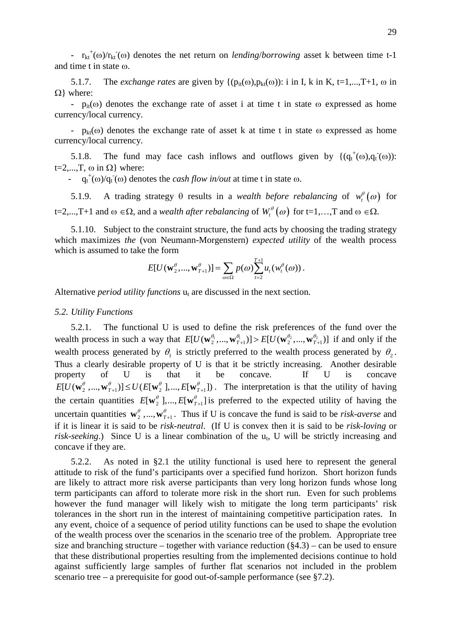-  $r_{kt}^{\dagger}(\omega)/r_{kt}(\omega)$  denotes the net return on *lending/borrowing* asset k between time t-1 and time t in state  $\omega$ .

5.1.7. The *exchange rates* are given by  $\{ (p_{it}(\omega), p_{kt}(\omega)) : i \in I, k \in I, ..., T+1, \omega \in I \}$  $\Omega$ } where:

-  $p_{it}(\omega)$  denotes the exchange rate of asset i at time t in state  $\omega$  expressed as home currency/local currency.

-  $p_{kt}(\omega)$  denotes the exchange rate of asset k at time t in state  $\omega$  expressed as home currency/local currency.

5.1.8. The fund may face cash inflows and outflows given by  $\{ (q_t^+(\omega), q_t^-(\omega)) :$ t=2,...,T,  $\omega$  in  $\Omega$ } where:

 $-q_t^+(\omega)/q_t^-(\omega)$  denotes the *cash flow in/out* at time t in state  $\omega$ .

5.1.9. A trading strategy  $\theta$  results in a *wealth before rebalancing* of  $w_t^{\theta}(\omega)$  for t=2,...,T+1 and  $\omega \in \Omega$ , and a *wealth after rebalancing* of  $W_t^{\theta}(\omega)$  for t=1,...,T and  $\omega \in \Omega$ .

5.1.10. Subject to the constraint structure, the fund acts by choosing the trading strategy which maximizes *the* (von Neumann-Morgenstern) *expected utility* of the wealth process which is assumed to take the form

$$
E[U(\mathbf{w}_{2}^{\theta},...,\mathbf{w}_{T+1}^{\theta})]=\sum_{\omega\in\Omega}p(\omega)\sum_{t=2}^{T+1}u_{t}(w_{t}^{\theta}(\omega)).
$$

Alternative *period utility functions*  $u_t$  are discussed in the next section.

### *5.2. Utility Functions*

wealth process in such a way that  $E[U(\mathbf{w}_2^{\theta_1},...,\mathbf{w}_{T+1}^{\theta_1})] > E[U(\mathbf{w}_2^{\theta_2},...,\mathbf{w}_{T+1}^{\theta_T})]$  if and only if the 5.2.1. The functional U is used to define the risk preferences of the fund over the wealth process generated by  $\theta_1$  is strictly preferred to the wealth process generated by  $\theta_2$ . Thus a clearly desirable property of U is that it be strictly increasing. Another desirable property of U is that it be concave. If U is concave  $E[U(\mathbf{w}^{\theta}_2, ..., \mathbf{w}^{\theta}_{T+1})] \leq U(E[\mathbf{w}^{\theta}_2], ..., E[\mathbf{w}^{\theta}_{T+1}])$ . The interpretation is that the utility of having the certain quantities  $E[\mathbf{w}_2^{\theta}], ..., E[\mathbf{w}_{T+1}^{\theta}]$  is preferred to the expected utility of having the uncertain quantities  $\mathbf{w}_2^{\theta}$ ,..., $\mathbf{w}_{T+1}^{\theta}$ . Thus if U is concave the fund is said to be *risk-averse* and if it is linear it is said to be *risk-neutral*. (If U is convex then it is said to be *risk-loving* or risk-seeking.) Since U is a linear combination of the u<sub>t</sub>, U will be strictly increasing and concave if they are.

5.2.2. As noted in §2.1 the utility functional is used here to represent the general attitude to risk of the fund's participants over a specified fund horizon. Short horizon funds are likely to attract more risk averse participants than very long horizon funds whose long term participants can afford to tolerate more risk in the short run. Even for such problems however the fund manager will likely wish to mitigate the long term participants' risk tolerances in the short run in the interest of maintaining competitive participation rates. In any event, choice of a sequence of period utility functions can be used to shape the evolution of the wealth process over the scenarios in the scenario tree of the problem. Appropriate tree size and branching structure – together with variance reduction  $(\S 4.3)$  – can be used to ensure that these distributional properties resulting from the implemented decisions continue to hold against sufficiently large samples of further flat scenarios not included in the problem scenario tree – a prerequisite for good out-of-sample performance (see §7.2).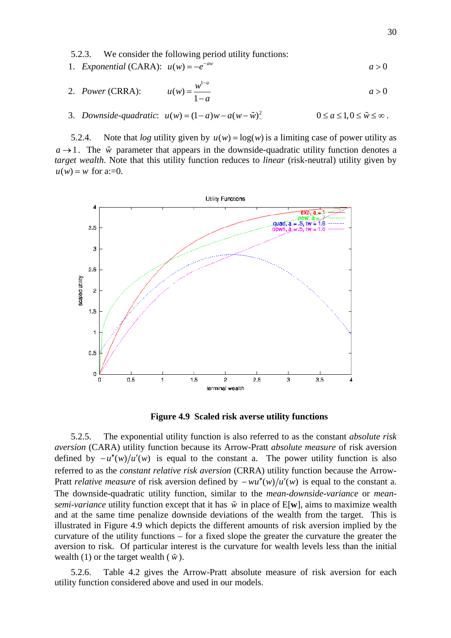5.2.3. We consider the following period utility functions:

1. *Exponential* (CARA):  $u(w) = -e^{-aw}$  $-e^{-aw}$  and  $a>0$ 

2. Power (CARA): 
$$
u(w) = \frac{w^{1-a}}{1-a}
$$
  $a > 0$ 

3. *Downside-quadratic*:  $u(w) = (1 - a)w - a(w - \tilde{w})^2$   $0 \le a \le 1, 0 \le \tilde{w} \le \infty$ .  $-\tilde{w}$ )<sup>2</sup>  $0 \le a \le 1, 0 \le \tilde{w} \le \infty$ 

5.2.4. Note that *log* utility given by  $u(w) = log(w)$  is a limiting case of power utility as  $a \rightarrow 1$ . The  $\tilde{w}$  parameter that appears in the downside-quadratic utility function denotes a *target wealth*. Note that this utility function reduces to *linear* (risk-neutral) utility given by  $u(w) = w$  for a:=0.



**Figure 4.9 Scaled risk averse utility functions** 

5.2.5. The exponential utility function is also referred to as the constant *absolute risk aversion* (CARA) utility function because its Arrow-Pratt *absolute measure* of risk aversion defined by  $-u''(w)/u'(w)$  is equal to the constant a. The power utility function is also referred to as the *constant relative risk aversion* (CRRA) utility function because the Arrow-Pratt *relative measure* of risk aversion defined by  $-wu''(w)/u'(w)$  is equal to the constant a. The downside-quadratic utility function, similar to the *mean-downside-variance* or *meansemi-variance* utility function except that it has  $\tilde{w}$  in place of  $E[w]$ , aims to maximize wealth and at the same time penalize downside deviations of the wealth from the target. This is illustrated in Figure 4.9 which depicts the different amounts of risk aversion implied by the curvature of the utility functions – for a fixed slope the greater the curvature the greater the aversion to risk. Of particular interest is the curvature for wealth levels less than the initial wealth (1) or the target wealth ( $\tilde{w}$ ).

5.2.6. Table 4.2 gives the Arrow-Pratt absolute measure of risk aversion for each utility function considered above and used in our models.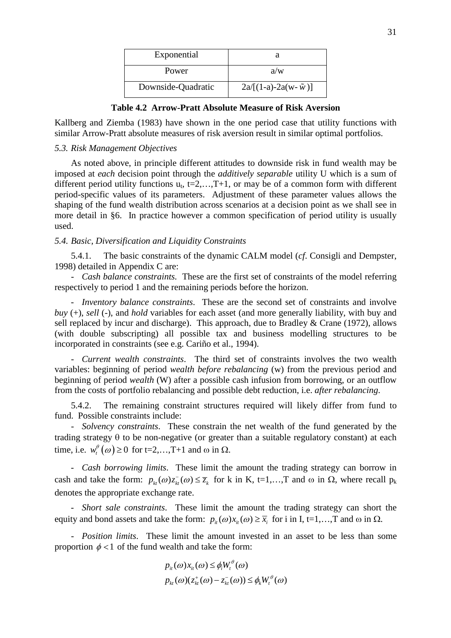| Exponential        |                              |
|--------------------|------------------------------|
| Power              | a/w                          |
| Downside-Quadratic | $2a/[(1-a)-2a(w-\tilde{w})]$ |

**Table 4.2 Arrow-Pratt Absolute Measure of Risk Aversion** 

Kallberg and Ziemba (1983) have shown in the one period case that utility functions with similar Arrow-Pratt absolute measures of risk aversion result in similar optimal portfolios.

### *5.3. Risk Management Objectives*

As noted above, in principle different attitudes to downside risk in fund wealth may be imposed at *each* decision point through the *additively separable* utility U which is a sum of different period utility functions  $u_t$ , t=2,...,T+1, or may be of a common form with different period-specific values of its parameters. Adjustment of these parameter values allows the shaping of the fund wealth distribution across scenarios at a decision point as we shall see in more detail in §6. In practice however a common specification of period utility is usually used.

### *5.4. Basic, Diversification and Liquidity Constraints*

5.4.1. The basic constraints of the dynamic CALM model (*cf*. Consigli and Dempster, 1998) detailed in Appendix C are:

- *Cash balance constraints.* These are the first set of constraints of the model referring respectively to period 1 and the remaining periods before the horizon.

- *Inventory balance constraints*. These are the second set of constraints and involve *buy* (+), *sell* (-), and *hold* variables for each asset (and more generally liability, with buy and sell replaced by incur and discharge). This approach, due to Bradley & Crane (1972), allows (with double subscripting) all possible tax and business modelling structures to be incorporated in constraints (see e.g. Cariño et al., 1994).

- *Current wealth constraints*. The third set of constraints involves the two wealth variables: beginning of period *wealth before rebalancing* (w) from the previous period and beginning of period *wealth* (W) after a possible cash infusion from borrowing, or an outflow from the costs of portfolio rebalancing and possible debt reduction, i.e. *after rebalancing*.

5.4.2. The remaining constraint structures required will likely differ from fund to fund. Possible constraints include:

- *Solvency constraints*. These constrain the net wealth of the fund generated by the trading strategy  $\theta$  to be non-negative (or greater than a suitable regulatory constant) at each time, i.e.  $w_t^{\theta}(\omega) \ge 0$  for t=2,...,T+1 and  $\omega$  in  $\Omega$ .

- *Cash borrowing limits*. These limit the amount the trading strategy can borrow in cash and take the form:  $p_{kt}(\omega) z_{kt}(\omega) \leq \overline{z}_k$  for k in K, t=1,...,T and  $\omega$  in  $\Omega$ , where recall  $p_k$ denotes the appropriate exchange rate.

- *Short sale constraints*. These limit the amount the trading strategy can short the equity and bond assets and take the form:  $p_{i}(ω)x_{i}(ω) \geq \overline{x}_{i}$  for i in I, t=1,...,T and ω in  $\Omega$ .

- *Position limits*. These limit the amount invested in an asset to be less than some proportion  $\phi$  < 1 of the fund wealth and take the form:

$$
p_{it}(\omega)x_{it}(\omega) \le \phi_i W_t^{\theta}(\omega)
$$
  

$$
p_{kt}(\omega)(z_{kt}^+(\omega) - z_{kt}^-(\omega)) \le \phi_k W_t^{\theta}(\omega)
$$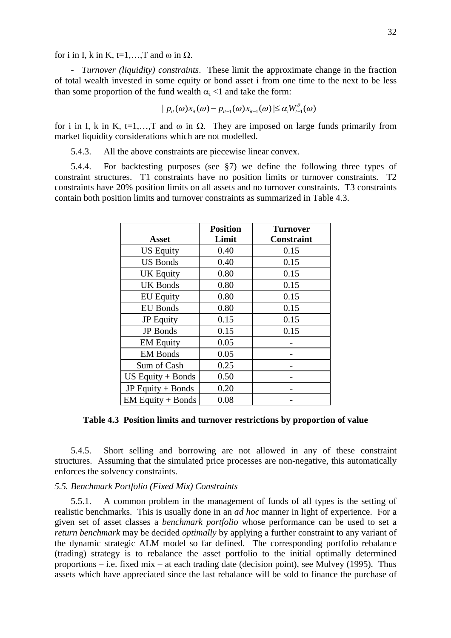for i in I, k in K,  $t=1,...,T$  and  $\omega$  in  $\Omega$ .

- *Turnover (liquidity) constraints*. These limit the approximate change in the fraction of total wealth invested in some equity or bond asset i from one time to the next to be less than some proportion of the fund wealth  $\alpha_i$  <1 and take the form:

$$
\mid p_{i t}(\omega) x_{i t}(\omega) - p_{i t - 1}(\omega) x_{i t - 1}(\omega) \mid \le \alpha_{i} W_{t - 1}^{\theta}(\omega)
$$

for i in I, k in K, t=1,..., T and  $\omega$  in  $\Omega$ . They are imposed on large funds primarily from market liquidity considerations which are not modelled.

5.4.3. All the above constraints are piecewise linear convex.

5.4.4. For backtesting purposes (see §7) we define the following three types of constraint structures. T1 constraints have no position limits or turnover constraints. T2 constraints have 20% position limits on all assets and no turnover constraints. T3 constraints contain both position limits and turnover constraints as summarized in Table 4.3.

|                     | <b>Position</b> | <b>Turnover</b>   |
|---------------------|-----------------|-------------------|
| Asset               | Limit           | <b>Constraint</b> |
| <b>US Equity</b>    | 0.40            | 0.15              |
| <b>US Bonds</b>     | 0.40            | 0.15              |
| <b>UK Equity</b>    | 0.80            | 0.15              |
| <b>UK Bonds</b>     | 0.80            | 0.15              |
| <b>EU Equity</b>    | 0.80            | 0.15              |
| <b>EU</b> Bonds     | 0.80            | 0.15              |
| <b>JP</b> Equity    | 0.15            | 0.15              |
| <b>JP</b> Bonds     | 0.15            | 0.15              |
| <b>EM Equity</b>    | 0.05            |                   |
| <b>EM Bonds</b>     | 0.05            |                   |
| Sum of Cash         | 0.25            |                   |
| $US$ Equity + Bonds | 0.50            |                   |
| JP Equity $+$ Bonds | 0.20            |                   |
| $EM$ Equity + Bonds | 0.08            |                   |

**Table 4.3 Position limits and turnover restrictions by proportion of value** 

5.4.5. Short selling and borrowing are not allowed in any of these constraint structures. Assuming that the simulated price processes are non-negative, this automatically enforces the solvency constraints.

# *5.5. Benchmark Portfolio (Fixed Mix) Constraints*

5.5.1. A common problem in the management of funds of all types is the setting of realistic benchmarks. This is usually done in an *ad hoc* manner in light of experience. For a given set of asset classes a *benchmark portfolio* whose performance can be used to set a *return benchmark* may be decided *optimally* by applying a further constraint to any variant of the dynamic strategic ALM model so far defined. The corresponding portfolio rebalance (trading) strategy is to rebalance the asset portfolio to the initial optimally determined proportions – i.e. fixed mix – at each trading date (decision point), see Mulvey (1995). Thus assets which have appreciated since the last rebalance will be sold to finance the purchase of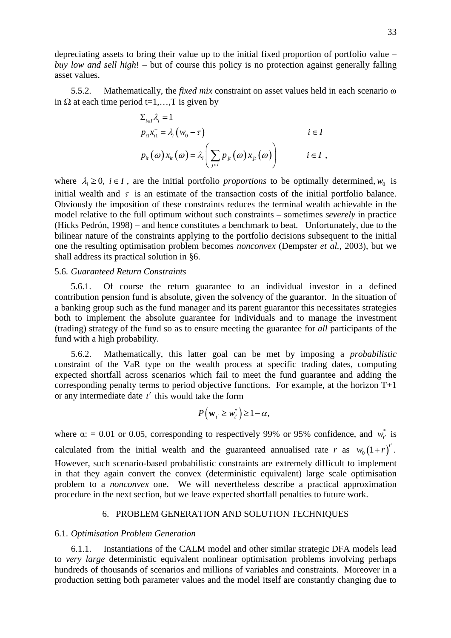depreciating assets to bring their value up to the initial fixed proportion of portfolio value – *buy low and sell high*! – but of course this policy is no protection against generally falling asset values.

5.5.2. Mathematically, the *fixed mix* constraint on asset values held in each scenario  $\omega$ in  $\Omega$  at each time period t=1,..., T is given by

$$
\Sigma_{i\in I} \lambda_i = 1
$$
\n
$$
p_{i1} x_{i1}^+ = \lambda_i (w_0 - \tau)
$$
\n
$$
i \in I
$$
\n
$$
p_{i1}(\omega) x_{i1}(\omega) = \lambda_i \left( \sum_{j\in I} p_{j1}(\omega) x_{j1}(\omega) \right)
$$
\n
$$
i \in I ,
$$

where  $\lambda_i \geq 0$ ,  $i \in I$ , are the initial portfolio *proportions* to be optimally determined,  $w_0$  is initial wealth and  $\tau$  is an estimate of the transaction costs of the initial portfolio balance. Obviously the imposition of these constraints reduces the terminal wealth achievable in the model relative to the full optimum without such constraints – sometimes *severely* in practice (Hicks Pedrón, 1998) – and hence constitutes a benchmark to beat. Unfortunately, due to the bilinear nature of the constraints applying to the portfolio decisions subsequent to the initial one the resulting optimisation problem becomes *nonconvex* (Dempster *et al.*, 2003), but we shall address its practical solution in §6.

### 5.6. *Guaranteed Return Constraints*

5.6.1. Of course the return guarantee to an individual investor in a defined contribution pension fund is absolute, given the solvency of the guarantor. In the situation of a banking group such as the fund manager and its parent guarantor this necessitates strategies both to implement the absolute guarantee for individuals and to manage the investment (trading) strategy of the fund so as to ensure meeting the guarantee for *all* participants of the fund with a high probability.

5.6.2. Mathematically, this latter goal can be met by imposing a *probabilistic* constraint of the VaR type on the wealth process at specific trading dates, computing expected shortfall across scenarios which fail to meet the fund guarantee and adding the corresponding penalty terms to period objective functions. For example, at the horizon T+1 or any intermediate date *t'* this would take the form

$$
P(\mathbf{w}_{t'} \geq w_{t'}^*) \geq 1 - \alpha,
$$

where  $\alpha$ : = 0.01 or 0.05, corresponding to respectively 99% or 95% confidence, and  $w_{t'}^*$  is calculated from the initial wealth and the guaranteed annualised rate *r* as  $w_0(1+r)^{t'}$ . However, such scenario-based probabilistic constraints are extremely difficult to implement in that they again convert the convex (deterministic equivalent) large scale optimisation problem to a *nonconvex* one. We will nevertheless describe a practical approximation procedure in the next section, but we leave expected shortfall penalties to future work.

# 6. PROBLEM GENERATION AND SOLUTION TECHNIQUES

### 6.1. *Optimisation Problem Generation*

6.1.1. Instantiations of the CALM model and other similar strategic DFA models lead to *very large* deterministic equivalent nonlinear optimisation problems involving perhaps hundreds of thousands of scenarios and millions of variables and constraints. Moreover in a production setting both parameter values and the model itself are constantly changing due to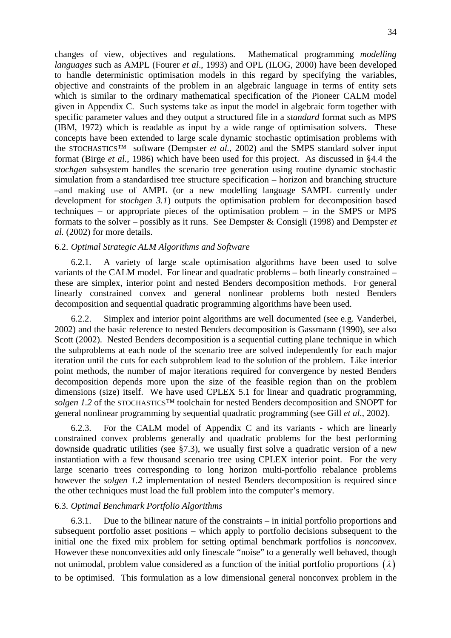changes of view, objectives and regulations. Mathematical programming *modelling languages* such as AMPL (Fourer *et al*., 1993) and OPL (ILOG, 2000) have been developed to handle deterministic optimisation models in this regard by specifying the variables, objective and constraints of the problem in an algebraic language in terms of entity sets which is similar to the ordinary mathematical specification of the Pioneer CALM model given in Appendix C. Such systems take as input the model in algebraic form together with specific parameter values and they output a structured file in a *standard* format such as MPS (IBM, 1972) which is readable as input by a wide range of optimisation solvers. These concepts have been extended to large scale dynamic stochastic optimisation problems with the STOCHASTICS<sup>TM</sup> software (Dempster *et al.*, 2002) and the SMPS standard solver input format (Birge *et al.*, 1986) which have been used for this project. As discussed in §4.4 the *stochgen* subsystem handles the scenario tree generation using routine dynamic stochastic simulation from a standardised tree structure specification – horizon and branching structure –and making use of AMPL (or a new modelling language SAMPL currently under development for *stochgen 3.1*) outputs the optimisation problem for decomposition based techniques – or appropriate pieces of the optimisation problem – in the SMPS or MPS formats to the solver – possibly as it runs. See Dempster & Consigli (1998) and Dempster *et al.* (2002) for more details.

### 6.2. *Optimal Strategic ALM Algorithms and Software*

6.2.1. A variety of large scale optimisation algorithms have been used to solve variants of the CALM model. For linear and quadratic problems – both linearly constrained – these are simplex, interior point and nested Benders decomposition methods. For general linearly constrained convex and general nonlinear problems both nested Benders decomposition and sequential quadratic programming algorithms have been used.

6.2.2. Simplex and interior point algorithms are well documented (see e.g. Vanderbei, 2002) and the basic reference to nested Benders decomposition is Gassmann (1990), see also Scott (2002). Nested Benders decomposition is a sequential cutting plane technique in which the subproblems at each node of the scenario tree are solved independently for each major iteration until the cuts for each subproblem lead to the solution of the problem. Like interior point methods, the number of major iterations required for convergence by nested Benders decomposition depends more upon the size of the feasible region than on the problem dimensions (size) itself. We have used CPLEX 5.1 for linear and quadratic programming, *solgen 1.2* of the STOCHASTICS™ toolchain for nested Benders decomposition and SNOPT for general nonlinear programming by sequential quadratic programming (see Gill *et al*., 2002).

6.2.3. For the CALM model of Appendix C and its variants - which are linearly constrained convex problems generally and quadratic problems for the best performing downside quadratic utilities (see §7.3), we usually first solve a quadratic version of a new instantiation with a few thousand scenario tree using CPLEX interior point. For the very large scenario trees corresponding to long horizon multi-portfolio rebalance problems however the *solgen 1.2* implementation of nested Benders decomposition is required since the other techniques must load the full problem into the computer's memory.

### 6.3. *Optimal Benchmark Portfolio Algorithms*

6.3.1. Due to the bilinear nature of the constraints – in initial portfolio proportions and subsequent portfolio asset positions – which apply to portfolio decisions subsequent to the initial one the fixed mix problem for setting optimal benchmark portfolios is *nonconvex*. However these nonconvexities add only finescale "noise" to a generally well behaved, though not unimodal, problem value considered as a function of the initial portfolio proportions  $(\lambda)$ to be optimised. This formulation as a low dimensional general nonconvex problem in the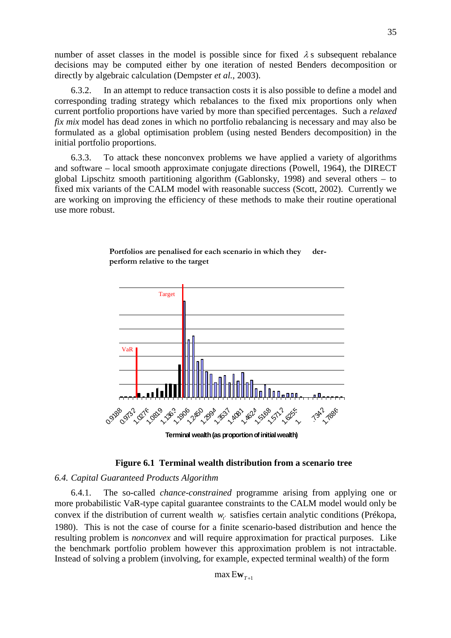number of asset classes in the model is possible since for fixed  $\lambda$  s subsequent rebalance decisions may be computed either by one iteration of nested Benders decomposition or directly by algebraic calculation (Dempster *et al.*, 2003).

6.3.2. In an attempt to reduce transaction costs it is also possible to define a model and corresponding trading strategy which rebalances to the fixed mix proportions only when current portfolio proportions have varied by more than specified percentages. Such a *relaxed fix mix* model has dead zones in which no portfolio rebalancing is necessary and may also be formulated as a global optimisation problem (using nested Benders decomposition) in the initial portfolio proportions.

6.3.3. To attack these nonconvex problems we have applied a variety of algorithms and software – local smooth approximate conjugate directions (Powell, 1964), the DIRECT global Lipschitz smooth partitioning algorithm (Gablonsky, 1998) and several others – to fixed mix variants of the CALM model with reasonable success (Scott, 2002). Currently we are working on improving the efficiency of these methods to make their routine operational use more robust.



# Portfolios are penalised for each scenario in which they der**perform relative to the target**

# **Figure 6.1 Terminal wealth distribution from a scenario tree**

# *6.4. Capital Guaranteed Products Algorithm*

6.4.1. The so*-*called *chance-constrained* programme arising from applying one or more probabilistic VaR-type capital guarantee constraints to the CALM model would only be convex if the distribution of current wealth  $w_{t'}$  satisfies certain analytic conditions (Prékopa, 1980). This is not the case of course for a finite scenario-based distribution and hence the resulting problem is *nonconvex* and will require approximation for practical purposes. Like the benchmark portfolio problem however this approximation problem is not intractable. Instead of solving a problem (involving, for example, expected terminal wealth) of the form

 $max Ew_{T+1}$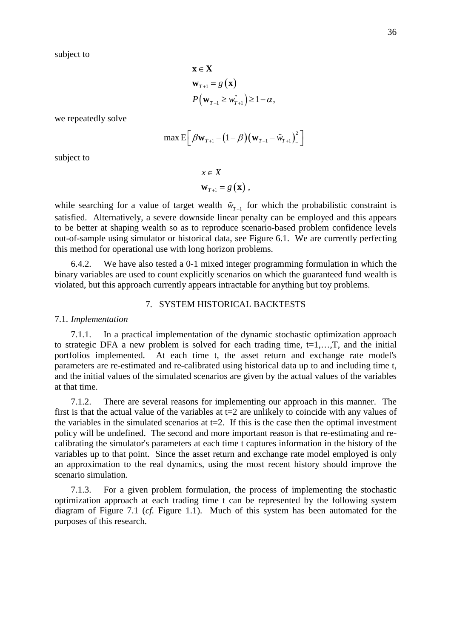subject to

$$
\mathbf{x} \in \mathbf{X}
$$
  
\n
$$
\mathbf{w}_{T+1} = g(\mathbf{x})
$$
  
\n
$$
P(\mathbf{w}_{T+1} \geq w_{T+1}^*) \geq 1 - \alpha,
$$

we repeatedly solve

$$
\max \mathsf{E}\bigg[\beta\mathbf{w}_{T+1}-(1-\beta)\big(\mathbf{w}_{T+1}-\tilde{w}_{T+1}\big)^2\bigg]
$$

subject to

$$
x \in X
$$
  

$$
\mathbf{w}_{T+1} = g(\mathbf{x}),
$$

while searching for a value of target wealth  $\tilde{w}_{T+1}$  for which the probabilistic constraint is satisfied. Alternatively, a severe downside linear penalty can be employed and this appears to be better at shaping wealth so as to reproduce scenario-based problem confidence levels out-of-sample using simulator or historical data, see Figure 6.1. We are currently perfecting this method for operational use with long horizon problems.

6.4.2. We have also tested a 0-1 mixed integer programming formulation in which the binary variables are used to count explicitly scenarios on which the guaranteed fund wealth is violated, but this approach currently appears intractable for anything but toy problems.

# 7. SYSTEM HISTORICAL BACKTESTS

### 7.1. *Implementation*

7.1.1. In a practical implementation of the dynamic stochastic optimization approach to strategic DFA a new problem is solved for each trading time,  $t=1,...,T$ , and the initial portfolios implemented. At each time t, the asset return and exchange rate model's parameters are re-estimated and re-calibrated using historical data up to and including time t, and the initial values of the simulated scenarios are given by the actual values of the variables at that time.

7.1.2. There are several reasons for implementing our approach in this manner. The first is that the actual value of the variables at  $t=2$  are unlikely to coincide with any values of the variables in the simulated scenarios at  $t=2$ . If this is the case then the optimal investment policy will be undefined. The second and more important reason is that re-estimating and recalibrating the simulator's parameters at each time t captures information in the history of the variables up to that point. Since the asset return and exchange rate model employed is only an approximation to the real dynamics, using the most recent history should improve the scenario simulation.

7.1.3. For a given problem formulation, the process of implementing the stochastic optimization approach at each trading time t can be represented by the following system diagram of Figure 7.1 (*cf.* Figure 1.1). Much of this system has been automated for the purposes of this research.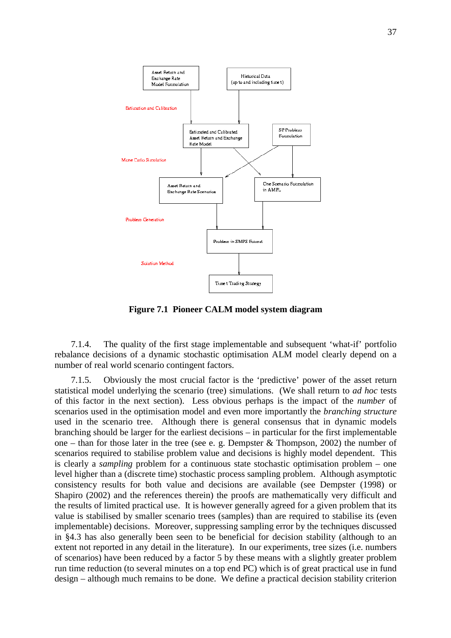

**Figure 7.1 Pioneer CALM model system diagram** 

7.1.4. The quality of the first stage implementable and subsequent 'what-if' portfolio rebalance decisions of a dynamic stochastic optimisation ALM model clearly depend on a number of real world scenario contingent factors.

7.1.5. Obviously the most crucial factor is the 'predictive' power of the asset return statistical model underlying the scenario (tree) simulations. (We shall return to *ad hoc* tests of this factor in the next section). Less obvious perhaps is the impact of the *number* of scenarios used in the optimisation model and even more importantly the *branching structure* used in the scenario tree. Although there is general consensus that in dynamic models branching should be larger for the earliest decisions – in particular for the first implementable one – than for those later in the tree (see e. g. Dempster  $&$  Thompson, 2002) the number of scenarios required to stabilise problem value and decisions is highly model dependent. This is clearly a *sampling* problem for a continuous state stochastic optimisation problem – one level higher than a (discrete time) stochastic process sampling problem. Although asymptotic consistency results for both value and decisions are available (see Dempster (1998) or Shapiro (2002) and the references therein) the proofs are mathematically very difficult and the results of limited practical use. It is however generally agreed for a given problem that its value is stabilised by smaller scenario trees (samples) than are required to stabilise its (even implementable) decisions. Moreover, suppressing sampling error by the techniques discussed in §4.3 has also generally been seen to be beneficial for decision stability (although to an extent not reported in any detail in the literature). In our experiments, tree sizes (i.e. numbers of scenarios) have been reduced by a factor 5 by these means with a slightly greater problem run time reduction (to several minutes on a top end PC) which is of great practical use in fund design – although much remains to be done. We define a practical decision stability criterion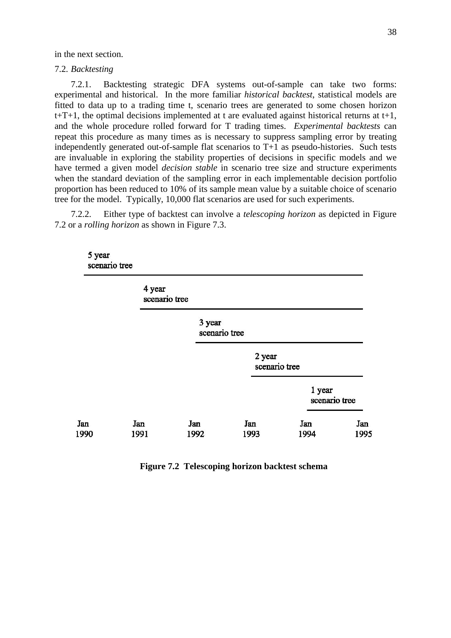in the next section.

7.2. *Backtesting*

7.2.1. Backtesting strategic DFA systems out-of-sample can take two forms: experimental and historical. In the more familiar *historical backtest*, statistical models are fitted to data up to a trading time t, scenario trees are generated to some chosen horizon  $t+T+1$ , the optimal decisions implemented at t are evaluated against historical returns at  $t+1$ , and the whole procedure rolled forward for T trading times. *Experimental backtests* can repeat this procedure as many times as is necessary to suppress sampling error by treating independently generated out-of-sample flat scenarios to T+1 as pseudo-histories. Such tests are invaluable in exploring the stability properties of decisions in specific models and we have termed a given model *decision stable* in scenario tree size and structure experiments when the standard deviation of the sampling error in each implementable decision portfolio proportion has been reduced to 10% of its sample mean value by a suitable choice of scenario tree for the model. Typically, 10,000 flat scenarios are used for such experiments.

7.2.2. Either type of backtest can involve a *telescoping horizon* as depicted in Figure 7.2 or a *rolling horizon* as shown in Figure 7.3.

| 5 year<br>scenario tree |                         |                         |                         |                         |             |
|-------------------------|-------------------------|-------------------------|-------------------------|-------------------------|-------------|
|                         | 4 year<br>scenario tree |                         |                         |                         |             |
|                         |                         | 3 year<br>scenario tree |                         |                         |             |
|                         |                         |                         | 2 year<br>scenario tree |                         |             |
|                         |                         |                         |                         | 1 year<br>scenario tree |             |
| Jan<br>1990             | Jan<br>1991             | Jan<br>1992             | Jan<br>1993             | Jan<br>1994             | Jan<br>1995 |

**Figure 7.2 Telescoping horizon backtest schema**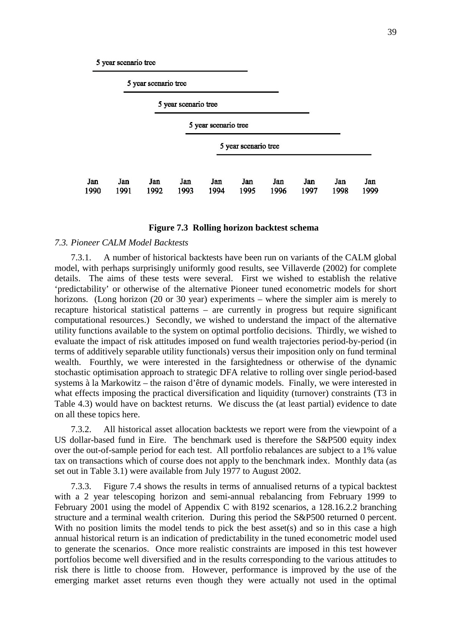5 year scenario tree

5 year scenario tree

|             |             |             | 5 year scenario tree |                      |                      |             |             |             |             |
|-------------|-------------|-------------|----------------------|----------------------|----------------------|-------------|-------------|-------------|-------------|
|             |             |             |                      | 5 year scenario tree |                      |             |             |             |             |
|             |             |             |                      |                      | 5 year scenario tree |             |             |             |             |
| Jan<br>1990 | Jan<br>1991 | Jan<br>1992 | Jan<br>1993          | Jan<br>1994          | Jan<br>1995          | Jan<br>1996 | Jan<br>1997 | Jan<br>1998 | Jan<br>1999 |

## **Figure 7.3 Rolling horizon backtest schema**

## *7.3. Pioneer CALM Model Backtests*

7.3.1. A number of historical backtests have been run on variants of the CALM global model, with perhaps surprisingly uniformly good results, see Villaverde (2002) for complete details. The aims of these tests were several. First we wished to establish the relative 'predictability' or otherwise of the alternative Pioneer tuned econometric models for short horizons. (Long horizon (20 or 30 year) experiments – where the simpler aim is merely to recapture historical statistical patterns – are currently in progress but require significant computational resources.) Secondly, we wished to understand the impact of the alternative utility functions available to the system on optimal portfolio decisions. Thirdly, we wished to evaluate the impact of risk attitudes imposed on fund wealth trajectories period-by-period (in terms of additively separable utility functionals) versus their imposition only on fund terminal wealth. Fourthly, we were interested in the farsightedness or otherwise of the dynamic stochastic optimisation approach to strategic DFA relative to rolling over single period-based systems à la Markowitz – the raison d'être of dynamic models. Finally, we were interested in what effects imposing the practical diversification and liquidity (turnover) constraints (T3 in Table 4.3) would have on backtest returns. We discuss the (at least partial) evidence to date on all these topics here.

7.3.2. All historical asset allocation backtests we report were from the viewpoint of a US dollar-based fund in Eire. The benchmark used is therefore the S&P500 equity index over the out-of-sample period for each test. All portfolio rebalances are subject to a 1% value tax on transactions which of course does not apply to the benchmark index. Monthly data (as set out in Table 3.1) were available from July 1977 to August 2002.

7.3.3. Figure 7.4 shows the results in terms of annualised returns of a typical backtest with a 2 year telescoping horizon and semi-annual rebalancing from February 1999 to February 2001 using the model of Appendix C with 8192 scenarios, a 128.16.2.2 branching structure and a terminal wealth criterion. During this period the S&P500 returned 0 percent. With no position limits the model tends to pick the best asset(s) and so in this case a high annual historical return is an indication of predictability in the tuned econometric model used to generate the scenarios. Once more realistic constraints are imposed in this test however portfolios become well diversified and in the results corresponding to the various attitudes to risk there is little to choose from. However, performance is improved by the use of the emerging market asset returns even though they were actually not used in the optimal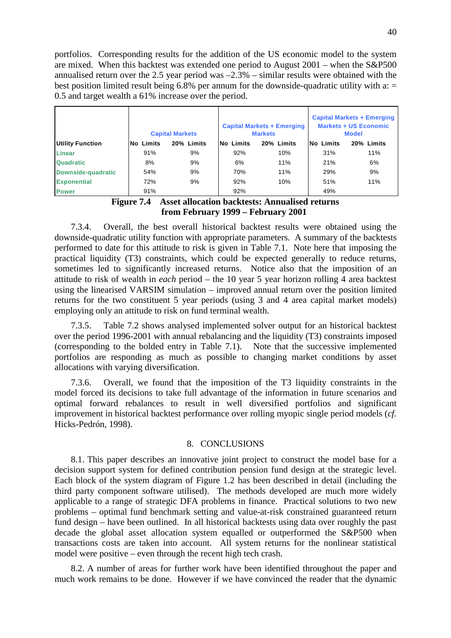portfolios. Corresponding results for the addition of the US economic model to the system are mixed. When this backtest was extended one period to August 2001 – when the S&P500 annualised return over the 2.5 year period was –2.3% – similar results were obtained with the best position limited result being 6.8% per annum for the downside-quadratic utility with  $a =$ 0.5 and target wealth a 61% increase over the period.

|                           |                  | <b>Capital Markets</b> |                  | <b>Capital Markets + Emerging</b><br><b>Markets</b> | <b>Capital Markets + Emerging</b><br><b>Markets + US Economic</b><br><b>Model</b> |            |  |  |
|---------------------------|------------------|------------------------|------------------|-----------------------------------------------------|-----------------------------------------------------------------------------------|------------|--|--|
| <b>Utility Function</b>   | <b>No Limits</b> | 20% Limits             | <b>No Limits</b> | 20% Limits                                          | No Limits                                                                         | 20% Limits |  |  |
| <b>Linear</b>             | 91%              | 9%                     | 92%              | 10%                                                 | 31%                                                                               | 11%        |  |  |
| <b>Quadratic</b>          | 8%               | 9%                     | 6%               | 11%                                                 | 21%                                                                               | 6%         |  |  |
| <b>Downside-quadratic</b> | 54%              | 9%                     | 70%              | 11%                                                 | 29%                                                                               | 9%         |  |  |
| <b>Exponential</b>        | 72%              | 9%                     | 92%              | 10%                                                 | 51%                                                                               | 11%        |  |  |
| <b>Power</b>              | 91%              |                        | 92%              |                                                     | 49%                                                                               |            |  |  |



7.3.4. Overall, the best overall historical backtest results were obtained using the downside-quadratic utility function with appropriate parameters. A summary of the backtests performed to date for this attitude to risk is given in Table 7.1. Note here that imposing the practical liquidity (T3) constraints, which could be expected generally to reduce returns, sometimes led to significantly increased returns. Notice also that the imposition of an attitude to risk of wealth in *each* period – the 10 year 5 year horizon rolling 4 area backtest using the linearised VARSIM simulation – improved annual return over the position limited returns for the two constituent 5 year periods (using 3 and 4 area capital market models) employing only an attitude to risk on fund terminal wealth.

7.3.5. Table 7.2 shows analysed implemented solver output for an historical backtest over the period 1996-2001 with annual rebalancing and the liquidity (T3) constraints imposed (corresponding to the bolded entry in Table 7.1). Note that the successive implemented portfolios are responding as much as possible to changing market conditions by asset allocations with varying diversification.

7.3.6. Overall, we found that the imposition of the T3 liquidity constraints in the model forced its decisions to take full advantage of the information in future scenarios and optimal forward rebalances to result in well diversified portfolios and significant improvement in historical backtest performance over rolling myopic single period models (*cf.* Hicks-Pedrón, 1998).

# 8. CONCLUSIONS

8.1. This paper describes an innovative joint project to construct the model base for a decision support system for defined contribution pension fund design at the strategic level. Each block of the system diagram of Figure 1.2 has been described in detail (including the third party component software utilised). The methods developed are much more widely applicable to a range of strategic DFA problems in finance. Practical solutions to two new problems – optimal fund benchmark setting and value-at-risk constrained guaranteed return fund design – have been outlined. In all historical backtests using data over roughly the past decade the global asset allocation system equalled or outperformed the S&P500 when transactions costs are taken into account. All system returns for the nonlinear statistical model were positive – even through the recent high tech crash.

8.2. A number of areas for further work have been identified throughout the paper and much work remains to be done. However if we have convinced the reader that the dynamic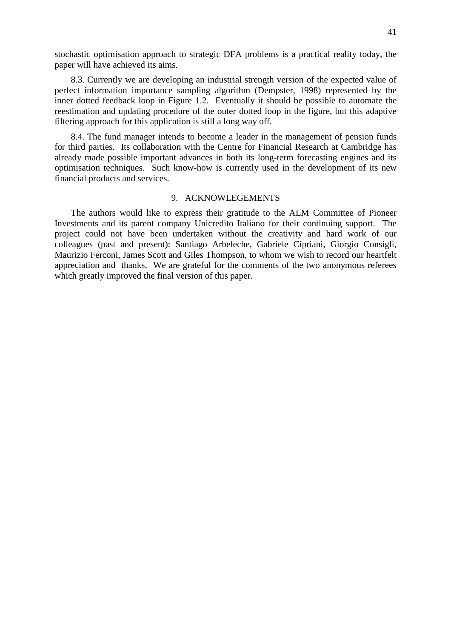8.3. Currently we are developing an industrial strength version of the expected value of perfect information importance sampling algorithm (Dempster, 1998) represented by the inner dotted feedback loop in Figure 1.2. Eventually it should be possible to automate the reestimation and updating procedure of the outer dotted loop in the figure, but this adaptive filtering approach for this application is still a long way off.

8.4. The fund manager intends to become a leader in the management of pension funds for third parties. Its collaboration with the Centre for Financial Research at Cambridge has already made possible important advances in both its long-term forecasting engines and its optimisation techniques. Such know-how is currently used in the development of its new financial products and services.

## 9. ACKNOWLEGEMENTS

The authors would like to express their gratitude to the ALM Committee of Pioneer Investments and its parent company Unicredito Italiano for their continuing support. The project could not have been undertaken without the creativity and hard work of our colleagues (past and present): Santiago Arbeleche, Gabriele Cipriani, Giorgio Consigli, Maurizio Ferconi, James Scott and Giles Thompson, to whom we wish to record our heartfelt appreciation and thanks. We are grateful for the comments of the two anonymous referees which greatly improved the final version of this paper.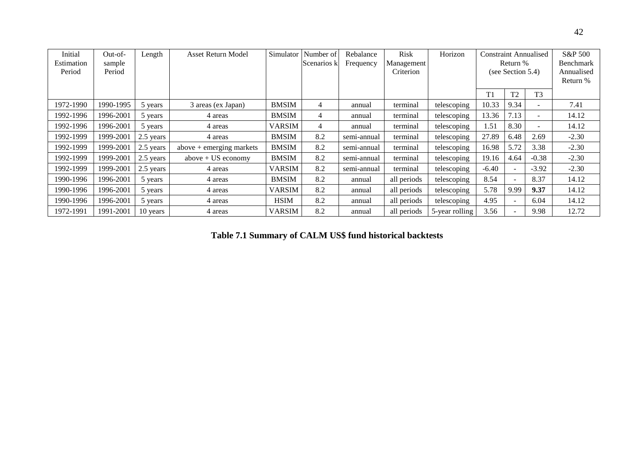| Initial<br>Estimation<br>Period | $Out-of-$<br>sample<br>Period | Length    | <b>Asset Return Model</b>  | Simulator     | Number of<br>Scenarios k | Rebalance<br>Frequency | <b>Risk</b><br>Management<br>Criterion | Horizon        | <b>Constraint Annualised</b><br>Return %<br>(see Section 5.4) |                          | S&P 500<br>Benchmark<br>Annualised<br>Return % |         |
|---------------------------------|-------------------------------|-----------|----------------------------|---------------|--------------------------|------------------------|----------------------------------------|----------------|---------------------------------------------------------------|--------------------------|------------------------------------------------|---------|
|                                 |                               |           |                            |               |                          |                        |                                        |                | T1                                                            | T <sub>2</sub>           | T <sub>3</sub>                                 |         |
| 1972-1990                       | 1990-1995                     | 5 years   | 3 areas (ex Japan)         | <b>BMSIM</b>  | 4                        | annual                 | terminal                               | telescoping    | 10.33                                                         | 9.34                     | $\overline{\phantom{a}}$                       | 7.41    |
| 1992-1996                       | 1996-2001                     | 5 years   | 4 areas                    | <b>BMSIM</b>  | 4                        | annual                 | terminal                               | telescoping    | 13.36                                                         | 7.13                     | $\overline{\phantom{a}}$                       | 14.12   |
| 1992-1996                       | 1996-2001                     | 5 years   | 4 areas                    | <b>VARSIM</b> | 4                        | annual                 | terminal                               | telescoping    | 1.51                                                          | 8.30                     | $\overline{\phantom{a}}$                       | 14.12   |
| 1992-1999                       | 1999-2001                     | 2.5 years | 4 areas                    | <b>BMSIM</b>  | 8.2                      | semi-annual            | terminal                               | telescoping    | 27.89                                                         | 6.48                     | 2.69                                           | $-2.30$ |
| 1992-1999                       | 1999-2001                     | 2.5 years | $above + emerging$ markets | <b>BMSIM</b>  | 8.2                      | semi-annual            | terminal                               | telescoping    | 16.98                                                         | 5.72                     | 3.38                                           | $-2.30$ |
| 1992-1999                       | 1999-2001                     | 2.5 years | $above + US economy$       | <b>BMSIM</b>  | 8.2                      | semi-annual            | terminal                               | telescoping    | 19.16                                                         | 4.64                     | $-0.38$                                        | $-2.30$ |
| 1992-1999                       | 1999-2001                     | 2.5 years | 4 areas                    | <b>VARSIM</b> | 8.2                      | semi-annual            | terminal                               | telescoping    | $-6.40$                                                       | $\sim$                   | $-3.92$                                        | $-2.30$ |
| 1990-1996                       | 1996-2001                     | 5 years   | 4 areas                    | <b>BMSIM</b>  | 8.2                      | annual                 | all periods                            | telescoping    | 8.54                                                          | $\overline{\phantom{a}}$ | 8.37                                           | 14.12   |
| 1990-1996                       | 1996-2001                     | 5 years   | 4 areas                    | <b>VARSIM</b> | 8.2                      | annual                 | all periods                            | telescoping    | 5.78                                                          | 9.99                     | 9.37                                           | 14.12   |
| 1990-1996                       | 1996-2001                     | 5 years   | 4 areas                    | <b>HSIM</b>   | 8.2                      | annual                 | all periods                            | telescoping    | 4.95                                                          | $\sim$                   | 6.04                                           | 14.12   |
| 1972-1991                       | 1991-2001                     | 10 years  | 4 areas                    | <b>VARSIM</b> | 8.2                      | annual                 | all periods                            | 5-year rolling | 3.56                                                          | $\overline{a}$           | 9.98                                           | 12.72   |

**Table 7.1 Summary of CALM US\$ fund historical backtests**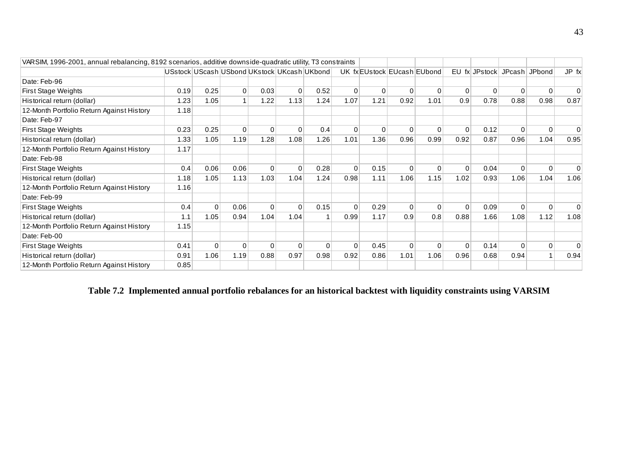| VARSIM, 1996-2001, annual rebalancing, 8192 scenarios, additive downside-quadratic utility, T3 constraints |      |                |                |          |          |                                             |          |             |                             |          |              |               |          |                |          |
|------------------------------------------------------------------------------------------------------------|------|----------------|----------------|----------|----------|---------------------------------------------|----------|-------------|-----------------------------|----------|--------------|---------------|----------|----------------|----------|
|                                                                                                            |      |                |                |          |          | USstock UScash USbond UKstock UKcash UKbond |          |             | UK fx EUstock EUcash EUbond |          |              | EU fx JPstock | JPcash   | JPbond         | JP fx    |
| Date: Feb-96                                                                                               |      |                |                |          |          |                                             |          |             |                             |          |              |               |          |                |          |
| <b>First Stage Weights</b>                                                                                 | 0.19 | 0.25           | $\overline{0}$ | 0.03     | 0        | 0.52                                        | 0        | $\mathbf 0$ | 0                           | $\Omega$ | $\Omega$     | 0             | $\Omega$ | $\mathbf 0$    | $\Omega$ |
| Historical return (dollar)                                                                                 | 1.23 | 1.05           |                | 1.22     | 1.13     | 1.24                                        | 1.07     | 1.21        | 0.92                        | 1.01     | 0.9          | 0.78          | 0.88     | 0.98           | 0.87     |
| 12-Month Portfolio Return Against History                                                                  | 1.18 |                |                |          |          |                                             |          |             |                             |          |              |               |          |                |          |
| Date: Feb-97                                                                                               |      |                |                |          |          |                                             |          |             |                             |          |              |               |          |                |          |
| <b>First Stage Weights</b>                                                                                 | 0.23 | 0.25           | $\Omega$       | $\Omega$ | $\Omega$ | 0.4                                         | $\Omega$ | $\Omega$    | $\Omega$                    | $\Omega$ | $\Omega$     | 0.12          | $\Omega$ | $\Omega$       | $\Omega$ |
| Historical return (dollar)                                                                                 | 1.33 | 1.05           | 1.19           | 1.28     | 1.08     | 1.26                                        | 1.01     | 1.36        | 0.96                        | 0.99     | 0.92         | 0.87          | 0.96     | 1.04           | 0.95     |
| 12-Month Portfolio Return Against History                                                                  | 1.17 |                |                |          |          |                                             |          |             |                             |          |              |               |          |                |          |
| Date: Feb-98                                                                                               |      |                |                |          |          |                                             |          |             |                             |          |              |               |          |                |          |
| First Stage Weights                                                                                        | 0.4  | 0.06           | 0.06           | $\Omega$ | $\Omega$ | 0.28                                        | $\Omega$ | 0.15        | $\Omega$                    | $\Omega$ | $\Omega$     | 0.04          | $\Omega$ | $\Omega$       |          |
| Historical return (dollar)                                                                                 | 1.18 | 1.05           | 1.13           | 1.03     | 1.04     | 1.24                                        | 0.98     | 1.11        | 1.06                        | 1.15     | 1.02         | 0.93          | 1.06     | 1.04           | 1.06     |
| 12-Month Portfolio Return Against History                                                                  | 1.16 |                |                |          |          |                                             |          |             |                             |          |              |               |          |                |          |
| Date: Feb-99                                                                                               |      |                |                |          |          |                                             |          |             |                             |          |              |               |          |                |          |
| <b>First Stage Weights</b>                                                                                 | 0.4  | $\overline{0}$ | 0.06           | 0        | $\Omega$ | 0.15                                        | $\Omega$ | 0.29        | $\Omega$                    | $\Omega$ | $\Omega$     | 0.09          | $\Omega$ | $\mathbf 0$    | $\Omega$ |
| Historical return (dollar)                                                                                 | 1.1  | 1.05           | 0.94           | 1.04     | 1.04     |                                             | 0.99     | 1.17        | 0.9                         | 0.8      | 0.88         | 1.66          | 1.08     | 1.12           | 1.08     |
| 12-Month Portfolio Return Against History                                                                  | 1.15 |                |                |          |          |                                             |          |             |                             |          |              |               |          |                |          |
| Date: Feb-00                                                                                               |      |                |                |          |          |                                             |          |             |                             |          |              |               |          |                |          |
| <b>First Stage Weights</b>                                                                                 | 0.41 | $\Omega$       | $\Omega$       | $\Omega$ | $\Omega$ | $\Omega$                                    | $\Omega$ | 0.45        | $\Omega$                    | $\Omega$ | $\mathbf{0}$ | 0.14          | $\Omega$ | $\overline{0}$ | $\Omega$ |
| Historical return (dollar)                                                                                 | 0.91 | 1.06           | 1.19           | 0.88     | 0.97     | 0.98                                        | 0.92     | 0.86        | 1.01                        | 1.06     | 0.96         | 0.68          | 0.94     |                | 0.94     |
| 12-Month Portfolio Return Against History                                                                  | 0.85 |                |                |          |          |                                             |          |             |                             |          |              |               |          |                |          |

**Table 7.2 Implemented annual portfolio rebalances for an historical backtest with liquidity constraints using VARSIM**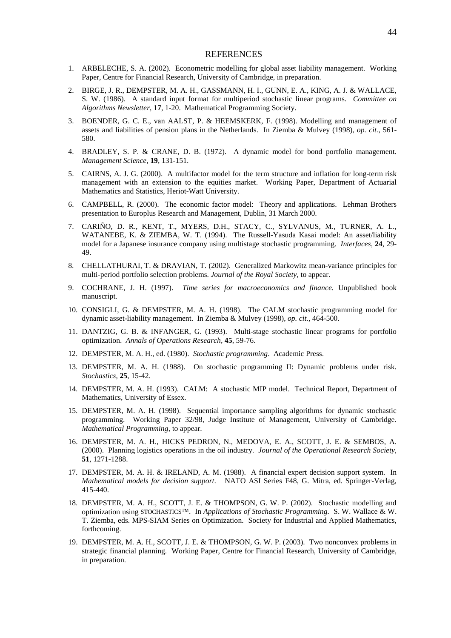## **REFERENCES**

- 1. ARBELECHE, S. A. (2002). Econometric modelling for global asset liability management. Working Paper, Centre for Financial Research, University of Cambridge, in preparation.
- 2. BIRGE, J. R., DEMPSTER, M. A. H., GASSMANN, H. I., GUNN, E. A., KING, A. J. & WALLACE, S. W. (1986). A standard input format for multiperiod stochastic linear programs. *Committee on Algorithms Newsletter*, **17**, 1-20. Mathematical Programming Society.
- 3. BOENDER, G. C. E., van AALST, P. & HEEMSKERK, F. (1998). Modelling and management of assets and liabilities of pension plans in the Netherlands. In Ziemba & Mulvey (1998), *op. cit.*, 561- 580.
- 4. BRADLEY, S. P. & CRANE, D. B. (1972). A dynamic model for bond portfolio management. *Management Science*, **19**, 131-151.
- 5. CAIRNS, A. J. G. (2000). A multifactor model for the term structure and inflation for long-term risk management with an extension to the equities market. Working Paper, Department of Actuarial Mathematics and Statistics, Heriot-Watt University.
- 6. CAMPBELL, R. (2000). The economic factor model: Theory and applications. Lehman Brothers presentation to Europlus Research and Management, Dublin, 31 March 2000.
- 7. CARIÑO, D. R., KENT, T., MYERS, D.H., STACY, C., SYLVANUS, M., TURNER, A. L., WATANEBE, K. & ZIEMBA, W. T. (1994). The Russell-Yasuda Kasai model: An asset/liability model for a Japanese insurance company using multistage stochastic programming. *Interfaces*, **24**, 29- 49.
- 8. CHELLATHURAI, T. & DRAVIAN, T. (2002). Generalized Markowitz mean-variance principles for multi-period portfolio selection problems. *Journal of the Royal Society*, to appear.
- 9. COCHRANE, J. H. (1997). *Time series for macroeconomics and finance.* Unpublished book manuscript.
- 10. CONSIGLI, G. & DEMPSTER, M. A. H. (1998). The CALM stochastic programming model for dynamic asset-liability management. In Ziemba & Mulvey (1998), *op. cit.,* 464-500.
- 11. DANTZIG, G. B. & INFANGER, G. (1993). Multi-stage stochastic linear programs for portfolio optimization. *Annals of Operations Research,* **45**, 59-76.
- 12. DEMPSTER, M. A. H., ed. (1980). *Stochastic programming*. Academic Press.
- 13. DEMPSTER, M. A. H. (1988). On stochastic programming II: Dynamic problems under risk. *Stochastics,* **25**, 15-42.
- 14. DEMPSTER, M. A. H. (1993). CALM: A stochastic MIP model. Technical Report, Department of Mathematics, University of Essex.
- 15. DEMPSTER, M. A. H. (1998). Sequential importance sampling algorithms for dynamic stochastic programming. Working Paper 32/98, Judge Institute of Management, University of Cambridge. *Mathematical Programming*, to appear.
- 16. DEMPSTER, M. A. H., HICKS PEDRON, N., MEDOVA, E. A., SCOTT, J. E. & SEMBOS, A. (2000). Planning logistics operations in the oil industry. *Journal of the Operational Research Society*, **51**, 1271-1288.
- 17. DEMPSTER, M. A. H. & IRELAND, A. M. (1988). A financial expert decision support system. In *Mathematical models for decision support*. NATO ASI Series F48, G. Mitra, ed. Springer-Verlag, 415-440.
- 18. DEMPSTER, M. A. H., SCOTT, J. E. & THOMPSON, G. W. P. (2002). Stochastic modelling and optimization using STOCHASTICS™. In *Applications of Stochastic Programming.* S. W. Wallace & W. T. Ziemba, eds. MPS-SIAM Series on Optimization. Society for Industrial and Applied Mathematics, forthcoming.
- 19. DEMPSTER, M. A. H., SCOTT, J. E. & THOMPSON, G. W. P. (2003). Two nonconvex problems in strategic financial planning. Working Paper, Centre for Financial Research, University of Cambridge, in preparation.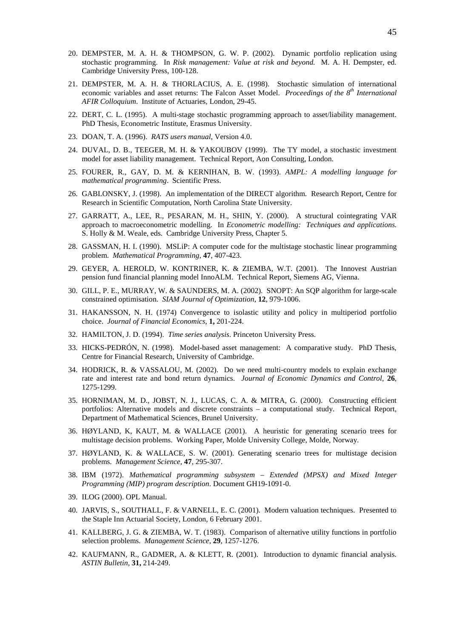- 20. DEMPSTER, M. A. H. & THOMPSON, G. W. P. (2002). Dynamic portfolio replication using stochastic programming. In *Risk management: Value at risk and beyond.* M. A. H. Dempster, ed. Cambridge University Press, 100-128.
- 21. DEMPSTER, M. A. H. & THORLACIUS, A. E. (1998). Stochastic simulation of international economic variables and asset returns: The Falcon Asset Model. *Proceedings of the 8th International AFIR Colloquium*. Institute of Actuaries, London, 29-45.
- 22. DERT, C. L. (1995). A multi-stage stochastic programming approach to asset/liability management. PhD Thesis, Econometric Institute, Erasmus University.
- 23. DOAN, T. A. (1996). *RATS users manual*, Version 4.0.
- 24. DUVAL, D. B., TEEGER, M. H. & YAKOUBOV (1999). The TY model, a stochastic investment model for asset liability management. Technical Report, Aon Consulting, London.
- 25. FOURER, R., GAY, D. M. & KERNIHAN, B. W. (1993). *AMPL: A modelling language for mathematical programming*. Scientific Press.
- 26. GABLONSKY, J. (1998). An implementation of the DIRECT algorithm. Research Report, Centre for Research in Scientific Computation, North Carolina State University.
- 27. GARRATT, A., LEE, R., PESARAN, M. H., SHIN, Y. (2000). A structural cointegrating VAR approach to macroeconometric modelling. In *Econometric modelling: Techniques and applications.* S. Holly & M. Weale, eds. Cambridge University Press, Chapter 5.
- 28. GASSMAN, H. I. (1990). MSLiP: A computer code for the multistage stochastic linear programming problem. *Mathematical Programming*, **47**, 407-423.
- 29. GEYER, A. HEROLD, W. KONTRINER, K. & ZIEMBA, W.T. (2001). The Innovest Austrian pension fund financial planning model InnoALM. Technical Report, Siemens AG, Vienna.
- 30. GILL, P. E., MURRAY, W. & SAUNDERS, M. A. (2002). SNOPT: An SQP algorithm for large-scale constrained optimisation. *SIAM Journal of Optimization*, **12**, 979-1006.
- 31. HAKANSSON, N. H. (1974) Convergence to isolastic utility and policy in multiperiod portfolio choice. *Journal of Financial Economics*, **1,** 201-224.
- 32. HAMILTON, J. D. (1994). *Time series analysis*. Princeton University Press.
- 33. HICKS-PEDRÓN, N. (1998). Model-based asset management: A comparative study. PhD Thesis, Centre for Financial Research, University of Cambridge.
- 34. HODRICK, R. & VASSALOU, M. (2002). Do we need multi-country models to explain exchange rate and interest rate and bond return dynamics. *Journal of Economic Dynamics and Control*, **26**, 1275-1299.
- 35. HORNIMAN, M. D., JOBST, N. J., LUCAS, C. A. & MITRA, G. (2000). Constructing efficient portfolios: Alternative models and discrete constraints – a computational study. Technical Report, Department of Mathematical Sciences, Brunel University.
- 36. HØYLAND, K, KAUT, M. & WALLACE (2001). A heuristic for generating scenario trees for multistage decision problems. Working Paper, Molde University College, Molde, Norway.
- 37. HØYLAND, K. & WALLACE, S. W. (2001). Generating scenario trees for multistage decision problems. *Management Science,* **47**, 295-307.
- 38. IBM (1972). *Mathematical programming subsystem Extended (MPSX) and Mixed Integer Programming (MIP) program description*. Document GH19-1091-0.
- 39. ILOG (2000). OPL Manual.
- 40. JARVIS, S., SOUTHALL, F. & VARNELL, E. C. (2001). Modern valuation techniques. Presented to the Staple Inn Actuarial Society, London, 6 February 2001.
- 41. KALLBERG, J. G. & ZIEMBA, W. T. (1983). Comparison of alternative utility functions in portfolio selection problems. *Management Science*, **29**, 1257-1276.
- 42. KAUFMANN, R., GADMER, A. & KLETT, R. (2001). Introduction to dynamic financial analysis. *ASTIN Bulletin,* **31,** 214-249.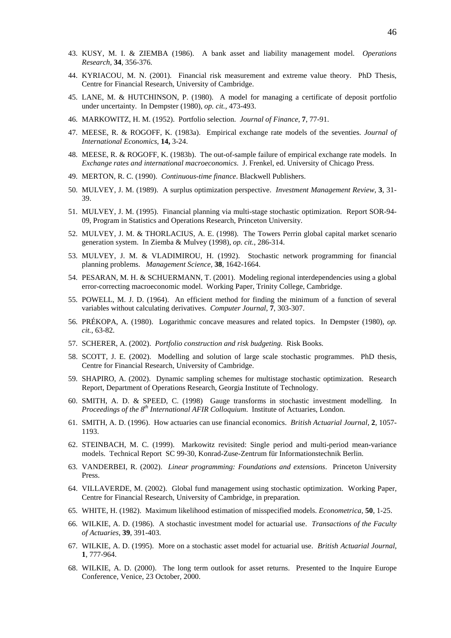- 43. KUSY, M. I. & ZIEMBA (1986). A bank asset and liability management model. *Operations Research,* **34**, 356-376.
- 44. KYRIACOU, M. N. (2001). Financial risk measurement and extreme value theory. PhD Thesis, Centre for Financial Research, University of Cambridge.
- 45. LANE, M. & HUTCHINSON, P. (1980). A model for managing a certificate of deposit portfolio under uncertainty. In Dempster (1980), *op. cit.*, 473-493.
- 46. MARKOWITZ, H. M. (1952). Portfolio selection. *Journal of Finance*, **7**, 77-91.
- 47. MEESE, R. & ROGOFF, K. (1983a). Empirical exchange rate models of the seventies. *Journal of International Economics*, **14,** 3-24.
- 48. MEESE, R. & ROGOFF, K. (1983b). The out-of-sample failure of empirical exchange rate models. In *Exchange rates and international macroeconomics*. J. Frenkel, ed. University of Chicago Press.
- 49. MERTON, R. C. (1990). *Continuous-time finance*. Blackwell Publishers.
- 50. MULVEY, J. M. (1989). A surplus optimization perspective. *Investment Management Review*, **3**, 31- 39.
- 51. MULVEY, J. M. (1995). Financial planning via multi-stage stochastic optimization. Report SOR-94- 09, Program in Statistics and Operations Research, Princeton University.
- 52. MULVEY, J. M. & THORLACIUS, A. E. (1998). The Towers Perrin global capital market scenario generation system. In Ziemba & Mulvey (1998), *op. cit.*, 286-314.
- 53. MULVEY, J. M. & VLADIMIROU, H. (1992). Stochastic network programming for financial planning problems. *Management Science,* **38**, 1642-1664.
- 54. PESARAN, M. H. & SCHUERMANN, T. (2001). Modeling regional interdependencies using a global error-correcting macroeconomic model. Working Paper, Trinity College, Cambridge.
- 55. POWELL, M. J. D. (1964). An efficient method for finding the minimum of a function of several variables without calculating derivatives. *Computer Journal*, **7**, 303-307.
- 56. PRÉKOPA, A. (1980). Logarithmic concave measures and related topics. In Dempster (1980), *op. cit.*, 63-82.
- 57. SCHERER, A. (2002). *Portfolio construction and risk budgeting.* Risk Books.
- 58. SCOTT, J. E. (2002). Modelling and solution of large scale stochastic programmes. PhD thesis, Centre for Financial Research, University of Cambridge.
- 59. SHAPIRO, A. (2002). Dynamic sampling schemes for multistage stochastic optimization. Research Report, Department of Operations Research, Georgia Institute of Technology.
- 60. SMITH, A. D. & SPEED, C. (1998) Gauge transforms in stochastic investment modelling. In *Proceedings of the 8th International AFIR Colloquium*. Institute of Actuaries, London.
- 61. SMITH, A. D. (1996). How actuaries can use financial economics. *British Actuarial Journal,* **2**, 1057- 1193.
- 62. STEINBACH, M. C. (1999). Markowitz revisited: Single period and multi-period mean-variance models. Technical Report SC 99-30, Konrad-Zuse-Zentrum für Informationstechnik Berlin.
- 63. VANDERBEI, R. (2002). *Linear programming: Foundations and extensions*. Princeton University Press.
- 64. VILLAVERDE, M. (2002). Global fund management using stochastic optimization. Working Paper, Centre for Financial Research, University of Cambridge, in preparation*.*
- 65. WHITE, H. (1982). Maximum likelihood estimation of misspecified models. *Econometrica*, **50**, 1-25.
- 66. WILKIE, A. D. (1986). A stochastic investment model for actuarial use. *Transactions of the Faculty of Actuaries*, **39**, 391-403.
- 67. WILKIE, A. D. (1995). More on a stochastic asset model for actuarial use. *British Actuarial Journal*, **1**, 777-964.
- 68. WILKIE, A. D. (2000). The long term outlook for asset returns. Presented to the Inquire Europe Conference, Venice, 23 October, 2000.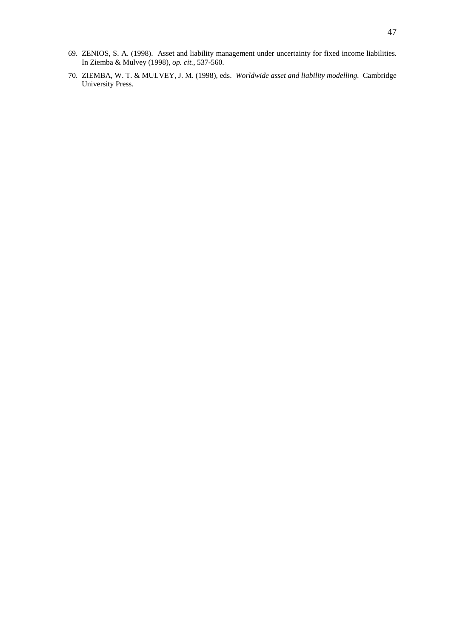- 69. ZENIOS, S. A. (1998). Asset and liability management under uncertainty for fixed income liabilities. In Ziemba & Mulvey (1998), *op. cit.,* 537-560.
- 70. ZIEMBA, W. T. & MULVEY, J. M. (1998), eds. *Worldwide asset and liability modelling.* Cambridge University Press.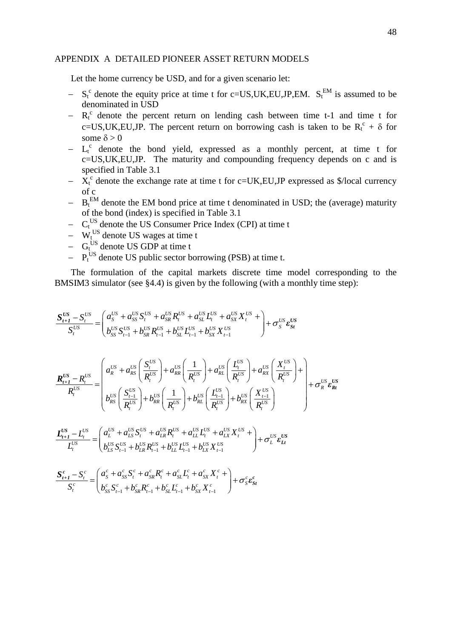# APPENDIX A DETAILED PIONEER ASSET RETURN MODELS

Let the home currency be USD, and for a given scenario let:

- $S_t^c$  denote the equity price at time t for c=US,UK,EU,JP,EM.  $S_t^{EM}$  is assumed to be denominated in USD
- $R_t^c$  denote the percent return on lending cash between time t-1 and time t for c=US,UK,EU,JP. The percent return on borrowing cash is taken to be  $R_t^c + \delta$  for some  $\delta$  > 0
- $-$  L<sub>t</sub><sup>c</sup> denote the bond yield, expressed as a monthly percent, at time t for c=US,UK,EU,JP. The maturity and compounding frequency depends on c and is specified in Table 3.1
- $X_t^c$  denote the exchange rate at time t for c=UK,EU,JP expressed as \$/local currency of c
- $-$  B<sub>t</sub><sup>EM</sup> denote the EM bond price at time t denominated in USD; the (average) maturity of the bond (index) is specified in Table 3.1
- $-C_t^{\text{US}}$  denote the US Consumer Price Index (CPI) at time t
- $-$  W<sub>t</sub><sup>US</sup> denote US wages at time t
- $-$  G<sub>t</sub><sup>US</sup> denote US GDP at time t
- $-$  P<sub>t</sub><sup>US</sup> denote US public sector borrowing (PSB) at time t.

The formulation of the capital markets discrete time model corresponding to the BMSIM3 simulator (see §4.4) is given by the following (with a monthly time step):

$$
\frac{S_{t+1}^{US} - S_{t}^{US}}{S_{t}^{US}} = \begin{pmatrix} a_{S}^{US} + a_{SS}^{US} S_{t}^{US} + a_{SR}^{US} R_{t}^{US} + a_{SL}^{US} L_{t}^{US} + a_{SX}^{US} X_{t}^{US} + \frac{1}{2} A_{S}^{US} S_{S}^{US} \\ b_{SS}^{US} S_{t-1}^{US} + b_{SR}^{US} R_{t-1}^{US} + b_{SL}^{US} L_{t-1}^{US} + b_{SX}^{US} X_{t-1}^{US} \end{pmatrix} + \sigma_{S}^{US} \epsilon_{SR}^{US} \\ \frac{R_{t+1}^{US} - R_{t}^{US}}{R_{t}^{US}} = \begin{pmatrix} a_{R}^{US} + a_{RS}^{US} \left( \frac{S_{t}^{US}}{R_{t}^{US}} \right) + a_{RR}^{US} \left( \frac{1}{R_{t}^{US}} \right) + a_{RL}^{US} \left( \frac{L_{t}^{US}}{R_{t}^{US}} \right) + a_{RX}^{US} \left( \frac{X_{t}^{US}}{R_{t}^{US}} \right) + \frac{1}{2} A_{R}^{US} \epsilon_{SR}^{US} \\ b_{RS}^{US} \left( \frac{S_{t-1}^{US}}{R_{t}^{US}} \right) + b_{RR}^{US} \left( \frac{1}{R_{t}^{US}} \right) + b_{RL}^{US} \left( \frac{L_{t-1}^{US}}{R_{t}^{US}} \right) + b_{RX}^{US} \left( \frac{X_{t-1}^{US}}{R_{t}^{US}} \right) + \sigma_{R}^{US} \epsilon_{Rt}^{US} \\ L_{t+1}^{US} - L_{t}^{US} = \begin{pmatrix} a_{L}^{US} + a_{LS}^{US} S_{t}^{US} + a_{LR}^{US} R_{t}^{US} + a_{LL}^{US} X_{t-1}^{US} \\ b_{LS}^{US} S_{t-1}^{US} + b_{LR}^{US} R_{t-1}^{US} + b_{LL}^{US} L_{t-1}^{US} + b_{LX}^{US} X_{t-1}^{US} \end{pmatrix} + \sigma_{L}^{US} \epsilon_{Lt}^{US} \\ S_{t}^{c} - \frac{1}{2} \left( a_{S}^{c} + a_{SS}^{c} S_{t}^{
$$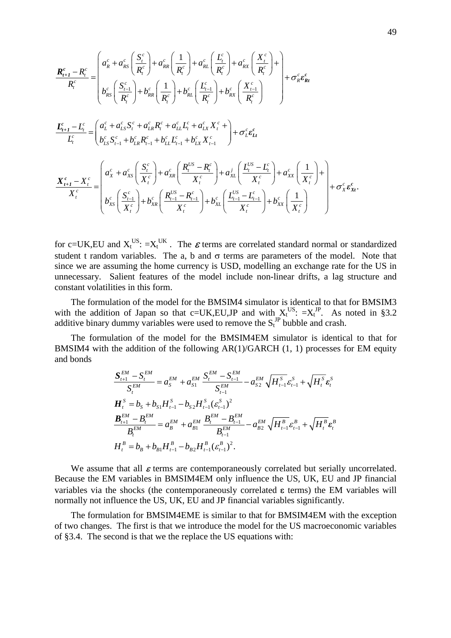$$
\frac{\boldsymbol{R}_{t+1}^{c} - R_{t}^{c}}{R_{t}^{c}} = \begin{pmatrix} a_{R}^{c} + a_{RS}^{c} \left( \frac{S_{t}^{c}}{R_{t}^{c}} \right) + a_{RR}^{c} \left( \frac{1}{R_{t}^{c}} \right) + a_{RL}^{c} \left( \frac{L_{t}^{c}}{R_{t}^{c}} \right) + a_{RX}^{c} \left( \frac{X_{t}^{c}}{R_{t}^{c}} \right) + \\ b_{RS}^{c} \left( \frac{S_{t-1}^{c}}{R_{t}^{c}} \right) + b_{RR}^{c} \left( \frac{1}{R_{t}^{c}} \right) + b_{RL}^{c} \left( \frac{L_{t-1}^{c}}{R_{t}^{c}} \right) + b_{RX}^{c} \left( \frac{X_{t-1}^{c}}{R_{t}^{c}} \right) + \sigma_{R}^{c} \boldsymbol{\epsilon}_{R t}^{c} \\ \frac{\boldsymbol{L}_{t+1}^{c} - L_{t}^{c}}{L_{t}^{c}} = \begin{pmatrix} a_{L}^{c} + a_{LS}^{c} S_{t}^{c} + a_{LR}^{c} R_{t}^{c} + a_{LL}^{c} L_{t}^{c} + a_{LX}^{c} X_{t}^{c} + \\ b_{LS}^{c} S_{t-1}^{c} + b_{LR}^{c} R_{t-1}^{c} + b_{LL}^{c} L_{t-1}^{c} + b_{LX}^{c} X_{t-1}^{c} \end{pmatrix} + \sigma_{L}^{c} \boldsymbol{\epsilon}_{L t}^{c} \\ \frac{\boldsymbol{X}_{t+1}^{c} - \boldsymbol{X}_{t}^{c}}{L_{t}^{c}} = \begin{pmatrix} a_{X}^{c} + a_{XS}^{c} \left( \frac{S_{t}^{c}}{X_{t}^{c}} \right) + a_{XR}^{c} \left( \frac{R_{t}^{US} - R_{t}^{c}}{X_{t}^{c}} \right) + a_{XL}^{j} \left( \frac{L_{t}^{US} - L_{t}^{c}}{X_{t}^{c}} \right) + a_{XX}^{c} \left( \frac{1}{X_{t}^{c}} \right) + \\ b_{XS}^{c} \left( \frac{S_{t-1}^{c}}{X_{t}^{c}} \right) + b_{XR}^{c} \left( \frac{R_{
$$

for c=UK, EU and  $X_t^{US}$ :  $=X_t^{UK}$ . The  $\boldsymbol{\varepsilon}$  terms are correlated standard normal or standardized student t random variables. The a, b and  $\sigma$  terms are parameters of the model. Note that since we are assuming the home currency is USD, modelling an exchange rate for the US in unnecessary. Salient features of the model include non-linear drifts, a lag structure and constant volatilities in this form.

The formulation of the model for the BMSIM4 simulator is identical to that for BMSIM3 with the addition of Japan so that c=UK,EU,JP and with  $X_t^{US}$ :  $=X_t^{JP}$ . As noted in §3.2 additive binary dummy variables were used to remove the  $S_t^{JP}$  bubble and crash.

The formulation of the model for the BMSIM4EM simulator is identical to that for BMSIM4 with the addition of the following  $AR(1)/GARCH$  (1, 1) processes for EM equity and bonds

$$
\frac{\mathbf{S}_{t+1}^{EM} - \mathbf{S}_{t}^{EM}}{\mathbf{S}_{t}^{EM}} = a_{s}^{EM} + a_{s1}^{EM} \frac{\mathbf{S}_{t}^{EM} - \mathbf{S}_{t-1}^{EM}}{\mathbf{S}_{t-1}^{EM}} - a_{s2}^{EM} \sqrt{H_{t-1}^{S}} \varepsilon_{t-1}^{S} + \sqrt{H_{t}^{S}} \varepsilon_{t}^{S}
$$
\n
$$
\mathbf{H}_{t}^{S} = b_{S} + b_{S1} H_{t-1}^{S} - b_{S2} H_{t-1}^{S} (\varepsilon_{t-1}^{S})^{2}
$$
\n
$$
\frac{\mathbf{B}_{t+1}^{EM} - \mathbf{B}_{t}^{EM}}{\mathbf{B}_{t}^{EM}} = a_{B}^{EM} + a_{B1}^{EM} \frac{\mathbf{B}_{t}^{EM} - \mathbf{B}_{t-1}^{EM}}{\mathbf{B}_{t-1}^{EM}} - a_{B2}^{EM} \sqrt{H_{t-1}^{B}} \varepsilon_{t-1}^{B} + \sqrt{H_{t}^{B}} \varepsilon_{t}^{B}
$$
\n
$$
H_{t}^{B} = b_{B} + b_{B1} H_{t-1}^{B} - b_{B2} H_{t-1}^{B} (\varepsilon_{t-1}^{B})^{2}.
$$

We assume that all  $\varepsilon$  terms are contemporaneously correlated but serially uncorrelated. Because the EM variables in BMSIM4EM only influence the US, UK, EU and JP financial variables via the shocks (the contemporaneously correlated  $\epsilon$  terms) the EM variables will normally not influence the US, UK, EU and JP financial variables significantly.

The formulation for BMSIM4EME is similar to that for BMSIM4EM with the exception of two changes. The first is that we introduce the model for the US macroeconomic variables of §3.4. The second is that we the replace the US equations with: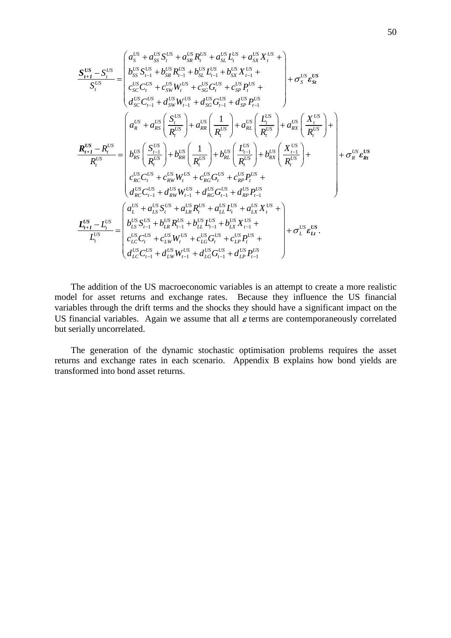$$
\frac{\mathbf{S}_{t+1}^{US} - \mathbf{S}_{t}^{US}}{\mathbf{S}_{t}^{US}} = \begin{pmatrix} a_{S}^{US} + a_{SS}^{US} \mathbf{S}_{t}^{US} + a_{SE}^{US} \mathbf{R}_{t}^{US} + a_{SE}^{US} \mathbf{L}_{t}^{US} + a_{SE}^{US} \mathbf{X}_{t}^{US} + \\ b_{SS}^{US} \mathbf{S}_{t-1}^{US} + b_{SR}^{US} \mathbf{R}_{t-1}^{US} + b_{SL}^{US} \mathbf{L}_{t-1}^{US} + b_{SS}^{US} \mathbf{X}_{t-1}^{US} + \\ c_{SC}^{US} \mathbf{C}_{t}^{US} + c_{SW}^{US} \mathbf{W}_{t}^{US} + c_{SG}^{US} \mathbf{G}_{t}^{US} + c_{SP}^{US} \mathbf{P}_{t}^{US} + \\ d_{SC}^{US} \mathbf{C}_{t-1}^{US} + d_{SW}^{US} \mathbf{W}_{t-1}^{US} + d_{SC}^{US} \mathbf{G}_{t-1}^{US} + d_{SP}^{US} \mathbf{P}_{t-1}^{US} \\ \mathbf{R}_{t}^{US} - \mathbf{R}_{t}^{US} \end{pmatrix} + a_{RS}^{US} \left( \frac{\mathbf{S}_{t}^{US}}{\mathbf{R}_{t}^{US}} \right) + a_{RR}^{US} \left( \frac{\mathbf{L}_{t-1}^{US}}{\mathbf{R}_{t}^{US}} \right) + a_{RX}^{US} \left( \frac{\mathbf{X}_{t-1}^{US}}{\mathbf{R}_{t}^{US}} \right) + \\ \mathbf{R}_{t+1}^{US} - \mathbf{R}_{t}^{US} \begin{pmatrix} \mathbf{S}_{t-1}^{US} \\ \mathbf{R}_{t}^{US} \end{pmatrix} + b_{RR}^{US} \left( \frac{1}{\mathbf{R}_{t}^{US}} \right) + b_{RL}^{US} \left( \frac{\mathbf{L}_{t-1}^{US}}{\mathbf{R}_{t}^{US}} \right) + b_{RX}^{US} \left( \frac{\mathbf{X}_{t-1}^{US}}{\mathbf{R}_{t}^{US}} \right) + \\ c_{RC}^{US} \mathbf{C}_{t}^{US} + c_{RW}^{US} \mathbf{W}_{t}^{US} + c_{RC}^{US} \mathbf{G}_{t}^{US} + c_{RP}
$$

The addition of the US macroeconomic variables is an attempt to create a more realistic model for asset returns and exchange rates. Because they influence the US financial variables through the drift terms and the shocks they should have a significant impact on the US financial variables. Again we assume that all  $\varepsilon$  terms are contemporaneously correlated but serially uncorrelated.

The generation of the dynamic stochastic optimisation problems requires the asset returns and exchange rates in each scenario. Appendix B explains how bond yields are transformed into bond asset returns.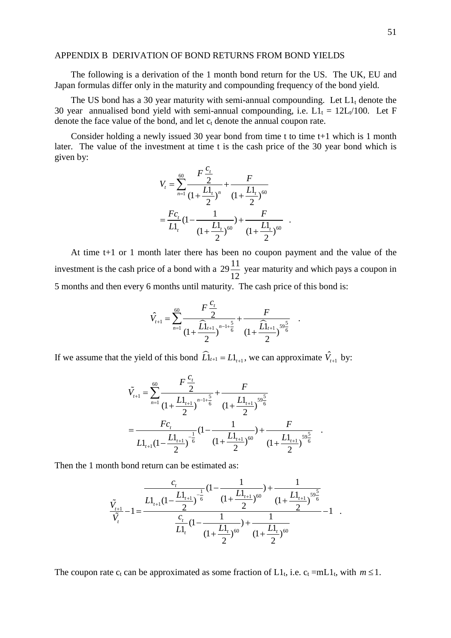# APPENDIX B DERIVATION OF BOND RETURNS FROM BOND YIELDS

The following is a derivation of the 1 month bond return for the US. The UK, EU and Japan formulas differ only in the maturity and compounding frequency of the bond yield.

The US bond has a 30 year maturity with semi-annual compounding. Let  $L_1$  denote the 30 year annualised bond yield with semi-annual compounding, i.e.  $L1_t = 12L_t/100$ . Let F denote the face value of the bond, and let  $c_t$  denote the annual coupon rate.

Consider holding a newly issued 30 year bond from time t to time  $t+1$  which is 1 month later. The value of the investment at time t is the cash price of the 30 year bond which is given by:

$$
V_{t} = \sum_{n=1}^{60} \frac{F \frac{C_{t}}{2}}{(1 + \frac{L1_{t}}{2})^{n}} + \frac{F}{(1 + \frac{L1_{t}}{2})^{60}}
$$
  
=  $\frac{Fc_{t}}{L1_{t}}(1 - \frac{1}{(1 + \frac{L1_{t}}{2})^{60}}) + \frac{F}{(1 + \frac{L1_{t}}{2})^{60}}$ .

At time t+1 or 1 month later there has been no coupon payment and the value of the investment is the cash price of a bond with a  $29\frac{11}{12}$  year maturity and which pays a coupon in 5 months and then every 6 months until maturity. The cash price of this bond is:

$$
\hat{V}_{t+1} = \sum_{n=1}^{60} \frac{F \frac{c_t}{2}}{(1 + \frac{\widehat{L}l_{t+1}}{2})^{n-1 + \frac{5}{6}}} + \frac{F}{(1 + \frac{\widehat{L}l_{t+1}}{2})^{59 \frac{5}{6}}}.
$$

If we assume that the yield of this bond  $\widehat{L}$   $L_{t+1} = L1$ <sub>*t*+1</sub>, we can approximate  $\hat{V}_{t+1}$  by:

$$
\tilde{V}_{t+1} = \sum_{n=1}^{60} \frac{F \frac{C_t}{2}}{(1 + \frac{L1_{t+1}}{2})^{n-1 + \frac{5}{6}}} + \frac{F}{(1 + \frac{L1_{t+1}}{2})^{59 \frac{5}{6}}}
$$
\n
$$
= \frac{Fc_t}{L1_{t+1}(1 - \frac{L1_{t+1}}{2})^{-\frac{1}{6}}} (1 - \frac{1}{(1 + \frac{L1_{t+1}}{2})^{60}}) + \frac{F}{(1 + \frac{L1_{t+1}}{2})^{59 \frac{5}{6}}}.
$$

Then the 1 month bond return can be estimated as:

$$
\frac{\tilde{V}_{t+1}}{\tilde{V}_{t}} - 1 = \frac{\frac{Ll_{t+1}}{Ll_{t+1}} \left(1 - \frac{Ll_{t+1}}{2}\right)^{-\frac{1}{6}} \left(1 + \frac{Ll_{t+1}}{2}\right)^{60}}{\frac{C_{t}}{Ll_{t}} \left(1 - \frac{1}{(1 + \frac{Ll_{t}}{2})^{60}}\right) + \frac{1}{(1 + \frac{Ll_{t}}{2})^{60}}} - 1.
$$

The coupon rate  $c_t$  can be approximated as some fraction of  $L1_t$ , i.e.  $c_t = mL1_t$ , with  $m \le 1$ .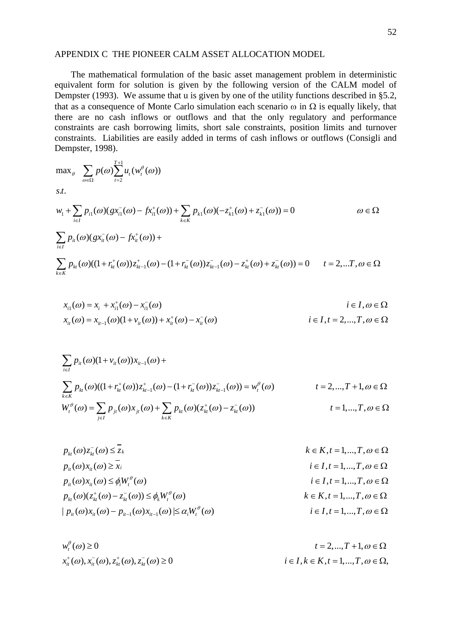# APPENDIX C THE PIONEER CALM ASSET ALLOCATION MODEL

The mathematical formulation of the basic asset management problem in deterministic equivalent form for solution is given by the following version of the CALM model of Dempster (1993). We assume that u is given by one of the utility functions described in §5.2, that as a consequence of Monte Carlo simulation each scenario  $\omega$  in  $\Omega$  is equally likely, that there are no cash inflows or outflows and that the only regulatory and performance constraints are cash borrowing limits, short sale constraints, position limits and turnover constraints. Liabilities are easily added in terms of cash inflows or outflows (Consigli and Dempster, 1998).

$$
\max_{\theta} \sum_{\omega \in \Omega} p(\omega) \sum_{t=2}^{T+1} u_t(w_t^{\theta}(\omega))
$$
  
s.t.  

$$
w_1 + \sum_{i \in I} p_{i1}(\omega) (gx_{i1}^-(\omega) - fx_{i1}^+(\omega)) + \sum_{k \in K} p_{k1}(\omega) (-z_{k1}^+(\omega) + z_{k1}^-(\omega)) = 0 \qquad \omega \in \Omega
$$
  

$$
\sum_{i \in I} p_{i1}(\omega) (gx_{i1}^-(\omega) - fx_{i1}^+(\omega)) +
$$
  

$$
\sum_{k \in K} p_{k1}(\omega) ((1 + r_{k1}^+(\omega)) z_{k1-1}^+(\omega) - (1 + r_{k1}^-(\omega)) z_{k1-1}^-(\omega) - z_{k1}^+(\omega) + z_{k1}^-(\omega)) = 0 \qquad t = 2,...T, \omega \in \Omega
$$

$$
x_{i1}(\omega) = x_i + x_{i1}^+(\omega) - x_{i1}^-(\omega)
$$
  
\n
$$
i \in I, \omega \in \Omega
$$
  
\n
$$
x_{i\ell}(\omega) = x_{i\ell-1}(\omega)(1 + v_{i\ell}(\omega)) + x_{i\ell}^+(\omega) - x_{i\ell}^-(\omega)
$$
  
\n
$$
i \in I, t = 2, ..., T, \omega \in \Omega
$$

$$
\sum_{i \in I} p_{it}(\omega)(1 + v_{it}(\omega))x_{it-1}(\omega) +
$$
\n
$$
\sum_{k \in K} p_{kt}(\omega)((1 + r_{kt}^{+}(\omega))z_{kt-1}^{+}(\omega) - (1 + r_{kt}^{-}(\omega))z_{kt-1}^{-}(\omega)) = w_{t}^{\theta}(\omega) \qquad t = 2,...,T + 1, \omega \in \Omega
$$
\n
$$
W_{t}^{\theta}(\omega) = \sum_{j \in I} p_{jt}(\omega)x_{jt}(\omega) + \sum_{k \in K} p_{kt}(\omega)(z_{kt}^{+}(\omega) - z_{kt}^{-}(\omega)) \qquad t = 1,...,T, \omega \in \Omega
$$

$$
p_{ki}(\omega) z_{ki}^-(\omega) \leq \overline{z_k}
$$
  
\n
$$
p_{ii}(\omega) x_{ii}(\omega) \geq \overline{x_i}
$$
  
\n
$$
p_{ii}(\omega) x_{ii}(\omega) \leq \phi_i W_i^{\theta}(\omega)
$$
  
\n
$$
p_{ki}(\omega) (z_{ki}^+(\omega) - z_{ki}^-(\omega)) \leq \phi_k W_i^{\theta}(\omega)
$$
  
\n
$$
i \in I, t = 1,...,T, \omega \in \Omega
$$
  
\n
$$
p_{ki}(\omega) (z_{ki}^+(\omega) - z_{ki}^-(\omega)) \leq \phi_k W_i^{\theta}(\omega)
$$
  
\n
$$
k \in K, t = 1,...,T, \omega \in \Omega
$$
  
\n
$$
k \in K, t = 1,...,T, \omega \in \Omega
$$
  
\n
$$
i \in I, t = 1,...,T, \omega \in \Omega
$$
  
\n
$$
i \in I, t = 1,...,T, \omega \in \Omega
$$

 $(t^{0}_{t}(a) \ge 0$   $t = 2,..., T + 1, \omega \in \Omega$  $x_{it}^{+}(\omega), x_{it}^{-}(\omega), z_{kt}^{+}(\omega), z_{kt}^{-}(\omega) \ge 0$  $w_t^{\theta}(\omega) \ge 0$  $\geq 0$   $t =$  $i \in I, k \in K, t = 1, \ldots, T, \omega \in \Omega$ ,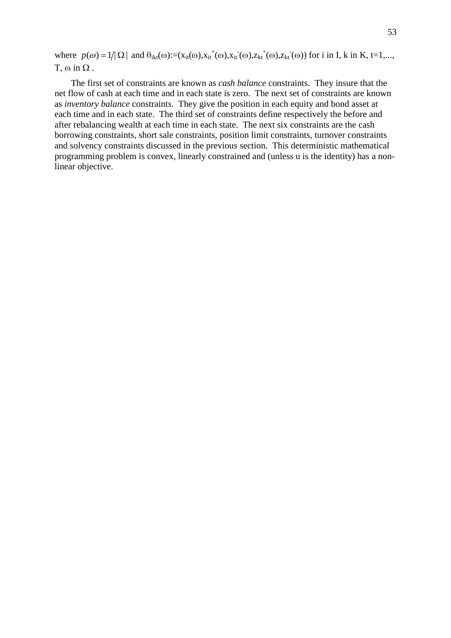where  $p(\omega) = 1/|\Omega|$  and  $\theta_{ikt}(\omega) := (x_{it}(\omega), x_{it}^+(\omega), x_{it}^-(\omega), z_{kt}^+(\omega), z_{kt}^-(\omega))$  for i in I, k in K, t=1,...,  $T, \omega$  in  $\Omega$ .

The first set of constraints are known as *cash balance* constraints. They insure that the net flow of cash at each time and in each state is zero. The next set of constraints are known as *inventory balance* constraint*s*. They give the position in each equity and bond asset at each time and in each state. The third set of constraints define respectively the before and after rebalancing wealth at each time in each state. The next six constraints are the cash borrowing constraints, short sale constraints, position limit constraints, turnover constraints and solvency constraints discussed in the previous section. This deterministic mathematical programming problem is convex, linearly constrained and (unless u is the identity) has a nonlinear objective.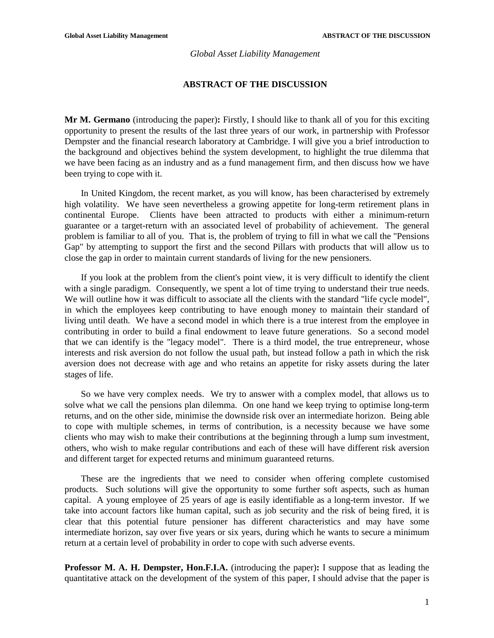### *Global Asset Liability Management*

## **ABSTRACT OF THE DISCUSSION**

**Mr M. Germano** (introducing the paper)**:** Firstly, I should like to thank all of you for this exciting opportunity to present the results of the last three years of our work, in partnership with Professor Dempster and the financial research laboratory at Cambridge. I will give you a brief introduction to the background and objectives behind the system development, to highlight the true dilemma that we have been facing as an industry and as a fund management firm, and then discuss how we have been trying to cope with it.

In United Kingdom, the recent market, as you will know, has been characterised by extremely high volatility. We have seen nevertheless a growing appetite for long-term retirement plans in continental Europe. Clients have been attracted to products with either a minimum-return guarantee or a target-return with an associated level of probability of achievement. The general problem is familiar to all of you. That is, the problem of trying to fill in what we call the "Pensions Gap" by attempting to support the first and the second Pillars with products that will allow us to close the gap in order to maintain current standards of living for the new pensioners.

If you look at the problem from the client's point view, it is very difficult to identify the client with a single paradigm. Consequently, we spent a lot of time trying to understand their true needs. We will outline how it was difficult to associate all the clients with the standard "life cycle model", in which the employees keep contributing to have enough money to maintain their standard of living until death. We have a second model in which there is a true interest from the employee in contributing in order to build a final endowment to leave future generations. So a second model that we can identify is the "legacy model". There is a third model, the true entrepreneur, whose interests and risk aversion do not follow the usual path, but instead follow a path in which the risk aversion does not decrease with age and who retains an appetite for risky assets during the later stages of life.

So we have very complex needs. We try to answer with a complex model, that allows us to solve what we call the pensions plan dilemma. On one hand we keep trying to optimise long-term returns, and on the other side, minimise the downside risk over an intermediate horizon. Being able to cope with multiple schemes, in terms of contribution, is a necessity because we have some clients who may wish to make their contributions at the beginning through a lump sum investment, others, who wish to make regular contributions and each of these will have different risk aversion and different target for expected returns and minimum guaranteed returns.

These are the ingredients that we need to consider when offering complete customised products. Such solutions will give the opportunity to some further soft aspects, such as human capital. A young employee of 25 years of age is easily identifiable as a long-term investor. If we take into account factors like human capital, such as job security and the risk of being fired, it is clear that this potential future pensioner has different characteristics and may have some intermediate horizon, say over five years or six years, during which he wants to secure a minimum return at a certain level of probability in order to cope with such adverse events.

**Professor M. A. H. Dempster, Hon.F.I.A.** (introducing the paper)**:** I suppose that as leading the quantitative attack on the development of the system of this paper, I should advise that the paper is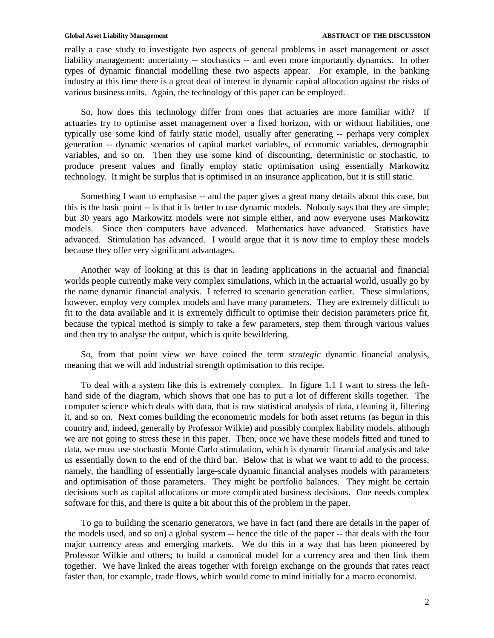really a case study to investigate two aspects of general problems in asset management or asset liability management: uncertainty -- stochastics -- and even more importantly dynamics. In other types of dynamic financial modelling these two aspects appear. For example, in the banking industry at this time there is a great deal of interest in dynamic capital allocation against the risks of various business units. Again, the technology of this paper can be employed.

So, how does this technology differ from ones that actuaries are more familiar with? If actuaries try to optimise asset management over a fixed horizon, with or without liabilities, one typically use some kind of fairly static model, usually after generating -- perhaps very complex generation -- dynamic scenarios of capital market variables, of economic variables, demographic variables, and so on. Then they use some kind of discounting, deterministic or stochastic, to produce present values and finally employ static optimisation using essentially Markowitz technology. It might be surplus that is optimised in an insurance application, but it is still static.

Something I want to emphasise -- and the paper gives a great many details about this case, but this is the basic point -- is that it is better to use dynamic models. Nobody says that they are simple; but 30 years ago Markowitz models were not simple either, and now everyone uses Markowitz models. Since then computers have advanced. Mathematics have advanced. Statistics have advanced. Stimulation has advanced. I would argue that it is now time to employ these models because they offer very significant advantages.

Another way of looking at this is that in leading applications in the actuarial and financial worlds people currently make very complex simulations, which in the actuarial world, usually go by the name dynamic financial analysis. I referred to scenario generation earlier. These simulations, however, employ very complex models and have many parameters. They are extremely difficult to fit to the data available and it is extremely difficult to optimise their decision parameters price fit, because the typical method is simply to take a few parameters, step them through various values and then try to analyse the output, which is quite bewildering.

So, from that point view we have coined the term *strategic* dynamic financial analysis, meaning that we will add industrial strength optimisation to this recipe.

To deal with a system like this is extremely complex. In figure 1.1 I want to stress the lefthand side of the diagram, which shows that one has to put a lot of different skills together. The computer science which deals with data, that is raw statistical analysis of data, cleaning it, filtering it, and so on. Next comes building the econometric models for both asset returns (as begun in this country and, indeed, generally by Professor Wilkie) and possibly complex liability models, although we are not going to stress these in this paper. Then, once we have these models fitted and tuned to data, we must use stochastic Monte Carlo stimulation, which is dynamic financial analysis and take us essentially down to the end of the third bar. Below that is what we want to add to the process; namely, the handling of essentially large-scale dynamic financial analyses models with parameters and optimisation of those parameters. They might be portfolio balances. They might be certain decisions such as capital allocations or more complicated business decisions. One needs complex software for this, and there is quite a bit about this of the problem in the paper.

To go to building the scenario generators, we have in fact (and there are details in the paper of the models used, and so on) a global system -- hence the title of the paper -- that deals with the four major currency areas and emerging markets. We do this in a way that has been pioneered by Professor Wilkie and others; to build a canonical model for a currency area and then link them together. We have linked the areas together with foreign exchange on the grounds that rates react faster than, for example, trade flows, which would come to mind initially for a macro economist.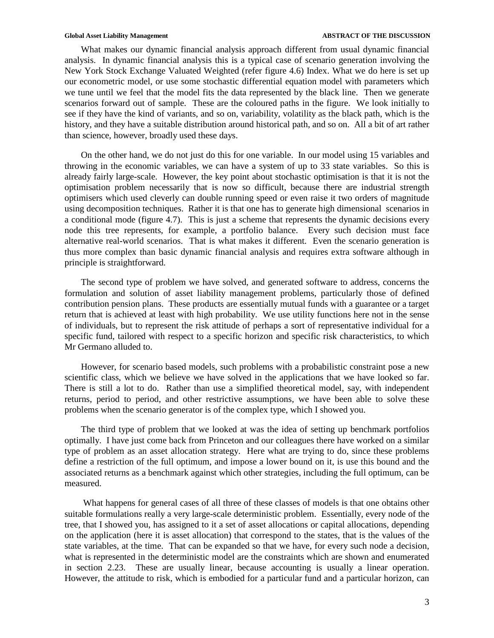What makes our dynamic financial analysis approach different from usual dynamic financial analysis. In dynamic financial analysis this is a typical case of scenario generation involving the New York Stock Exchange Valuated Weighted (refer figure 4.6) Index. What we do here is set up our econometric model, or use some stochastic differential equation model with parameters which we tune until we feel that the model fits the data represented by the black line. Then we generate scenarios forward out of sample. These are the coloured paths in the figure. We look initially to see if they have the kind of variants, and so on, variability, volatility as the black path, which is the history, and they have a suitable distribution around historical path, and so on. All a bit of art rather than science, however, broadly used these days.

On the other hand, we do not just do this for one variable. In our model using 15 variables and throwing in the economic variables, we can have a system of up to 33 state variables. So this is already fairly large-scale. However, the key point about stochastic optimisation is that it is not the optimisation problem necessarily that is now so difficult, because there are industrial strength optimisers which used cleverly can double running speed or even raise it two orders of magnitude using decomposition techniques. Rather it is that one has to generate high dimensional scenarios in a conditional mode (figure 4.7). This is just a scheme that represents the dynamic decisions every node this tree represents, for example, a portfolio balance. Every such decision must face alternative real-world scenarios. That is what makes it different. Even the scenario generation is thus more complex than basic dynamic financial analysis and requires extra software although in principle is straightforward.

The second type of problem we have solved, and generated software to address, concerns the formulation and solution of asset liability management problems, particularly those of defined contribution pension plans. These products are essentially mutual funds with a guarantee or a target return that is achieved at least with high probability. We use utility functions here not in the sense of individuals, but to represent the risk attitude of perhaps a sort of representative individual for a specific fund, tailored with respect to a specific horizon and specific risk characteristics, to which Mr Germano alluded to.

However, for scenario based models, such problems with a probabilistic constraint pose a new scientific class, which we believe we have solved in the applications that we have looked so far. There is still a lot to do. Rather than use a simplified theoretical model, say, with independent returns, period to period, and other restrictive assumptions, we have been able to solve these problems when the scenario generator is of the complex type, which I showed you.

The third type of problem that we looked at was the idea of setting up benchmark portfolios optimally. I have just come back from Princeton and our colleagues there have worked on a similar type of problem as an asset allocation strategy. Here what are trying to do, since these problems define a restriction of the full optimum, and impose a lower bound on it, is use this bound and the associated returns as a benchmark against which other strategies, including the full optimum, can be measured.

 What happens for general cases of all three of these classes of models is that one obtains other suitable formulations really a very large-scale deterministic problem. Essentially, every node of the tree, that I showed you, has assigned to it a set of asset allocations or capital allocations, depending on the application (here it is asset allocation) that correspond to the states, that is the values of the state variables, at the time. That can be expanded so that we have, for every such node a decision, what is represented in the deterministic model are the constraints which are shown and enumerated in section 2.23. These are usually linear, because accounting is usually a linear operation. However, the attitude to risk, which is embodied for a particular fund and a particular horizon, can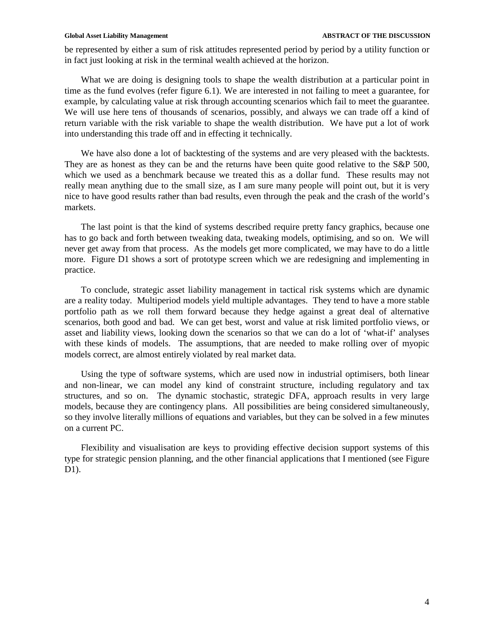be represented by either a sum of risk attitudes represented period by period by a utility function or in fact just looking at risk in the terminal wealth achieved at the horizon.

What we are doing is designing tools to shape the wealth distribution at a particular point in time as the fund evolves (refer figure 6.1). We are interested in not failing to meet a guarantee, for example, by calculating value at risk through accounting scenarios which fail to meet the guarantee. We will use here tens of thousands of scenarios, possibly, and always we can trade off a kind of return variable with the risk variable to shape the wealth distribution. We have put a lot of work into understanding this trade off and in effecting it technically.

We have also done a lot of backtesting of the systems and are very pleased with the backtests. They are as honest as they can be and the returns have been quite good relative to the S&P 500, which we used as a benchmark because we treated this as a dollar fund. These results may not really mean anything due to the small size, as I am sure many people will point out, but it is very nice to have good results rather than bad results, even through the peak and the crash of the world's markets.

The last point is that the kind of systems described require pretty fancy graphics, because one has to go back and forth between tweaking data, tweaking models, optimising, and so on. We will never get away from that process. As the models get more complicated, we may have to do a little more. Figure D1 shows a sort of prototype screen which we are redesigning and implementing in practice.

To conclude, strategic asset liability management in tactical risk systems which are dynamic are a reality today. Multiperiod models yield multiple advantages. They tend to have a more stable portfolio path as we roll them forward because they hedge against a great deal of alternative scenarios, both good and bad. We can get best, worst and value at risk limited portfolio views, or asset and liability views, looking down the scenarios so that we can do a lot of 'what-if' analyses with these kinds of models. The assumptions, that are needed to make rolling over of myopic models correct, are almost entirely violated by real market data.

Using the type of software systems, which are used now in industrial optimisers, both linear and non-linear, we can model any kind of constraint structure, including regulatory and tax structures, and so on. The dynamic stochastic, strategic DFA, approach results in very large models, because they are contingency plans. All possibilities are being considered simultaneously, so they involve literally millions of equations and variables, but they can be solved in a few minutes on a current PC.

Flexibility and visualisation are keys to providing effective decision support systems of this type for strategic pension planning, and the other financial applications that I mentioned (see Figure D1).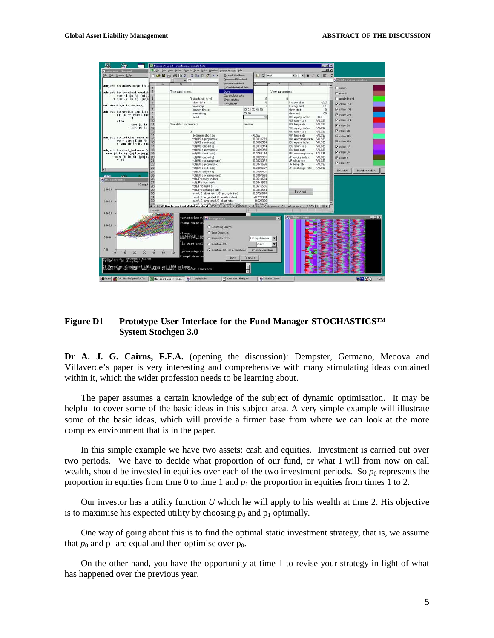| ы                        |                                                                                                                      |                                     |              | Microsoft Excel - stochgen Jexample1.xls |                                                                   |                                |                |                        |                 |                                                                                           | <b>HOM</b>       |                               |
|--------------------------|----------------------------------------------------------------------------------------------------------------------|-------------------------------------|--------------|------------------------------------------|-------------------------------------------------------------------|--------------------------------|----------------|------------------------|-----------------|-------------------------------------------------------------------------------------------|------------------|-------------------------------|
|                          | Carin mod - Horward                                                                                                  |                                     |              |                                          | X I File Edit Yew Insert Format Tools Data Window STOCHASTICS 960 |                                |                |                        |                 |                                                                                           | $= 100 \times 1$ |                               |
|                          | Die Leit Leasch Liebs                                                                                                |                                     |              |                                          | $D$ $B$ $B$ $B$ $B$ $C$ $V$ $A$ the $V$ $B$                       | Coreact Workbook               |                | Θ<br>$2^{\circ}$ Arial |                 | $\blacksquare$ $\blacksquare$ $\blacksquare$ $\blacksquare$ $\blacksquare$ $\blacksquare$ |                  |                               |
|                          |                                                                                                                      |                                     |              | $= 70$                                   |                                                                   | Disconnect Workbook            |                |                        |                 |                                                                                           |                  | Nodal solution variables      |
|                          |                                                                                                                      |                                     | $\wedge$     | B                                        |                                                                   | <b>Initialse Werkbook</b>      | lo.            |                        |                 | G                                                                                         | Ħ                |                               |
|                          | cubject to dawnside(n in 1                                                                                           |                                     |              |                                          |                                                                   | <b>Refresh historical data</b> |                |                        |                 |                                                                                           |                  | return                        |
|                          | subject to terminal wealth                                                                                           |                                     |              | Tree parameters                          |                                                                   | Sohre                          |                |                        | View parameters |                                                                                           |                  |                               |
|                          | sum {i in R} (p[i,                                                                                                   |                                     |              |                                          |                                                                   | Got strudator data             |                |                        |                 |                                                                                           |                  | wearm                         |
|                          | * sun (k in K) (pk[k] 4                                                                                              |                                     |              |                                          | 0 stuchastics ref                                                 | Show solution                  |                | $\theta$               |                 | $\Omega$                                                                                  |                  | made target                   |
|                          |                                                                                                                      |                                     |              |                                          | start date                                                        | Re-rittenen                    |                | 13                     |                 | <b>Fistory start</b>                                                                      | -222             | Visite USE                    |
|                          | war wealthin in nodes):                                                                                              | 6                                   |              |                                          | times:ep                                                          |                                |                |                        |                 | <b>Fistory end</b>                                                                        | 61               |                               |
|                          | subject to wealth c(n in n                                                                                           |                                     |              |                                          | branco times                                                      |                                | 12 24 36 48 60 |                        |                 | view start                                                                                | $\Omega$         | IV value LIRE                 |
|                          | $if (n - root)$ the                                                                                                  | $\alpha$<br>$\overline{\mathbf{u}}$ |              |                                          | tree string                                                       |                                | 20,10          |                        |                 | view end                                                                                  | 60               | V vatre UNS                   |
|                          |                                                                                                                      |                                     |              |                                          | seed                                                              |                                |                |                        |                 | US equity index<br>US short-rate                                                          | IRJE<br>FALSE    | V value UVb                   |
|                          | 0160<br>sum (i in                                                                                                    | 11                                  |              | Simulator parameters                     |                                                                   |                                | brngim         |                        |                 | US long-rate                                                                              | FALSE            |                               |
|                          | · sum (k in                                                                                                          | 12                                  |              |                                          |                                                                   |                                |                |                        |                 | UK equity index                                                                           | <b>FALSE</b>     | Value Es                      |
|                          |                                                                                                                      | 13                                  |              | $\mathbf{H}$                             |                                                                   |                                |                |                        |                 | UK short-rate                                                                             | FALSE            | V value Eb                    |
|                          |                                                                                                                      | 14                                  |              |                                          | deterministic flag                                                |                                |                | FALSE                  |                 | UK long-rate                                                                              | FALSE            | V value JPs                   |
|                          | subject to initial cash ba<br>$wo + sun\{\overline{1} \text{ in } \overline{R}\}\$                                   | 15                                  |              |                                          | vol(US equity index)                                              |                                |                | 0.0411779              |                 | UK exchanga rate                                                                          | <b>FALSE</b>     |                               |
|                          | * sun (k in K) (p)                                                                                                   | 16                                  |              |                                          | vol(US short-rate)                                                |                                |                | 0.0002594              |                 | EU equity index                                                                           | <b>FALSE</b>     | Visitio IPs                   |
|                          |                                                                                                                      |                                     |              |                                          | vol(US long-rate)                                                 |                                |                | 0.0315974              |                 | EU short-rate                                                                             | FALSE            | V value US                    |
|                          | subject to cash halance {c                                                                                           | 18                                  |              |                                          | vol(UK equity index)                                              |                                |                | 0.0499979              |                 | EU long-rate                                                                              | FALSE            | W value UK                    |
|                          | sun (i in R) (p[i,n]*(q[ 19                                                                                          |                                     |              |                                          | vol(UK chort-rate)                                                |                                |                | 0.0789165              |                 | EU exchange rate FALSE                                                                    |                  |                               |
|                          | - sun (k in K) (pk[k. 20<br>$- 0:$                                                                                   |                                     |              |                                          | vol(UK long-rate)                                                 |                                |                | 0.0321391              |                 | JP equity index                                                                           | <b>FALGE</b>     | IV value E                    |
|                          |                                                                                                                      | 21<br>$\overline{22}$               |              |                                          | vol(UK exchange rate)<br>vol(EU equity index)                     |                                |                | 0.0324372<br>0.04/8568 |                 | JP shcn-rate<br>JP long-rate                                                              | FALSE<br>FALSE   | V value JP                    |
|                          |                                                                                                                      | 23                                  |              |                                          | vol(EU short-rate)                                                |                                |                | 0.0483607              |                 | C exchange rate                                                                           | FALSE            |                               |
| нı                       |                                                                                                                      | 24                                  |              |                                          | vol(CU long-rate)                                                 |                                |                | 0.0303407              |                 |                                                                                           |                  | Salant All<br>twent relection |
| <b>DENGIN</b>            | $3.8 - 1$                                                                                                            | 26                                  |              |                                          | vol(EU exchange rate)                                             |                                |                | 0.0357592              |                 |                                                                                           |                  |                               |
| <b>CSUS</b> aquity indus |                                                                                                                      | 26                                  |              |                                          | vol(JP equity index)                                              |                                |                | 0.0514584              |                 |                                                                                           |                  |                               |
|                          | US equi                                                                                                              | 27                                  |              |                                          | vol(JP short-rate)                                                |                                |                | 0.0549622              |                 |                                                                                           |                  |                               |
|                          |                                                                                                                      | 28                                  |              |                                          | vol(JP long-rate)                                                 |                                |                | 0.0615555              |                 |                                                                                           |                  |                               |
| 2500.0                   |                                                                                                                      | 29                                  |              |                                          | vol(JP exchange rate)                                             |                                |                | 0.03/4544              |                 | <b>Backtert</b>                                                                           |                  |                               |
|                          |                                                                                                                      | 30                                  |              |                                          | com/LS short-rate,US coulty index:                                |                                |                | 0.0721819              |                 |                                                                                           |                  |                               |
|                          |                                                                                                                      | 31                                  |              |                                          | com(l, S long-rate US equity index)                               |                                |                | $-0.223394$            |                 |                                                                                           |                  |                               |
| 2000.0                   |                                                                                                                      | 32                                  |              |                                          | corr(LS long-rate US short-rate)                                  |                                |                | 0.523325               |                 |                                                                                           |                  |                               |
|                          |                                                                                                                      |                                     |              |                                          |                                                                   |                                |                |                        |                 | albidoy / desparante / tuned parane-no / NATO   4                                         |                  |                               |
|                          |                                                                                                                      |                                     | <b>Haady</b> |                                          |                                                                   |                                |                |                        |                 |                                                                                           |                  |                               |
| 1500.0                   |                                                                                                                      |                                     |              |                                          |                                                                   |                                |                |                        |                 |                                                                                           |                  |                               |
|                          |                                                                                                                      |                                     |              | pc\stochgen\                             | Charge data                                                       |                                |                |                        | $\vert x \vert$ | ×                                                                                         |                  | x                             |
|                          |                                                                                                                      |                                     |              | TampINdemoko                             |                                                                   |                                |                |                        |                 |                                                                                           |                  |                               |
| 10000                    |                                                                                                                      |                                     |              |                                          | C Bounding Boxoc                                                  |                                |                |                        |                 |                                                                                           |                  |                               |
|                          |                                                                                                                      |                                     |              |                                          | <b>C</b> Trco Structuro                                           |                                |                |                        |                 |                                                                                           |                  |                               |
|                          |                                                                                                                      |                                     |              | ulumur<br>nd 150662 nun<br>007115579e-05 |                                                                   |                                |                |                        |                 |                                                                                           |                  |                               |
| 500.0                    |                                                                                                                      |                                     |              |                                          | C Binulato data                                                   |                                |                | US couty indox         |                 |                                                                                           |                  |                               |
|                          |                                                                                                                      |                                     |              |                                          | is very small<br>C Boution eats                                   |                                |                | roturn                 |                 |                                                                                           |                  |                               |
|                          |                                                                                                                      |                                     |              |                                          |                                                                   |                                |                |                        |                 |                                                                                           |                  |                               |
| n n<br>n                 |                                                                                                                      |                                     |              | pc\stochgen'<br>EO                       |                                                                   | C So ution data as proportions |                | Choose variables       |                 |                                                                                           |                  |                               |
|                          | 10<br>20                                                                                                             | 40                                  | 50           | J'omp1'sleep's                           |                                                                   |                                |                |                        |                 |                                                                                           |                  |                               |
|                          | AMPL Version 20010215 Uin32                                                                                          |                                     |              |                                          |                                                                   | <b>ADDIV</b>                   | <b>Dismiss</b> |                        |                 |                                                                                           |                  |                               |
|                          | CPLEX 7.1.0: dioplay 1                                                                                               |                                     |              |                                          |                                                                   |                                |                |                        |                 |                                                                                           |                  |                               |
|                          | QP Presolve eliminated 1981 rous and 1589 columns.<br>Reduced QP has 34601 rous, 45462 columns, and 150652 nonzeros. |                                     |              |                                          |                                                                   |                                |                |                        |                 |                                                                                           |                  |                               |
|                          |                                                                                                                      |                                     |              |                                          |                                                                   |                                |                |                        |                 |                                                                                           |                  |                               |
|                          |                                                                                                                      |                                     |              |                                          |                                                                   | 14 Paulin most - Notingart     |                |                        | - Soldern count |                                                                                           |                  | $R = 1617$                    |
|                          | Start SAC With INSpires OUM X Hicrosoft Excel - stoc 2216 equip index                                                |                                     |              |                                          |                                                                   |                                |                |                        |                 |                                                                                           |                  |                               |

# **Figure D1 Prototype User Interface for the Fund Manager STOCHASTICS™ System Stochgen 3.0**

**Dr A. J. G. Cairns, F.F.A.** (opening the discussion): Dempster, Germano, Medova and Villaverde's paper is very interesting and comprehensive with many stimulating ideas contained within it, which the wider profession needs to be learning about.

The paper assumes a certain knowledge of the subject of dynamic optimisation. It may be helpful to cover some of the basic ideas in this subject area. A very simple example will illustrate some of the basic ideas, which will provide a firmer base from where we can look at the more complex environment that is in the paper.

In this simple example we have two assets: cash and equities. Investment is carried out over two periods. We have to decide what proportion of our fund, or what I will from now on call wealth, should be invested in equities over each of the two investment periods. So  $p_0$  represents the proportion in equities from time 0 to time 1 and  $p_1$  the proportion in equities from times 1 to 2.

Our investor has a utility function *U* which he will apply to his wealth at time 2. His objective is to maximise his expected utility by choosing  $p_0$  and  $p_1$  optimally.

One way of going about this is to find the optimal static investment strategy, that is, we assume that  $p_0$  and  $p_1$  are equal and then optimise over  $p_0$ .

On the other hand, you have the opportunity at time 1 to revise your strategy in light of what has happened over the previous year.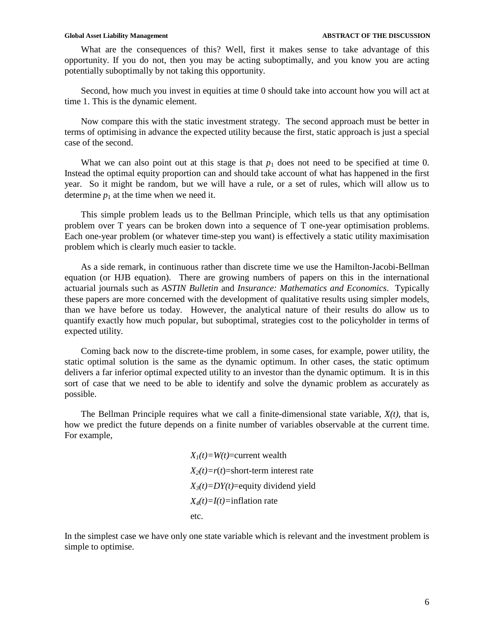What are the consequences of this? Well, first it makes sense to take advantage of this opportunity. If you do not, then you may be acting suboptimally, and you know you are acting potentially suboptimally by not taking this opportunity.

Second, how much you invest in equities at time 0 should take into account how you will act at time 1. This is the dynamic element.

Now compare this with the static investment strategy. The second approach must be better in terms of optimising in advance the expected utility because the first, static approach is just a special case of the second.

What we can also point out at this stage is that  $p_1$  does not need to be specified at time 0. Instead the optimal equity proportion can and should take account of what has happened in the first year. So it might be random, but we will have a rule, or a set of rules, which will allow us to determine  $p_1$  at the time when we need it.

This simple problem leads us to the Bellman Principle, which tells us that any optimisation problem over T years can be broken down into a sequence of T one-year optimisation problems. Each one-year problem (or whatever time-step you want) is effectively a static utility maximisation problem which is clearly much easier to tackle.

As a side remark, in continuous rather than discrete time we use the Hamilton-Jacobi-Bellman equation (or HJB equation). There are growing numbers of papers on this in the international actuarial journals such as *ASTIN Bulletin* and *Insurance: Mathematics and Economics*. Typically these papers are more concerned with the development of qualitative results using simpler models, than we have before us today. However, the analytical nature of their results do allow us to quantify exactly how much popular, but suboptimal, strategies cost to the policyholder in terms of expected utility.

Coming back now to the discrete-time problem, in some cases, for example, power utility, the static optimal solution is the same as the dynamic optimum. In other cases, the static optimum delivers a far inferior optimal expected utility to an investor than the dynamic optimum. It is in this sort of case that we need to be able to identify and solve the dynamic problem as accurately as possible.

The Bellman Principle requires what we call a finite-dimensional state variable, *X(t)*, that is, how we predict the future depends on a finite number of variables observable at the current time. For example,

> $X_1(t) = W(t)$ =current wealth  $X_2(t)=r(t)=$ short-term interest rate *X3(t)=DY(t)*=equity dividend yield *X4(t)=I(t)=*inflation rate etc.

In the simplest case we have only one state variable which is relevant and the investment problem is simple to optimise.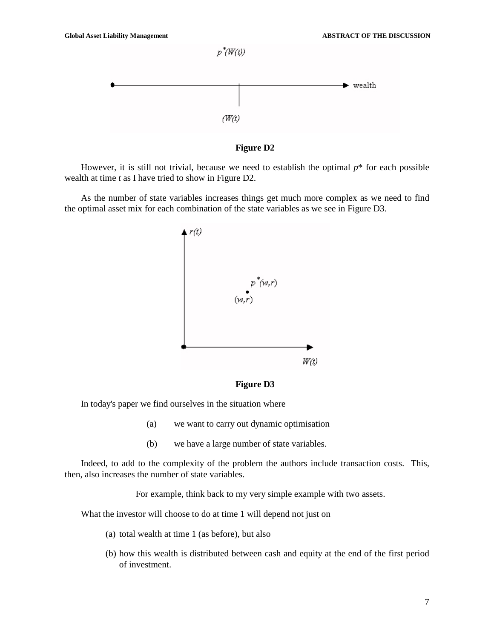

**Figure D2** 

However, it is still not trivial, because we need to establish the optimal *p*\* for each possible wealth at time *t* as I have tried to show in Figure D2.

As the number of state variables increases things get much more complex as we need to find the optimal asset mix for each combination of the state variables as we see in Figure D3.



**Figure D3** 

In today's paper we find ourselves in the situation where

- (a) we want to carry out dynamic optimisation
- (b) we have a large number of state variables.

Indeed, to add to the complexity of the problem the authors include transaction costs. This, then, also increases the number of state variables.

For example, think back to my very simple example with two assets.

What the investor will choose to do at time 1 will depend not just on

- (a) total wealth at time 1 (as before), but also
- (b) how this wealth is distributed between cash and equity at the end of the first period of investment.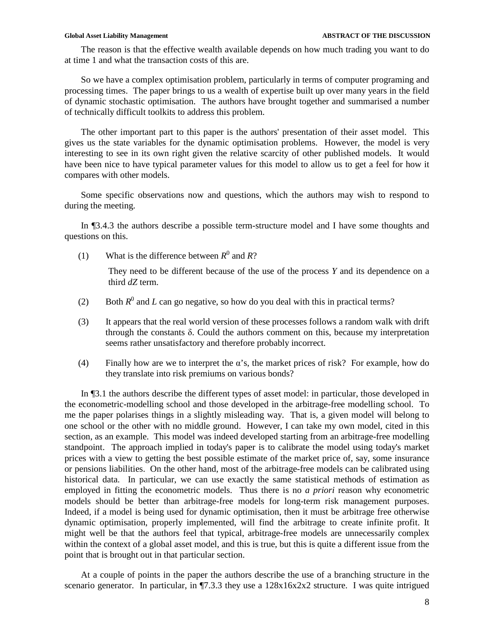The reason is that the effective wealth available depends on how much trading you want to do at time 1 and what the transaction costs of this are.

So we have a complex optimisation problem, particularly in terms of computer programing and processing times. The paper brings to us a wealth of expertise built up over many years in the field of dynamic stochastic optimisation. The authors have brought together and summarised a number of technically difficult toolkits to address this problem.

The other important part to this paper is the authors' presentation of their asset model. This gives us the state variables for the dynamic optimisation problems. However, the model is very interesting to see in its own right given the relative scarcity of other published models. It would have been nice to have typical parameter values for this model to allow us to get a feel for how it compares with other models.

Some specific observations now and questions, which the authors may wish to respond to during the meeting.

In ¶3.4.3 the authors describe a possible term-structure model and I have some thoughts and questions on this.

(1) What is the difference between  $R^0$  and  $R$ ?

They need to be different because of the use of the process *Y* and its dependence on a third *dZ* term.

- (2) Both  $R^0$  and *L* can go negative, so how do you deal with this in practical terms?
- (3) It appears that the real world version of these processes follows a random walk with drift through the constants δ. Could the authors comment on this, because my interpretation seems rather unsatisfactory and therefore probably incorrect.
- (4) Finally how are we to interpret the  $\alpha$ 's, the market prices of risk? For example, how do they translate into risk premiums on various bonds?

In ¶3.1 the authors describe the different types of asset model: in particular, those developed in the econometric-modelling school and those developed in the arbitrage-free modelling school. To me the paper polarises things in a slightly misleading way. That is, a given model will belong to one school or the other with no middle ground. However, I can take my own model, cited in this section, as an example. This model was indeed developed starting from an arbitrage-free modelling standpoint. The approach implied in today's paper is to calibrate the model using today's market prices with a view to getting the best possible estimate of the market price of, say, some insurance or pensions liabilities. On the other hand, most of the arbitrage-free models can be calibrated using historical data. In particular, we can use exactly the same statistical methods of estimation as employed in fitting the econometric models. Thus there is no *a priori* reason why econometric models should be better than arbitrage-free models for long-term risk management purposes. Indeed, if a model is being used for dynamic optimisation, then it must be arbitrage free otherwise dynamic optimisation, properly implemented, will find the arbitrage to create infinite profit. It might well be that the authors feel that typical, arbitrage-free models are unnecessarily complex within the context of a global asset model, and this is true, but this is quite a different issue from the point that is brought out in that particular section.

At a couple of points in the paper the authors describe the use of a branching structure in the scenario generator. In particular, in ¶7.3.3 they use a  $128x16x2x2$  structure. I was quite intrigued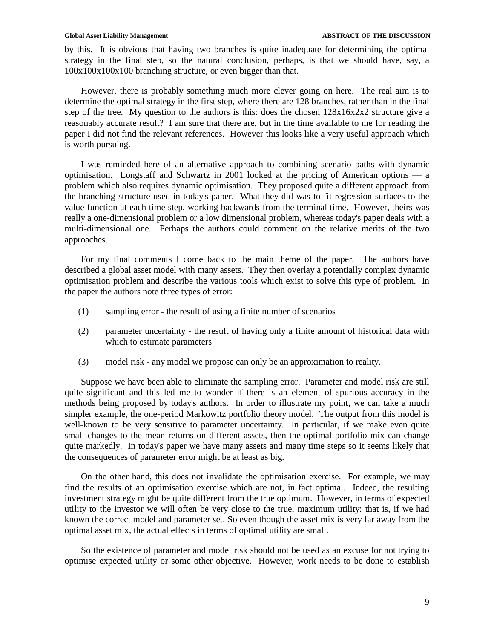by this. It is obvious that having two branches is quite inadequate for determining the optimal strategy in the final step, so the natural conclusion, perhaps, is that we should have, say, a 100x100x100x100 branching structure, or even bigger than that.

However, there is probably something much more clever going on here. The real aim is to determine the optimal strategy in the first step, where there are 128 branches, rather than in the final step of the tree. My question to the authors is this: does the chosen  $128x16x2x2$  structure give a reasonably accurate result? I am sure that there are, but in the time available to me for reading the paper I did not find the relevant references. However this looks like a very useful approach which is worth pursuing.

I was reminded here of an alternative approach to combining scenario paths with dynamic optimisation. Longstaff and Schwartz in 2001 looked at the pricing of American options — a problem which also requires dynamic optimisation. They proposed quite a different approach from the branching structure used in today's paper. What they did was to fit regression surfaces to the value function at each time step, working backwards from the terminal time. However, theirs was really a one-dimensional problem or a low dimensional problem, whereas today's paper deals with a multi-dimensional one. Perhaps the authors could comment on the relative merits of the two approaches.

For my final comments I come back to the main theme of the paper. The authors have described a global asset model with many assets. They then overlay a potentially complex dynamic optimisation problem and describe the various tools which exist to solve this type of problem. In the paper the authors note three types of error:

- (1) sampling error the result of using a finite number of scenarios
- (2) parameter uncertainty the result of having only a finite amount of historical data with which to estimate parameters
- (3) model risk any model we propose can only be an approximation to reality.

Suppose we have been able to eliminate the sampling error. Parameter and model risk are still quite significant and this led me to wonder if there is an element of spurious accuracy in the methods being proposed by today's authors. In order to illustrate my point, we can take a much simpler example, the one-period Markowitz portfolio theory model. The output from this model is well-known to be very sensitive to parameter uncertainty. In particular, if we make even quite small changes to the mean returns on different assets, then the optimal portfolio mix can change quite markedly. In today's paper we have many assets and many time steps so it seems likely that the consequences of parameter error might be at least as big.

On the other hand, this does not invalidate the optimisation exercise. For example, we may find the results of an optimisation exercise which are not, in fact optimal. Indeed, the resulting investment strategy might be quite different from the true optimum. However, in terms of expected utility to the investor we will often be very close to the true, maximum utility: that is, if we had known the correct model and parameter set. So even though the asset mix is very far away from the optimal asset mix, the actual effects in terms of optimal utility are small.

So the existence of parameter and model risk should not be used as an excuse for not trying to optimise expected utility or some other objective. However, work needs to be done to establish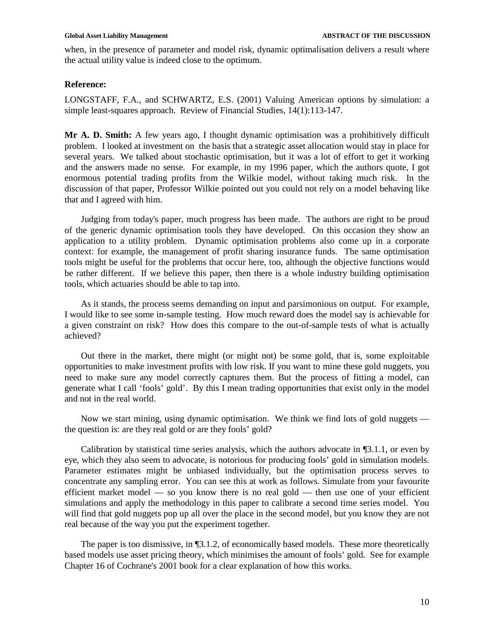when, in the presence of parameter and model risk, dynamic optimalisation delivers a result where the actual utility value is indeed close to the optimum.

## **Reference:**

LONGSTAFF, F.A., and SCHWARTZ, E.S. (2001) Valuing American options by simulation: a simple least-squares approach. Review of Financial Studies, 14(1):113-147.

**Mr A. D. Smith:** A few years ago, I thought dynamic optimisation was a prohibitively difficult problem. I looked at investment on the basis that a strategic asset allocation would stay in place for several years. We talked about stochastic optimisation, but it was a lot of effort to get it working and the answers made no sense. For example, in my 1996 paper, which the authors quote, I got enormous potential trading profits from the Wilkie model, without taking much risk. In the discussion of that paper, Professor Wilkie pointed out you could not rely on a model behaving like that and I agreed with him.

Judging from today's paper, much progress has been made. The authors are right to be proud of the generic dynamic optimisation tools they have developed. On this occasion they show an application to a utility problem. Dynamic optimisation problems also come up in a corporate context: for example, the management of profit sharing insurance funds. The same optimisation tools might be useful for the problems that occur here, too, although the objective functions would be rather different. If we believe this paper, then there is a whole industry building optimisation tools, which actuaries should be able to tap into.

As it stands, the process seems demanding on input and parsimonious on output. For example, I would like to see some in-sample testing. How much reward does the model say is achievable for a given constraint on risk? How does this compare to the out-of-sample tests of what is actually achieved?

Out there in the market, there might (or might not) be some gold, that is, some exploitable opportunities to make investment profits with low risk. If you want to mine these gold nuggets, you need to make sure any model correctly captures them. But the process of fitting a model, can generate what I call 'fools' gold'. By this I mean trading opportunities that exist only in the model and not in the real world.

Now we start mining, using dynamic optimisation. We think we find lots of gold nuggets the question is: are they real gold or are they fools' gold?

Calibration by statistical time series analysis, which the authors advocate in ¶3.1.1, or even by eye, which they also seem to advocate, is notorious for producing fools' gold in simulation models. Parameter estimates might be unbiased individually, but the optimisation process serves to concentrate any sampling error. You can see this at work as follows. Simulate from your favourite efficient market model — so you know there is no real gold — then use one of your efficient simulations and apply the methodology in this paper to calibrate a second time series model. You will find that gold nuggets pop up all over the place in the second model, but you know they are not real because of the way you put the experiment together.

The paper is too dismissive, in ¶3.1.2, of economically based models. These more theoretically based models use asset pricing theory, which minimises the amount of fools' gold. See for example Chapter 16 of Cochrane's 2001 book for a clear explanation of how this works.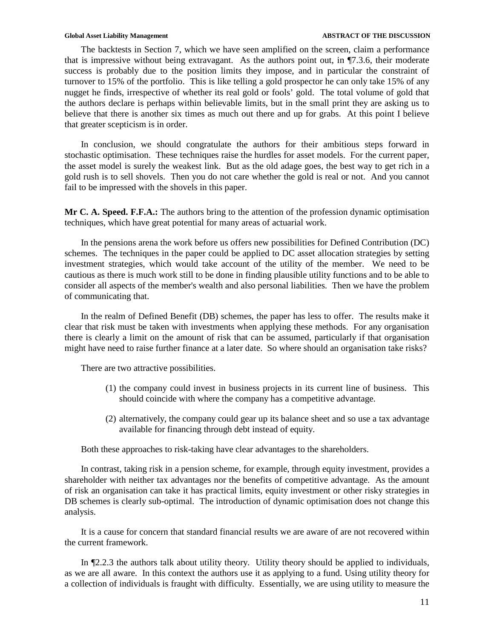The backtests in Section 7, which we have seen amplified on the screen, claim a performance that is impressive without being extravagant. As the authors point out, in ¶7.3.6, their moderate success is probably due to the position limits they impose, and in particular the constraint of turnover to 15% of the portfolio. This is like telling a gold prospector he can only take 15% of any nugget he finds, irrespective of whether its real gold or fools' gold. The total volume of gold that the authors declare is perhaps within believable limits, but in the small print they are asking us to believe that there is another six times as much out there and up for grabs. At this point I believe that greater scepticism is in order.

In conclusion, we should congratulate the authors for their ambitious steps forward in stochastic optimisation. These techniques raise the hurdles for asset models. For the current paper, the asset model is surely the weakest link. But as the old adage goes, the best way to get rich in a gold rush is to sell shovels. Then you do not care whether the gold is real or not. And you cannot fail to be impressed with the shovels in this paper.

**Mr C. A. Speed. F.F.A.:** The authors bring to the attention of the profession dynamic optimisation techniques, which have great potential for many areas of actuarial work.

In the pensions arena the work before us offers new possibilities for Defined Contribution (DC) schemes. The techniques in the paper could be applied to DC asset allocation strategies by setting investment strategies, which would take account of the utility of the member. We need to be cautious as there is much work still to be done in finding plausible utility functions and to be able to consider all aspects of the member's wealth and also personal liabilities. Then we have the problem of communicating that.

In the realm of Defined Benefit (DB) schemes, the paper has less to offer. The results make it clear that risk must be taken with investments when applying these methods. For any organisation there is clearly a limit on the amount of risk that can be assumed, particularly if that organisation might have need to raise further finance at a later date. So where should an organisation take risks?

There are two attractive possibilities.

- (1) the company could invest in business projects in its current line of business. This should coincide with where the company has a competitive advantage.
- (2) alternatively, the company could gear up its balance sheet and so use a tax advantage available for financing through debt instead of equity.

Both these approaches to risk-taking have clear advantages to the shareholders.

In contrast, taking risk in a pension scheme, for example, through equity investment, provides a shareholder with neither tax advantages nor the benefits of competitive advantage. As the amount of risk an organisation can take it has practical limits, equity investment or other risky strategies in DB schemes is clearly sub-optimal. The introduction of dynamic optimisation does not change this analysis.

It is a cause for concern that standard financial results we are aware of are not recovered within the current framework.

In ¶2.2.3 the authors talk about utility theory. Utility theory should be applied to individuals, as we are all aware. In this context the authors use it as applying to a fund. Using utility theory for a collection of individuals is fraught with difficulty. Essentially, we are using utility to measure the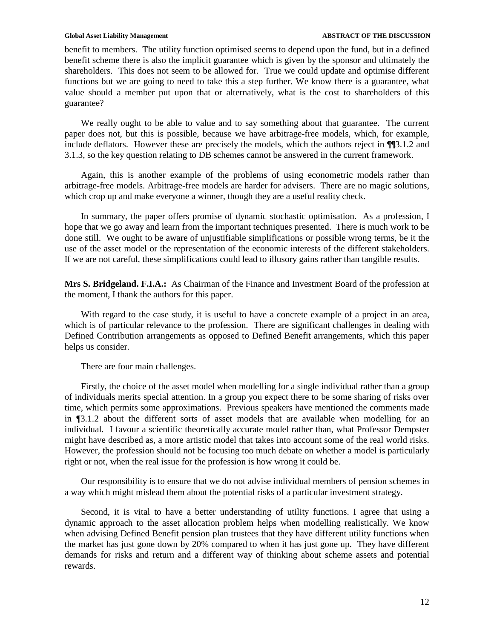### Global Asset Liability Management **ABSTRACT OF THE DISCUSSION**

benefit to members. The utility function optimised seems to depend upon the fund, but in a defined benefit scheme there is also the implicit guarantee which is given by the sponsor and ultimately the shareholders. This does not seem to be allowed for. True we could update and optimise different functions but we are going to need to take this a step further. We know there is a guarantee, what value should a member put upon that or alternatively, what is the cost to shareholders of this guarantee?

We really ought to be able to value and to say something about that guarantee. The current paper does not, but this is possible, because we have arbitrage-free models, which, for example, include deflators. However these are precisely the models, which the authors reject in ¶¶3.1.2 and 3.1.3, so the key question relating to DB schemes cannot be answered in the current framework.

Again, this is another example of the problems of using econometric models rather than arbitrage-free models. Arbitrage-free models are harder for advisers. There are no magic solutions, which crop up and make everyone a winner, though they are a useful reality check.

In summary, the paper offers promise of dynamic stochastic optimisation. As a profession, I hope that we go away and learn from the important techniques presented. There is much work to be done still. We ought to be aware of unjustifiable simplifications or possible wrong terms, be it the use of the asset model or the representation of the economic interests of the different stakeholders. If we are not careful, these simplifications could lead to illusory gains rather than tangible results.

**Mrs S. Bridgeland. F.I.A.:** As Chairman of the Finance and Investment Board of the profession at the moment, I thank the authors for this paper.

With regard to the case study, it is useful to have a concrete example of a project in an area, which is of particular relevance to the profession. There are significant challenges in dealing with Defined Contribution arrangements as opposed to Defined Benefit arrangements, which this paper helps us consider.

There are four main challenges.

Firstly, the choice of the asset model when modelling for a single individual rather than a group of individuals merits special attention. In a group you expect there to be some sharing of risks over time, which permits some approximations. Previous speakers have mentioned the comments made in ¶3.1.2 about the different sorts of asset models that are available when modelling for an individual. I favour a scientific theoretically accurate model rather than, what Professor Dempster might have described as, a more artistic model that takes into account some of the real world risks. However, the profession should not be focusing too much debate on whether a model is particularly right or not, when the real issue for the profession is how wrong it could be.

Our responsibility is to ensure that we do not advise individual members of pension schemes in a way which might mislead them about the potential risks of a particular investment strategy.

Second, it is vital to have a better understanding of utility functions. I agree that using a dynamic approach to the asset allocation problem helps when modelling realistically. We know when advising Defined Benefit pension plan trustees that they have different utility functions when the market has just gone down by 20% compared to when it has just gone up. They have different demands for risks and return and a different way of thinking about scheme assets and potential rewards.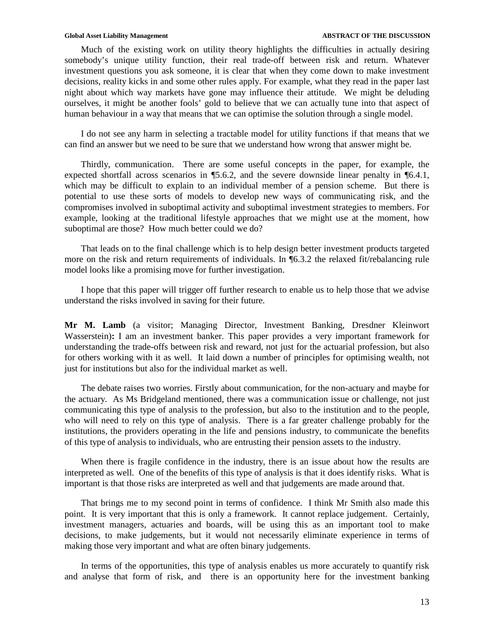Much of the existing work on utility theory highlights the difficulties in actually desiring somebody's unique utility function, their real trade-off between risk and return. Whatever investment questions you ask someone, it is clear that when they come down to make investment decisions, reality kicks in and some other rules apply. For example, what they read in the paper last night about which way markets have gone may influence their attitude. We might be deluding ourselves, it might be another fools' gold to believe that we can actually tune into that aspect of human behaviour in a way that means that we can optimise the solution through a single model.

I do not see any harm in selecting a tractable model for utility functions if that means that we can find an answer but we need to be sure that we understand how wrong that answer might be.

Thirdly, communication. There are some useful concepts in the paper, for example, the expected shortfall across scenarios in ¶5.6.2, and the severe downside linear penalty in ¶6.4.1, which may be difficult to explain to an individual member of a pension scheme. But there is potential to use these sorts of models to develop new ways of communicating risk, and the compromises involved in suboptimal activity and suboptimal investment strategies to members. For example, looking at the traditional lifestyle approaches that we might use at the moment, how suboptimal are those? How much better could we do?

That leads on to the final challenge which is to help design better investment products targeted more on the risk and return requirements of individuals. In **[6.3.2** the relaxed fit/rebalancing rule model looks like a promising move for further investigation.

I hope that this paper will trigger off further research to enable us to help those that we advise understand the risks involved in saving for their future.

**Mr M. Lamb** (a visitor; Managing Director, Investment Banking, Dresdner Kleinwort Wasserstein)**:** I am an investment banker. This paper provides a very important framework for understanding the trade-offs between risk and reward, not just for the actuarial profession, but also for others working with it as well. It laid down a number of principles for optimising wealth, not just for institutions but also for the individual market as well.

The debate raises two worries. Firstly about communication, for the non-actuary and maybe for the actuary. As Ms Bridgeland mentioned, there was a communication issue or challenge, not just communicating this type of analysis to the profession, but also to the institution and to the people, who will need to rely on this type of analysis. There is a far greater challenge probably for the institutions, the providers operating in the life and pensions industry, to communicate the benefits of this type of analysis to individuals, who are entrusting their pension assets to the industry.

When there is fragile confidence in the industry, there is an issue about how the results are interpreted as well. One of the benefits of this type of analysis is that it does identify risks. What is important is that those risks are interpreted as well and that judgements are made around that.

That brings me to my second point in terms of confidence. I think Mr Smith also made this point. It is very important that this is only a framework. It cannot replace judgement. Certainly, investment managers, actuaries and boards, will be using this as an important tool to make decisions, to make judgements, but it would not necessarily eliminate experience in terms of making those very important and what are often binary judgements.

In terms of the opportunities, this type of analysis enables us more accurately to quantify risk and analyse that form of risk, and there is an opportunity here for the investment banking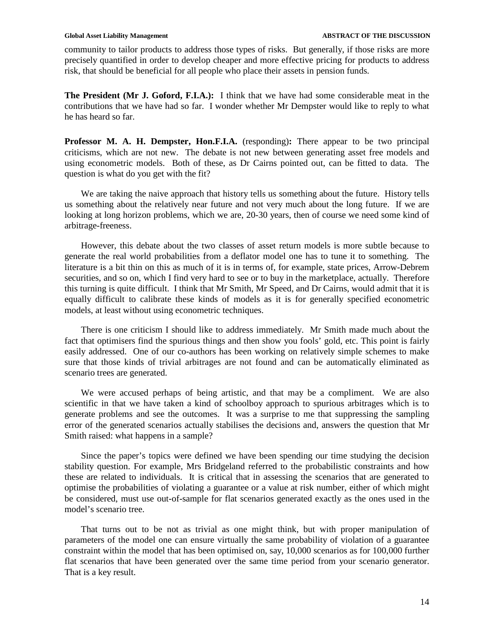community to tailor products to address those types of risks. But generally, if those risks are more precisely quantified in order to develop cheaper and more effective pricing for products to address risk, that should be beneficial for all people who place their assets in pension funds.

**The President (Mr J. Goford, F.I.A.):** I think that we have had some considerable meat in the contributions that we have had so far. I wonder whether Mr Dempster would like to reply to what he has heard so far.

**Professor M. A. H. Dempster, Hon.F.I.A.** (responding)**:** There appear to be two principal criticisms, which are not new. The debate is not new between generating asset free models and using econometric models. Both of these, as Dr Cairns pointed out, can be fitted to data. The question is what do you get with the fit?

We are taking the naive approach that history tells us something about the future. History tells us something about the relatively near future and not very much about the long future. If we are looking at long horizon problems, which we are, 20-30 years, then of course we need some kind of arbitrage-freeness.

However, this debate about the two classes of asset return models is more subtle because to generate the real world probabilities from a deflator model one has to tune it to something. The literature is a bit thin on this as much of it is in terms of, for example, state prices, Arrow-Debrem securities, and so on, which I find very hard to see or to buy in the marketplace, actually. Therefore this turning is quite difficult. I think that Mr Smith, Mr Speed, and Dr Cairns, would admit that it is equally difficult to calibrate these kinds of models as it is for generally specified econometric models, at least without using econometric techniques.

There is one criticism I should like to address immediately. Mr Smith made much about the fact that optimisers find the spurious things and then show you fools' gold, etc. This point is fairly easily addressed. One of our co-authors has been working on relatively simple schemes to make sure that those kinds of trivial arbitrages are not found and can be automatically eliminated as scenario trees are generated.

We were accused perhaps of being artistic, and that may be a compliment. We are also scientific in that we have taken a kind of schoolboy approach to spurious arbitrages which is to generate problems and see the outcomes. It was a surprise to me that suppressing the sampling error of the generated scenarios actually stabilises the decisions and, answers the question that Mr Smith raised: what happens in a sample?

Since the paper's topics were defined we have been spending our time studying the decision stability question. For example, Mrs Bridgeland referred to the probabilistic constraints and how these are related to individuals. It is critical that in assessing the scenarios that are generated to optimise the probabilities of violating a guarantee or a value at risk number, either of which might be considered, must use out-of-sample for flat scenarios generated exactly as the ones used in the model's scenario tree.

That turns out to be not as trivial as one might think, but with proper manipulation of parameters of the model one can ensure virtually the same probability of violation of a guarantee constraint within the model that has been optimised on, say, 10,000 scenarios as for 100,000 further flat scenarios that have been generated over the same time period from your scenario generator. That is a key result.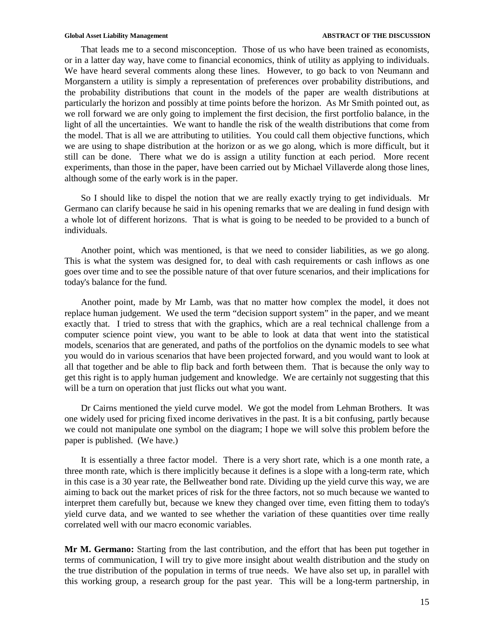That leads me to a second misconception. Those of us who have been trained as economists, or in a latter day way, have come to financial economics, think of utility as applying to individuals. We have heard several comments along these lines. However, to go back to von Neumann and Morganstern a utility is simply a representation of preferences over probability distributions, and the probability distributions that count in the models of the paper are wealth distributions at particularly the horizon and possibly at time points before the horizon. As Mr Smith pointed out, as we roll forward we are only going to implement the first decision, the first portfolio balance, in the light of all the uncertainties. We want to handle the risk of the wealth distributions that come from the model. That is all we are attributing to utilities. You could call them objective functions, which we are using to shape distribution at the horizon or as we go along, which is more difficult, but it still can be done. There what we do is assign a utility function at each period. More recent experiments, than those in the paper, have been carried out by Michael Villaverde along those lines, although some of the early work is in the paper.

So I should like to dispel the notion that we are really exactly trying to get individuals. Mr Germano can clarify because he said in his opening remarks that we are dealing in fund design with a whole lot of different horizons. That is what is going to be needed to be provided to a bunch of individuals.

Another point, which was mentioned, is that we need to consider liabilities, as we go along. This is what the system was designed for, to deal with cash requirements or cash inflows as one goes over time and to see the possible nature of that over future scenarios, and their implications for today's balance for the fund.

Another point, made by Mr Lamb, was that no matter how complex the model, it does not replace human judgement. We used the term "decision support system" in the paper, and we meant exactly that. I tried to stress that with the graphics, which are a real technical challenge from a computer science point view, you want to be able to look at data that went into the statistical models, scenarios that are generated, and paths of the portfolios on the dynamic models to see what you would do in various scenarios that have been projected forward, and you would want to look at all that together and be able to flip back and forth between them. That is because the only way to get this right is to apply human judgement and knowledge. We are certainly not suggesting that this will be a turn on operation that just flicks out what you want.

Dr Cairns mentioned the yield curve model. We got the model from Lehman Brothers. It was one widely used for pricing fixed income derivatives in the past. It is a bit confusing, partly because we could not manipulate one symbol on the diagram; I hope we will solve this problem before the paper is published. (We have.)

It is essentially a three factor model. There is a very short rate, which is a one month rate, a three month rate, which is there implicitly because it defines is a slope with a long-term rate, which in this case is a 30 year rate, the Bellweather bond rate. Dividing up the yield curve this way, we are aiming to back out the market prices of risk for the three factors, not so much because we wanted to interpret them carefully but, because we knew they changed over time, even fitting them to today's yield curve data, and we wanted to see whether the variation of these quantities over time really correlated well with our macro economic variables.

**Mr M. Germano:** Starting from the last contribution, and the effort that has been put together in terms of communication, I will try to give more insight about wealth distribution and the study on the true distribution of the population in terms of true needs. We have also set up, in parallel with this working group, a research group for the past year. This will be a long-term partnership, in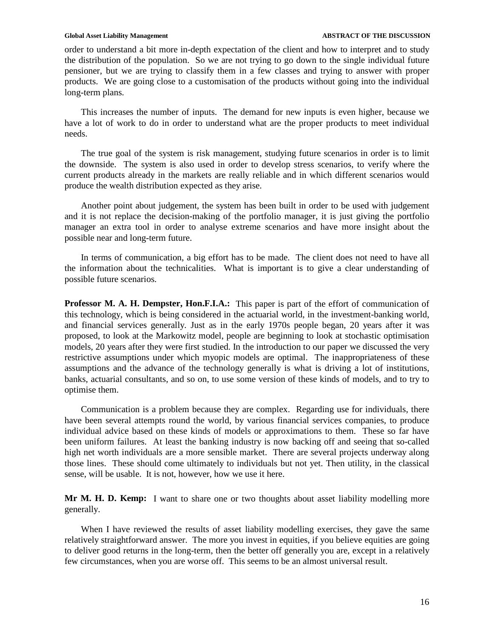### Global Asset Liability Management **ABSTRACT OF THE DISCUSSION**

order to understand a bit more in-depth expectation of the client and how to interpret and to study the distribution of the population. So we are not trying to go down to the single individual future pensioner, but we are trying to classify them in a few classes and trying to answer with proper products. We are going close to a customisation of the products without going into the individual long-term plans.

This increases the number of inputs. The demand for new inputs is even higher, because we have a lot of work to do in order to understand what are the proper products to meet individual needs.

The true goal of the system is risk management, studying future scenarios in order is to limit the downside. The system is also used in order to develop stress scenarios, to verify where the current products already in the markets are really reliable and in which different scenarios would produce the wealth distribution expected as they arise.

Another point about judgement, the system has been built in order to be used with judgement and it is not replace the decision-making of the portfolio manager, it is just giving the portfolio manager an extra tool in order to analyse extreme scenarios and have more insight about the possible near and long-term future.

In terms of communication, a big effort has to be made. The client does not need to have all the information about the technicalities. What is important is to give a clear understanding of possible future scenarios.

**Professor M. A. H. Dempster, Hon.F.I.A.:** This paper is part of the effort of communication of this technology, which is being considered in the actuarial world, in the investment-banking world, and financial services generally. Just as in the early 1970s people began, 20 years after it was proposed, to look at the Markowitz model, people are beginning to look at stochastic optimisation models, 20 years after they were first studied. In the introduction to our paper we discussed the very restrictive assumptions under which myopic models are optimal. The inappropriateness of these assumptions and the advance of the technology generally is what is driving a lot of institutions, banks, actuarial consultants, and so on, to use some version of these kinds of models, and to try to optimise them.

Communication is a problem because they are complex. Regarding use for individuals, there have been several attempts round the world, by various financial services companies, to produce individual advice based on these kinds of models or approximations to them. These so far have been uniform failures. At least the banking industry is now backing off and seeing that so-called high net worth individuals are a more sensible market. There are several projects underway along those lines. These should come ultimately to individuals but not yet. Then utility, in the classical sense, will be usable. It is not, however, how we use it here.

**Mr M. H. D. Kemp:** I want to share one or two thoughts about asset liability modelling more generally.

When I have reviewed the results of asset liability modelling exercises, they gave the same relatively straightforward answer. The more you invest in equities, if you believe equities are going to deliver good returns in the long-term, then the better off generally you are, except in a relatively few circumstances, when you are worse off. This seems to be an almost universal result.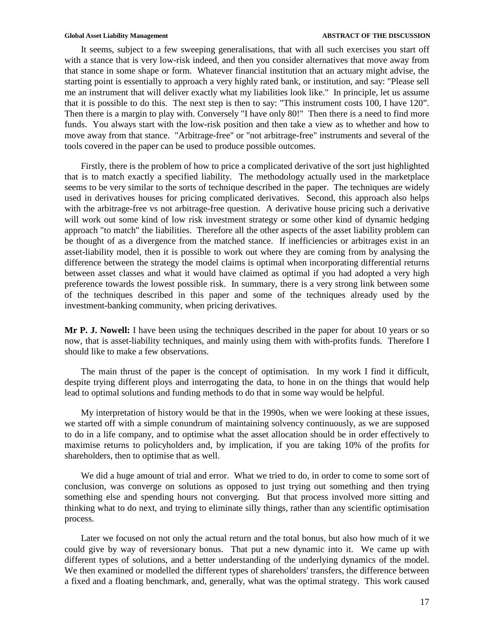It seems, subject to a few sweeping generalisations, that with all such exercises you start off with a stance that is very low-risk indeed, and then you consider alternatives that move away from that stance in some shape or form. Whatever financial institution that an actuary might advise, the starting point is essentially to approach a very highly rated bank, or institution, and say: "Please sell me an instrument that will deliver exactly what my liabilities look like." In principle, let us assume that it is possible to do this. The next step is then to say: "This instrument costs 100, I have 120". Then there is a margin to play with. Conversely "I have only 80!" Then there is a need to find more funds. You always start with the low-risk position and then take a view as to whether and how to move away from that stance. "Arbitrage-free" or "not arbitrage-free" instruments and several of the tools covered in the paper can be used to produce possible outcomes.

Firstly, there is the problem of how to price a complicated derivative of the sort just highlighted that is to match exactly a specified liability. The methodology actually used in the marketplace seems to be very similar to the sorts of technique described in the paper. The techniques are widely used in derivatives houses for pricing complicated derivatives. Second, this approach also helps with the arbitrage-free vs not arbitrage-free question. A derivative house pricing such a derivative will work out some kind of low risk investment strategy or some other kind of dynamic hedging approach "to match" the liabilities. Therefore all the other aspects of the asset liability problem can be thought of as a divergence from the matched stance. If inefficiencies or arbitrages exist in an asset-liability model, then it is possible to work out where they are coming from by analysing the difference between the strategy the model claims is optimal when incorporating differential returns between asset classes and what it would have claimed as optimal if you had adopted a very high preference towards the lowest possible risk. In summary, there is a very strong link between some of the techniques described in this paper and some of the techniques already used by the investment-banking community, when pricing derivatives.

**Mr P. J. Nowell:** I have been using the techniques described in the paper for about 10 years or so now, that is asset-liability techniques, and mainly using them with with-profits funds. Therefore I should like to make a few observations.

The main thrust of the paper is the concept of optimisation. In my work I find it difficult, despite trying different ploys and interrogating the data, to hone in on the things that would help lead to optimal solutions and funding methods to do that in some way would be helpful.

My interpretation of history would be that in the 1990s, when we were looking at these issues, we started off with a simple conundrum of maintaining solvency continuously, as we are supposed to do in a life company, and to optimise what the asset allocation should be in order effectively to maximise returns to policyholders and, by implication, if you are taking 10% of the profits for shareholders, then to optimise that as well.

We did a huge amount of trial and error. What we tried to do, in order to come to some sort of conclusion, was converge on solutions as opposed to just trying out something and then trying something else and spending hours not converging. But that process involved more sitting and thinking what to do next, and trying to eliminate silly things, rather than any scientific optimisation process.

Later we focused on not only the actual return and the total bonus, but also how much of it we could give by way of reversionary bonus. That put a new dynamic into it. We came up with different types of solutions, and a better understanding of the underlying dynamics of the model. We then examined or modelled the different types of shareholders' transfers, the difference between a fixed and a floating benchmark, and, generally, what was the optimal strategy. This work caused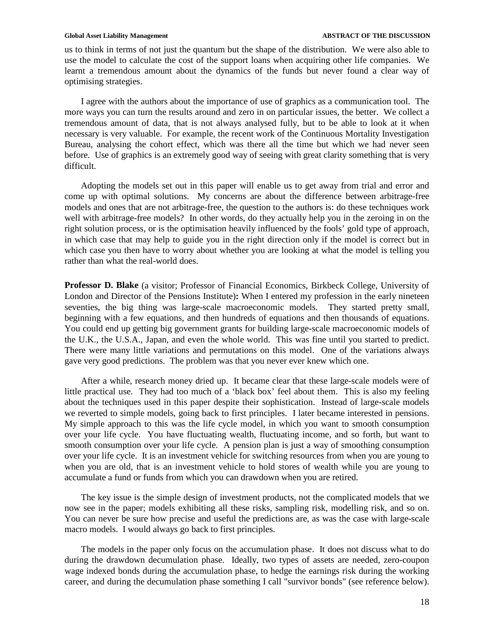us to think in terms of not just the quantum but the shape of the distribution. We were also able to use the model to calculate the cost of the support loans when acquiring other life companies. We learnt a tremendous amount about the dynamics of the funds but never found a clear way of optimising strategies.

I agree with the authors about the importance of use of graphics as a communication tool. The more ways you can turn the results around and zero in on particular issues, the better. We collect a tremendous amount of data, that is not always analysed fully, but to be able to look at it when necessary is very valuable. For example, the recent work of the Continuous Mortality Investigation Bureau, analysing the cohort effect, which was there all the time but which we had never seen before. Use of graphics is an extremely good way of seeing with great clarity something that is very difficult.

Adopting the models set out in this paper will enable us to get away from trial and error and come up with optimal solutions. My concerns are about the difference between arbitrage-free models and ones that are not arbitrage-free, the question to the authors is: do these techniques work well with arbitrage-free models? In other words, do they actually help you in the zeroing in on the right solution process, or is the optimisation heavily influenced by the fools' gold type of approach, in which case that may help to guide you in the right direction only if the model is correct but in which case you then have to worry about whether you are looking at what the model is telling you rather than what the real-world does.

**Professor D. Blake** (a visitor; Professor of Financial Economics, Birkbeck College, University of London and Director of the Pensions Institute)**:** When I entered my profession in the early nineteen seventies, the big thing was large-scale macroeconomic models. They started pretty small, beginning with a few equations, and then hundreds of equations and then thousands of equations. You could end up getting big government grants for building large-scale macroeconomic models of the U.K., the U.S.A., Japan, and even the whole world. This was fine until you started to predict. There were many little variations and permutations on this model. One of the variations always gave very good predictions. The problem was that you never ever knew which one.

After a while, research money dried up. It became clear that these large-scale models were of little practical use. They had too much of a 'black box' feel about them. This is also my feeling about the techniques used in this paper despite their sophistication. Instead of large-scale models we reverted to simple models, going back to first principles. I later became interested in pensions. My simple approach to this was the life cycle model, in which you want to smooth consumption over your life cycle. You have fluctuating wealth, fluctuating income, and so forth, but want to smooth consumption over your life cycle. A pension plan is just a way of smoothing consumption over your life cycle. It is an investment vehicle for switching resources from when you are young to when you are old, that is an investment vehicle to hold stores of wealth while you are young to accumulate a fund or funds from which you can drawdown when you are retired.

The key issue is the simple design of investment products, not the complicated models that we now see in the paper; models exhibiting all these risks, sampling risk, modelling risk, and so on. You can never be sure how precise and useful the predictions are, as was the case with large-scale macro models. I would always go back to first principles.

The models in the paper only focus on the accumulation phase. It does not discuss what to do during the drawdown decumulation phase. Ideally, two types of assets are needed, zero-coupon wage indexed bonds during the accumulation phase, to hedge the earnings risk during the working career, and during the decumulation phase something I call "survivor bonds" (see reference below).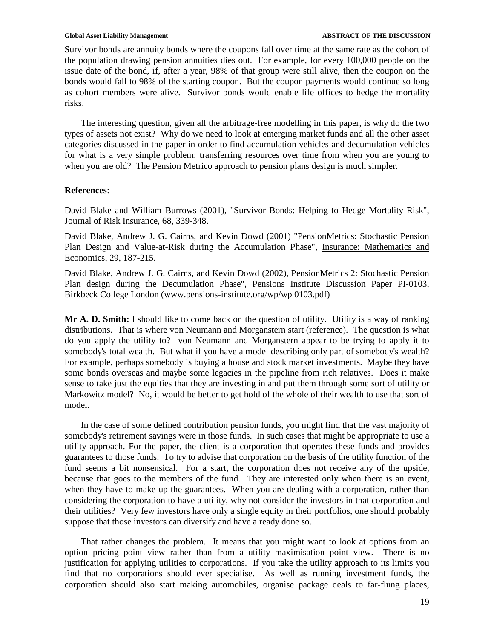### Global Asset Liability Management **ABSTRACT OF THE DISCUSSION**

Survivor bonds are annuity bonds where the coupons fall over time at the same rate as the cohort of the population drawing pension annuities dies out. For example, for every 100,000 people on the issue date of the bond, if, after a year, 98% of that group were still alive, then the coupon on the bonds would fall to 98% of the starting coupon. But the coupon payments would continue so long as cohort members were alive. Survivor bonds would enable life offices to hedge the mortality risks.

The interesting question, given all the arbitrage-free modelling in this paper, is why do the two types of assets not exist? Why do we need to look at emerging market funds and all the other asset categories discussed in the paper in order to find accumulation vehicles and decumulation vehicles for what is a very simple problem: transferring resources over time from when you are young to when you are old? The Pension Metrico approach to pension plans design is much simpler.

## **References**:

David Blake and William Burrows (2001), "Survivor Bonds: Helping to Hedge Mortality Risk", Journal of Risk Insurance, 68, 339-348.

David Blake, Andrew J. G. Cairns, and Kevin Dowd (2001) "PensionMetrics: Stochastic Pension Plan Design and Value-at-Risk during the Accumulation Phase", Insurance: Mathematics and Economics, 29, 187-215.

David Blake, Andrew J. G. Cairns, and Kevin Dowd (2002), PensionMetrics 2: Stochastic Pension Plan design during the Decumulation Phase", Pensions Institute Discussion Paper PI-0103, Birkbeck College London (www.pensions-institute.org/wp/wp 0103.pdf)

**Mr A. D. Smith:** I should like to come back on the question of utility. Utility is a way of ranking distributions. That is where von Neumann and Morganstern start (reference). The question is what do you apply the utility to? von Neumann and Morganstern appear to be trying to apply it to somebody's total wealth. But what if you have a model describing only part of somebody's wealth? For example, perhaps somebody is buying a house and stock market investments. Maybe they have some bonds overseas and maybe some legacies in the pipeline from rich relatives. Does it make sense to take just the equities that they are investing in and put them through some sort of utility or Markowitz model? No, it would be better to get hold of the whole of their wealth to use that sort of model.

In the case of some defined contribution pension funds, you might find that the vast majority of somebody's retirement savings were in those funds. In such cases that might be appropriate to use a utility approach. For the paper, the client is a corporation that operates these funds and provides guarantees to those funds. To try to advise that corporation on the basis of the utility function of the fund seems a bit nonsensical. For a start, the corporation does not receive any of the upside, because that goes to the members of the fund. They are interested only when there is an event, when they have to make up the guarantees. When you are dealing with a corporation, rather than considering the corporation to have a utility, why not consider the investors in that corporation and their utilities? Very few investors have only a single equity in their portfolios, one should probably suppose that those investors can diversify and have already done so.

That rather changes the problem. It means that you might want to look at options from an option pricing point view rather than from a utility maximisation point view. There is no justification for applying utilities to corporations. If you take the utility approach to its limits you find that no corporations should ever specialise. As well as running investment funds, the corporation should also start making automobiles, organise package deals to far-flung places,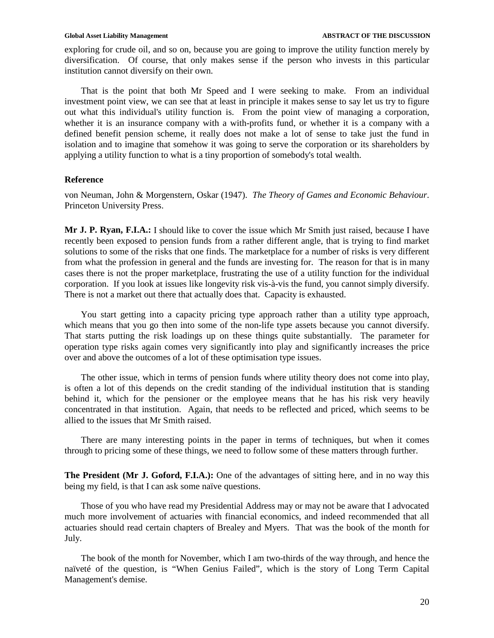exploring for crude oil, and so on, because you are going to improve the utility function merely by diversification. Of course, that only makes sense if the person who invests in this particular institution cannot diversify on their own.

That is the point that both Mr Speed and I were seeking to make. From an individual investment point view, we can see that at least in principle it makes sense to say let us try to figure out what this individual's utility function is. From the point view of managing a corporation, whether it is an insurance company with a with-profits fund, or whether it is a company with a defined benefit pension scheme, it really does not make a lot of sense to take just the fund in isolation and to imagine that somehow it was going to serve the corporation or its shareholders by applying a utility function to what is a tiny proportion of somebody's total wealth.

## **Reference**

von Neuman, John & Morgenstern, Oskar (1947). *The Theory of Games and Economic Behaviour*. Princeton University Press.

**Mr J. P. Ryan, F.I.A.:** I should like to cover the issue which Mr Smith just raised, because I have recently been exposed to pension funds from a rather different angle, that is trying to find market solutions to some of the risks that one finds. The marketplace for a number of risks is very different from what the profession in general and the funds are investing for. The reason for that is in many cases there is not the proper marketplace, frustrating the use of a utility function for the individual corporation. If you look at issues like longevity risk vis-à-vis the fund, you cannot simply diversify. There is not a market out there that actually does that. Capacity is exhausted.

You start getting into a capacity pricing type approach rather than a utility type approach, which means that you go then into some of the non-life type assets because you cannot diversify. That starts putting the risk loadings up on these things quite substantially. The parameter for operation type risks again comes very significantly into play and significantly increases the price over and above the outcomes of a lot of these optimisation type issues.

The other issue, which in terms of pension funds where utility theory does not come into play, is often a lot of this depends on the credit standing of the individual institution that is standing behind it, which for the pensioner or the employee means that he has his risk very heavily concentrated in that institution. Again, that needs to be reflected and priced, which seems to be allied to the issues that Mr Smith raised.

There are many interesting points in the paper in terms of techniques, but when it comes through to pricing some of these things, we need to follow some of these matters through further.

**The President (Mr J. Goford, F.I.A.):** One of the advantages of sitting here, and in no way this being my field, is that I can ask some naïve questions.

Those of you who have read my Presidential Address may or may not be aware that I advocated much more involvement of actuaries with financial economics, and indeed recommended that all actuaries should read certain chapters of Brealey and Myers. That was the book of the month for July.

The book of the month for November, which I am two-thirds of the way through, and hence the naïveté of the question, is "When Genius Failed", which is the story of Long Term Capital Management's demise.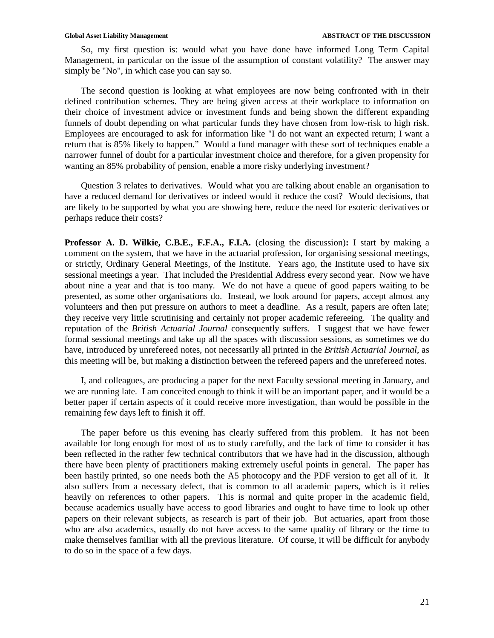So, my first question is: would what you have done have informed Long Term Capital Management, in particular on the issue of the assumption of constant volatility? The answer may simply be "No", in which case you can say so.

The second question is looking at what employees are now being confronted with in their defined contribution schemes. They are being given access at their workplace to information on their choice of investment advice or investment funds and being shown the different expanding funnels of doubt depending on what particular funds they have chosen from low-risk to high risk. Employees are encouraged to ask for information like "I do not want an expected return; I want a return that is 85% likely to happen." Would a fund manager with these sort of techniques enable a narrower funnel of doubt for a particular investment choice and therefore, for a given propensity for wanting an 85% probability of pension, enable a more risky underlying investment?

Question 3 relates to derivatives. Would what you are talking about enable an organisation to have a reduced demand for derivatives or indeed would it reduce the cost? Would decisions, that are likely to be supported by what you are showing here, reduce the need for esoteric derivatives or perhaps reduce their costs?

**Professor A. D. Wilkie, C.B.E., F.F.A., F.I.A.** (closing the discussion)**:** I start by making a comment on the system, that we have in the actuarial profession, for organising sessional meetings, or strictly, Ordinary General Meetings, of the Institute. Years ago, the Institute used to have six sessional meetings a year. That included the Presidential Address every second year. Now we have about nine a year and that is too many. We do not have a queue of good papers waiting to be presented, as some other organisations do. Instead, we look around for papers, accept almost any volunteers and then put pressure on authors to meet a deadline. As a result, papers are often late; they receive very little scrutinising and certainly not proper academic refereeing. The quality and reputation of the *British Actuarial Journal* consequently suffers. I suggest that we have fewer formal sessional meetings and take up all the spaces with discussion sessions, as sometimes we do have, introduced by unrefereed notes, not necessarily all printed in the *British Actuarial Journal*, as this meeting will be, but making a distinction between the refereed papers and the unrefereed notes.

I, and colleagues, are producing a paper for the next Faculty sessional meeting in January, and we are running late. I am conceited enough to think it will be an important paper, and it would be a better paper if certain aspects of it could receive more investigation, than would be possible in the remaining few days left to finish it off.

The paper before us this evening has clearly suffered from this problem. It has not been available for long enough for most of us to study carefully, and the lack of time to consider it has been reflected in the rather few technical contributors that we have had in the discussion, although there have been plenty of practitioners making extremely useful points in general. The paper has been hastily printed, so one needs both the A5 photocopy and the PDF version to get all of it. It also suffers from a necessary defect, that is common to all academic papers, which is it relies heavily on references to other papers. This is normal and quite proper in the academic field, because academics usually have access to good libraries and ought to have time to look up other papers on their relevant subjects, as research is part of their job. But actuaries, apart from those who are also academics, usually do not have access to the same quality of library or the time to make themselves familiar with all the previous literature. Of course, it will be difficult for anybody to do so in the space of a few days.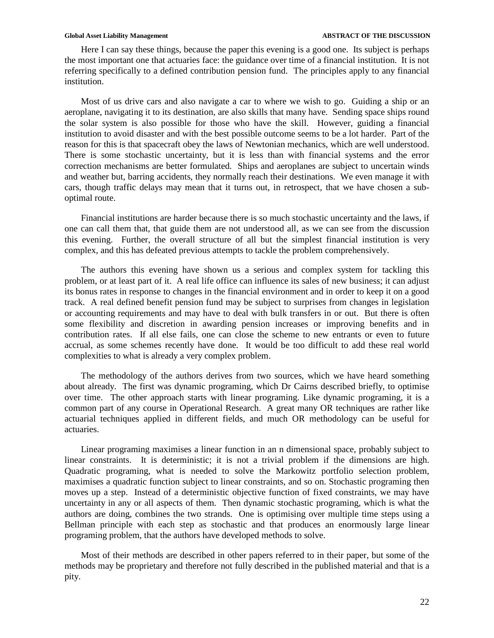Here I can say these things, because the paper this evening is a good one. Its subject is perhaps the most important one that actuaries face: the guidance over time of a financial institution. It is not referring specifically to a defined contribution pension fund. The principles apply to any financial institution.

Most of us drive cars and also navigate a car to where we wish to go. Guiding a ship or an aeroplane, navigating it to its destination, are also skills that many have. Sending space ships round the solar system is also possible for those who have the skill. However, guiding a financial institution to avoid disaster and with the best possible outcome seems to be a lot harder. Part of the reason for this is that spacecraft obey the laws of Newtonian mechanics, which are well understood. There is some stochastic uncertainty, but it is less than with financial systems and the error correction mechanisms are better formulated. Ships and aeroplanes are subject to uncertain winds and weather but, barring accidents, they normally reach their destinations. We even manage it with cars, though traffic delays may mean that it turns out, in retrospect, that we have chosen a suboptimal route.

Financial institutions are harder because there is so much stochastic uncertainty and the laws, if one can call them that, that guide them are not understood all, as we can see from the discussion this evening. Further, the overall structure of all but the simplest financial institution is very complex, and this has defeated previous attempts to tackle the problem comprehensively.

The authors this evening have shown us a serious and complex system for tackling this problem, or at least part of it. A real life office can influence its sales of new business; it can adjust its bonus rates in response to changes in the financial environment and in order to keep it on a good track. A real defined benefit pension fund may be subject to surprises from changes in legislation or accounting requirements and may have to deal with bulk transfers in or out. But there is often some flexibility and discretion in awarding pension increases or improving benefits and in contribution rates. If all else fails, one can close the scheme to new entrants or even to future accrual, as some schemes recently have done. It would be too difficult to add these real world complexities to what is already a very complex problem.

The methodology of the authors derives from two sources, which we have heard something about already. The first was dynamic programing, which Dr Cairns described briefly, to optimise over time. The other approach starts with linear programing. Like dynamic programing, it is a common part of any course in Operational Research. A great many OR techniques are rather like actuarial techniques applied in different fields, and much OR methodology can be useful for actuaries.

Linear programing maximises a linear function in an n dimensional space, probably subject to linear constraints. It is deterministic; it is not a trivial problem if the dimensions are high. Quadratic programing, what is needed to solve the Markowitz portfolio selection problem, maximises a quadratic function subject to linear constraints, and so on. Stochastic programing then moves up a step. Instead of a deterministic objective function of fixed constraints, we may have uncertainty in any or all aspects of them. Then dynamic stochastic programing, which is what the authors are doing, combines the two strands. One is optimising over multiple time steps using a Bellman principle with each step as stochastic and that produces an enormously large linear programing problem, that the authors have developed methods to solve.

Most of their methods are described in other papers referred to in their paper, but some of the methods may be proprietary and therefore not fully described in the published material and that is a pity.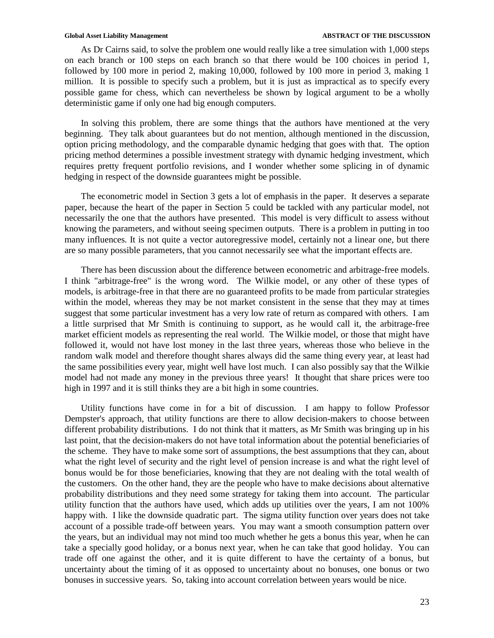As Dr Cairns said, to solve the problem one would really like a tree simulation with 1,000 steps on each branch or 100 steps on each branch so that there would be 100 choices in period 1, followed by 100 more in period 2, making 10,000, followed by 100 more in period 3, making 1 million. It is possible to specify such a problem, but it is just as impractical as to specify every possible game for chess, which can nevertheless be shown by logical argument to be a wholly deterministic game if only one had big enough computers.

In solving this problem, there are some things that the authors have mentioned at the very beginning. They talk about guarantees but do not mention, although mentioned in the discussion, option pricing methodology, and the comparable dynamic hedging that goes with that. The option pricing method determines a possible investment strategy with dynamic hedging investment, which requires pretty frequent portfolio revisions, and I wonder whether some splicing in of dynamic hedging in respect of the downside guarantees might be possible.

The econometric model in Section 3 gets a lot of emphasis in the paper. It deserves a separate paper, because the heart of the paper in Section 5 could be tackled with any particular model, not necessarily the one that the authors have presented. This model is very difficult to assess without knowing the parameters, and without seeing specimen outputs. There is a problem in putting in too many influences. It is not quite a vector autoregressive model, certainly not a linear one, but there are so many possible parameters, that you cannot necessarily see what the important effects are.

There has been discussion about the difference between econometric and arbitrage-free models. I think "arbitrage-free" is the wrong word. The Wilkie model, or any other of these types of models, is arbitrage-free in that there are no guaranteed profits to be made from particular strategies within the model, whereas they may be not market consistent in the sense that they may at times suggest that some particular investment has a very low rate of return as compared with others. I am a little surprised that Mr Smith is continuing to support, as he would call it, the arbitrage-free market efficient models as representing the real world. The Wilkie model, or those that might have followed it, would not have lost money in the last three years, whereas those who believe in the random walk model and therefore thought shares always did the same thing every year, at least had the same possibilities every year, might well have lost much. I can also possibly say that the Wilkie model had not made any money in the previous three years! It thought that share prices were too high in 1997 and it is still thinks they are a bit high in some countries.

Utility functions have come in for a bit of discussion. I am happy to follow Professor Dempster's approach, that utility functions are there to allow decision-makers to choose between different probability distributions. I do not think that it matters, as Mr Smith was bringing up in his last point, that the decision-makers do not have total information about the potential beneficiaries of the scheme. They have to make some sort of assumptions, the best assumptions that they can, about what the right level of security and the right level of pension increase is and what the right level of bonus would be for those beneficiaries, knowing that they are not dealing with the total wealth of the customers. On the other hand, they are the people who have to make decisions about alternative probability distributions and they need some strategy for taking them into account. The particular utility function that the authors have used, which adds up utilities over the years, I am not 100% happy with. I like the downside quadratic part. The sigma utility function over years does not take account of a possible trade-off between years. You may want a smooth consumption pattern over the years, but an individual may not mind too much whether he gets a bonus this year, when he can take a specially good holiday, or a bonus next year, when he can take that good holiday. You can trade off one against the other, and it is quite different to have the certainty of a bonus, but uncertainty about the timing of it as opposed to uncertainty about no bonuses, one bonus or two bonuses in successive years. So, taking into account correlation between years would be nice.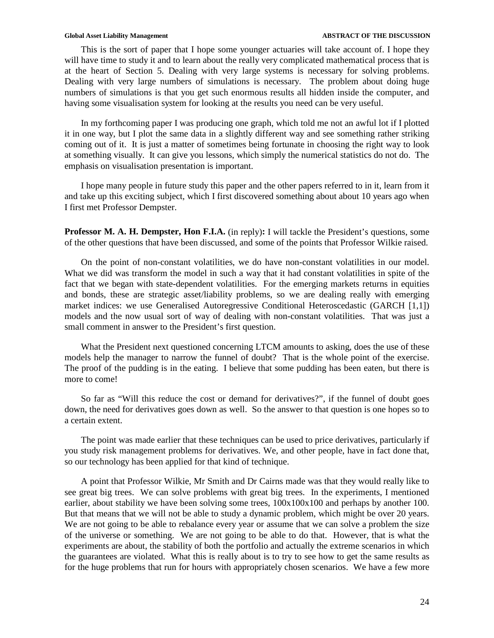This is the sort of paper that I hope some younger actuaries will take account of. I hope they will have time to study it and to learn about the really very complicated mathematical process that is at the heart of Section 5. Dealing with very large systems is necessary for solving problems. Dealing with very large numbers of simulations is necessary. The problem about doing huge numbers of simulations is that you get such enormous results all hidden inside the computer, and having some visualisation system for looking at the results you need can be very useful.

In my forthcoming paper I was producing one graph, which told me not an awful lot if I plotted it in one way, but I plot the same data in a slightly different way and see something rather striking coming out of it. It is just a matter of sometimes being fortunate in choosing the right way to look at something visually. It can give you lessons, which simply the numerical statistics do not do. The emphasis on visualisation presentation is important.

I hope many people in future study this paper and the other papers referred to in it, learn from it and take up this exciting subject, which I first discovered something about about 10 years ago when I first met Professor Dempster.

**Professor M. A. H. Dempster, Hon F.I.A.** (in reply)**:** I will tackle the President's questions, some of the other questions that have been discussed, and some of the points that Professor Wilkie raised.

On the point of non-constant volatilities, we do have non-constant volatilities in our model. What we did was transform the model in such a way that it had constant volatilities in spite of the fact that we began with state-dependent volatilities. For the emerging markets returns in equities and bonds, these are strategic asset/liability problems, so we are dealing really with emerging market indices: we use Generalised Autoregressive Conditional Heteroscedastic (GARCH [1,1]) models and the now usual sort of way of dealing with non-constant volatilities. That was just a small comment in answer to the President's first question.

What the President next questioned concerning LTCM amounts to asking, does the use of these models help the manager to narrow the funnel of doubt? That is the whole point of the exercise. The proof of the pudding is in the eating. I believe that some pudding has been eaten, but there is more to come!

So far as "Will this reduce the cost or demand for derivatives?", if the funnel of doubt goes down, the need for derivatives goes down as well. So the answer to that question is one hopes so to a certain extent.

The point was made earlier that these techniques can be used to price derivatives, particularly if you study risk management problems for derivatives. We, and other people, have in fact done that, so our technology has been applied for that kind of technique.

A point that Professor Wilkie, Mr Smith and Dr Cairns made was that they would really like to see great big trees. We can solve problems with great big trees. In the experiments, I mentioned earlier, about stability we have been solving some trees,  $100x100x100$  and perhaps by another 100. But that means that we will not be able to study a dynamic problem, which might be over 20 years. We are not going to be able to rebalance every year or assume that we can solve a problem the size of the universe or something. We are not going to be able to do that. However, that is what the experiments are about, the stability of both the portfolio and actually the extreme scenarios in which the guarantees are violated. What this is really about is to try to see how to get the same results as for the huge problems that run for hours with appropriately chosen scenarios. We have a few more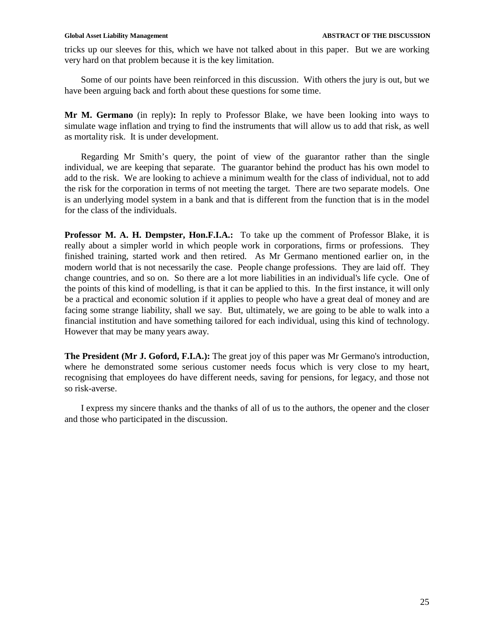tricks up our sleeves for this, which we have not talked about in this paper. But we are working very hard on that problem because it is the key limitation.

Some of our points have been reinforced in this discussion. With others the jury is out, but we have been arguing back and forth about these questions for some time.

**Mr M. Germano** (in reply)**:** In reply to Professor Blake, we have been looking into ways to simulate wage inflation and trying to find the instruments that will allow us to add that risk, as well as mortality risk. It is under development.

Regarding Mr Smith's query, the point of view of the guarantor rather than the single individual, we are keeping that separate. The guarantor behind the product has his own model to add to the risk. We are looking to achieve a minimum wealth for the class of individual, not to add the risk for the corporation in terms of not meeting the target. There are two separate models. One is an underlying model system in a bank and that is different from the function that is in the model for the class of the individuals.

**Professor M. A. H. Dempster, Hon.F.I.A.:** To take up the comment of Professor Blake, it is really about a simpler world in which people work in corporations, firms or professions. They finished training, started work and then retired. As Mr Germano mentioned earlier on, in the modern world that is not necessarily the case. People change professions. They are laid off. They change countries, and so on. So there are a lot more liabilities in an individual's life cycle. One of the points of this kind of modelling, is that it can be applied to this. In the first instance, it will only be a practical and economic solution if it applies to people who have a great deal of money and are facing some strange liability, shall we say. But, ultimately, we are going to be able to walk into a financial institution and have something tailored for each individual, using this kind of technology. However that may be many years away.

**The President (Mr J. Goford, F.I.A.):** The great joy of this paper was Mr Germano's introduction, where he demonstrated some serious customer needs focus which is very close to my heart, recognising that employees do have different needs, saving for pensions, for legacy, and those not so risk-averse.

I express my sincere thanks and the thanks of all of us to the authors, the opener and the closer and those who participated in the discussion.